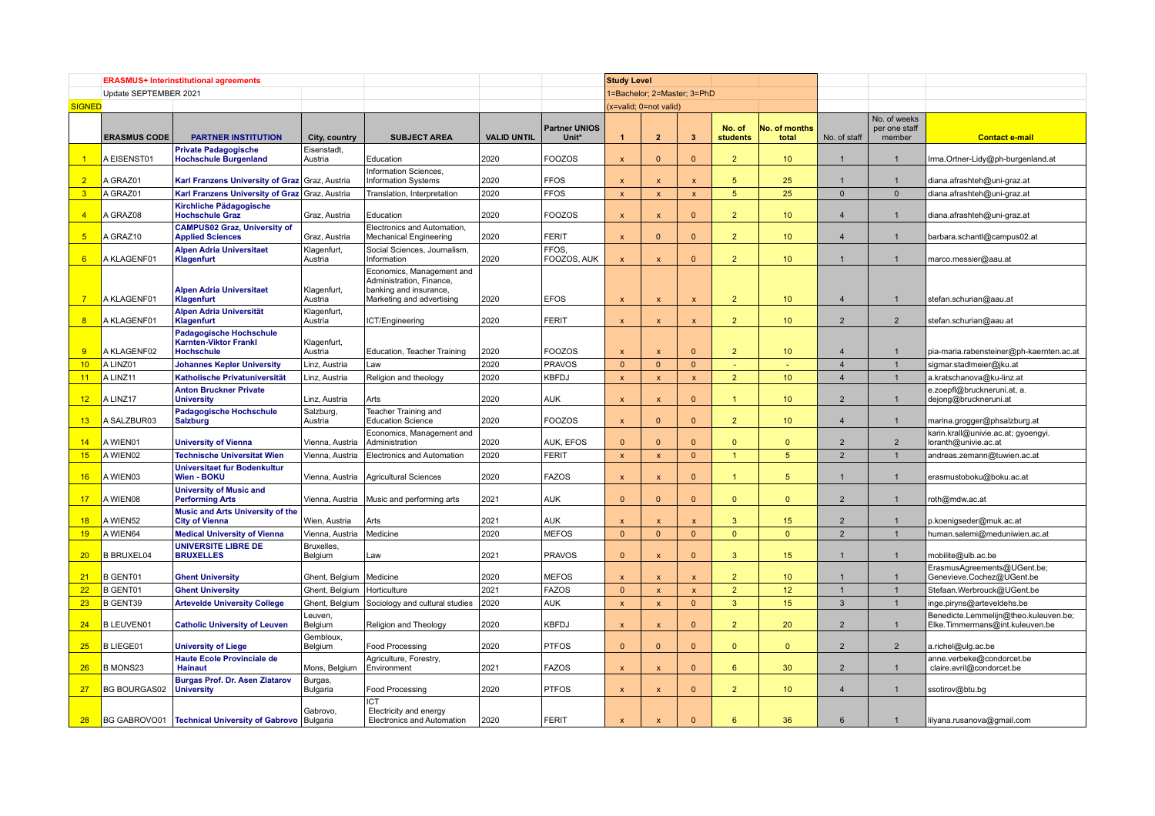|                         | <b>ERASMUS+ Interinstitutional agreements</b> |                                                                                     |                           |                                                                                                              |                    |                               | <b>Study Level</b>        |                             |                           |                           |                        |                |                                         |                                                                          |
|-------------------------|-----------------------------------------------|-------------------------------------------------------------------------------------|---------------------------|--------------------------------------------------------------------------------------------------------------|--------------------|-------------------------------|---------------------------|-----------------------------|---------------------------|---------------------------|------------------------|----------------|-----------------------------------------|--------------------------------------------------------------------------|
|                         | Update SEPTEMBER 2021                         |                                                                                     |                           |                                                                                                              |                    |                               |                           | 1=Bachelor; 2=Master; 3=PhD |                           |                           |                        |                |                                         |                                                                          |
| <b>SIGNED</b>           |                                               |                                                                                     |                           |                                                                                                              |                    |                               |                           | x=valid; 0=not valid)       |                           |                           |                        |                |                                         |                                                                          |
|                         | <b>ERASMUS CODE</b>                           | <b>PARTNER INSTITUTION</b>                                                          | City, country             | <b>SUBJECT AREA</b>                                                                                          | <b>VALID UNTIL</b> | <b>Partner UNIOS</b><br>Unit* | 1                         | $\overline{2}$              | $\overline{\mathbf{3}}$   | No. of<br><b>students</b> | No. of months<br>total | No. of staff   | No. of weeks<br>per one staff<br>member | <b>Contact e-mail</b>                                                    |
| -1                      | A EISENST01                                   | <b>Private Padagogische</b><br><b>Hochschule Burgenland</b>                         | Eisenstadt,<br>Austria    | Education                                                                                                    | 2020               | <b>FOOZOS</b>                 | $\boldsymbol{\mathsf{x}}$ | $\Omega$                    | $\Omega$                  | $\overline{2}$            | 10 <sup>°</sup>        |                |                                         | rma.Ortner-Lidy@ph-burgenland.at                                         |
| $\overline{2}$          | A GRAZ01                                      | Karl Franzens University of Graz Graz, Austria                                      |                           | Information Sciences,<br><b>Information Systems</b>                                                          | 2020               | <b>FFOS</b>                   | $\overline{\mathbf{x}}$   | $\mathbf{x}$                | $\mathbf{x}$              | 5                         | 25                     |                |                                         | diana.afrashteh@uni-graz.at                                              |
| $\overline{\mathbf{3}}$ | A GRAZ01                                      | Karl Franzens University of Graz Graz, Austria                                      |                           | Translation, Interpretation                                                                                  | 2020               | <b>FFOS</b>                   | $\overline{\mathsf{x}}$   | $\mathbf{x}$                | $\mathsf{x}$              | 5 <sup>5</sup>            | 25                     | $\Omega$       | $\mathbf{0}$                            | diana.afrashteh@uni-graz.at                                              |
| $\overline{4}$          | A GRAZ08                                      | Kirchliche Pädagogische<br><b>Hochschule Graz</b>                                   | Graz, Austria             | Education                                                                                                    | 2020               | <b>FOOZOS</b>                 | $\mathbf x$               | $\mathbf{x}$                | $\Omega$                  | $\overline{2}$            | 10 <sup>°</sup>        | $\overline{4}$ | $\mathbf{1}$                            | diana.afrashteh@uni-graz.at                                              |
| $5\overline{)}$         | A GRAZ10                                      | <b>CAMPUS02 Graz, University of</b><br><b>Applied Sciences</b>                      | Graz, Austria             | Electronics and Automation<br><b>Mechanical Engineering</b>                                                  | 2020               | <b>FERIT</b>                  | $\overline{\mathsf{x}}$   | $\Omega$                    | $\mathbf{0}$              | 2 <sup>2</sup>            | 10 <sup>°</sup>        | $\overline{4}$ | $\mathbf{1}$                            | barbara.schantl@campus02.at                                              |
| 6                       | A KLAGENF01                                   | <b>Alpen Adria Universitaet</b><br>Klagenfurt                                       | Klagenfurt,<br>Austria    | Social Sciences, Journalism,<br>Information                                                                  | 2020               | FFOS.<br>FOOZOS, AUK          | $\boldsymbol{\mathsf{x}}$ | $\boldsymbol{\mathsf{x}}$   | $\Omega$                  | $\overline{2}$            | 10 <sup>°</sup>        | $\overline{1}$ | $\overline{1}$                          | marco.messier@aau.at                                                     |
| $\overline{7}$          | A KLAGENF01                                   | <b>Alpen Adria Universitaet</b><br>Klagenfurt                                       | Klagenfurt,<br>Austria    | Economics, Management and<br>Administration, Finance,<br>banking and insurance,<br>Marketing and advertising | 2020               | <b>EFOS</b>                   | $\mathsf{x}$              | $\mathbf{x}$                | $\boldsymbol{\mathsf{x}}$ | $\overline{2}$            | 10 <sup>°</sup>        | $\overline{4}$ | $\overline{1}$                          | stefan.schurian@aau.at                                                   |
| 8                       | A KLAGENF01                                   | Alpen Adria Universität<br>Klagenfurt                                               | Klagenfurt,<br>Austria    | ICT/Engineering                                                                                              | 2020               | <b>FERIT</b>                  | $\mathbf{x}$              | $\mathbf{x}$                | x                         | $\overline{2}$            | 10 <sup>°</sup>        | $\overline{2}$ | $\overline{2}$                          | stefan.schurian@aau.at                                                   |
| -9                      | A KLAGENF02                                   | <b>Padagogische Hochschule</b><br><b>Karnten-Viktor Frankl</b><br><b>Hochschule</b> | Klagenfurt,<br>Austria    | Education, Teacher Training                                                                                  | 2020               | <b>FOOZOS</b>                 | X                         |                             | $\Omega$                  | $\overline{2}$            | 10 <sup>°</sup>        | $\overline{4}$ |                                         | pia-maria.rabensteiner@ph-kaernten.ac.at                                 |
| 10                      | A LINZ01                                      | <b>Johannes Kepler University</b>                                                   | Linz, Austria             | Law                                                                                                          | 2020               | <b>PRAVOS</b>                 | $\Omega$                  | $\mathbf{0}$                | $\Omega$                  | Ξ                         |                        | $\overline{4}$ | $\overline{1}$                          | sigmar.stadlmeier@jku.at                                                 |
| 11                      | A LINZ11                                      | Katholische Privatuniversität                                                       | Linz, Austria             | Religion and theology                                                                                        | 2020               | <b>KBFDJ</b>                  | $\boldsymbol{\mathsf{x}}$ | $\boldsymbol{\mathsf{x}}$   | $\mathbf{x}$              | 2 <sup>2</sup>            | 10 <sup>°</sup>        | $\overline{4}$ | $\mathbf{1}$                            | a.kratschanova@ku-linz.at                                                |
| 12                      | A LINZ17                                      | <b>Anton Bruckner Private</b><br><b>University</b>                                  | Linz, Austria             | Arts                                                                                                         | 2020               | <b>AUK</b>                    | $\mathsf{x}$              | $\boldsymbol{\mathsf{x}}$   | $\overline{0}$            | $\overline{1}$            | 10 <sup>°</sup>        | $\overline{2}$ | $\overline{1}$                          | e.zoepfl@bruckneruni.at, a.<br>dejong@bruckneruni.at                     |
| 13                      | A SALZBUR03                                   | <b>Padagogische Hochschule</b><br><b>Salzburg</b>                                   | Salzburg,<br>Austria      | Teacher Training and<br><b>Education Science</b>                                                             | 2020               | <b>FOOZOS</b>                 | $\overline{\mathsf{x}}$   | $\Omega$                    | $\Omega$                  | 2 <sup>1</sup>            | 10 <sup>°</sup>        | $\overline{4}$ | $\mathbf{1}$                            | marina.grogger@phsalzburg.at                                             |
| 14                      | A WIEN01                                      | <b>University of Vienna</b>                                                         | Vienna, Austria           | Economics, Management and<br>Administration                                                                  | 2020               | <b>AUK, EFOS</b>              | $\Omega$                  | $\Omega$                    | $\Omega$                  | $\Omega$                  | $\Omega$               | $\overline{2}$ | $\overline{2}$                          | karin.krall@univie.ac.at; gyoengyi.<br>loranth@univie.ac.at              |
| 15                      | A WIEN02                                      | <b>Technische Universitat Wien</b>                                                  | Vienna, Austria           | <b>Electronics and Automation</b>                                                                            | 2020               | <b>FERIT</b>                  | $\mathbf{x}$              | $\pmb{\chi}$                | $\mathbf{0}$              | $\mathbf{1}$              | 5 <sup>5</sup>         | $\overline{2}$ | $\mathbf{1}$                            | andreas.zemann@tuwien.ac.at                                              |
| 16                      | A WIEN03                                      | <b>Universitaet fur Bodenkultur</b><br>Wien - BOKU                                  | Vienna, Austria           | <b>Agricultural Sciences</b>                                                                                 | 2020               | <b>FAZOS</b>                  | $\mathbf{x}$              | $\mathbf{x}$                | $\Omega$                  | $\blacktriangleleft$      | 5                      | $\overline{1}$ | $\mathbf{1}$                            | erasmustoboku@boku.ac.at                                                 |
| 17                      | A WIEN08                                      | <b>University of Music and</b><br><b>Performing Arts</b>                            |                           | Vienna, Austria   Music and performing arts                                                                  | 2021               | l AUK                         | $\Omega$                  | $\Omega$                    | $\Omega$                  | $\mathbf{0}$              | $\mathbf{0}$           | $\overline{2}$ | $\overline{1}$                          | roth@mdw.ac.at                                                           |
| 18                      | A WIEN52                                      | <b>Music and Arts University of the</b><br><b>City of Vienna</b>                    | Wien, Austria             | Arts                                                                                                         | 2021               | <b>AUK</b>                    | $\mathbf{x}$              | $\boldsymbol{\mathsf{x}}$   | $\overline{\mathbf{x}}$   | 3                         | 15                     | $\overline{2}$ | $\mathbf{1}$                            | p.koenigseder@muk.ac.at                                                  |
| 19                      | A WIEN64                                      | <b>Medical University of Vienna</b>                                                 | Vienna, Austria           | Medicine                                                                                                     | 2020               | <b>MEFOS</b>                  | $\mathbf{0}$              | $\Omega$                    | $\overline{0}$            | $\mathbf{0}$              | $\Omega$               | $\overline{2}$ | $\overline{1}$                          | human.salemi@meduniwien.ac.at                                            |
| 20                      | <b>B BRUXEL04</b>                             | <b>UNIVERSITE LIBRE DE</b><br><b>BRUXELLES</b>                                      | Bruxelles,<br>Belgium     | Law                                                                                                          | 2021               | <b>PRAVOS</b>                 | $\Omega$                  |                             | $\Omega$                  | 3                         | 15                     | $\mathbf{1}$   | $\mathbf{1}$                            | mobilite@ulb.ac.be                                                       |
| 21                      | <b>B GENT01</b>                               | <b>Ghent University</b>                                                             | Ghent, Belgium   Medicine |                                                                                                              | 2020               | <b>MEFOS</b>                  | $\mathsf{x}$              | $\boldsymbol{\mathsf{x}}$   | $\mathsf{x}$              | 2 <sup>2</sup>            | 10 <sup>°</sup>        | $\mathbf{1}$   | $\mathbf{1}$                            | ErasmusAgreements@UGent.be;<br>Genevieve.Cochez@UGent.be                 |
| 22                      | <b>B GENT01</b>                               | <b>Ghent University</b>                                                             | Ghent, Belgium            | Horticulture                                                                                                 | 2021               | <b>FAZOS</b>                  | $\mathbf{0}$              | $\boldsymbol{\mathsf{x}}$   | $\mathsf{x}$              | 2 <sup>2</sup>            | 12                     | $\overline{1}$ | $\mathbf{1}$                            | Stefaan.Werbrouck@UGent.be                                               |
| 23                      | <b>B GENT39</b>                               | <b>Artevelde University College</b>                                                 | Ghent, Belgium            | Sociology and cultural studies                                                                               | 2020               | <b>AUK</b>                    | $\boldsymbol{\mathsf{x}}$ | $\boldsymbol{\mathsf{x}}$   | $\mathbf{0}$              | $\mathbf{3}$              | 15                     | $\mathbf{3}$   | $\mathbf{1}$                            | inge.piryns@arteveldehs.be                                               |
| 24                      | <b>B LEUVEN01</b>                             | <b>Catholic University of Leuven</b>                                                | Leuven,<br>Belgium        | Religion and Theology                                                                                        | 2020               | <b>KBFDJ</b>                  | $\boldsymbol{\mathsf{x}}$ | $\mathbf{x}$                | $\Omega$                  | $\overline{2}$            | 20                     | $\overline{2}$ | $\mathbf{1}$                            | Benedicte.Lemmelijn@theo.kuleuven.be;<br>Elke.Timmermans@int.kuleuven.be |
| 25                      | <b>B LIEGE01</b>                              | <b>University of Liege</b>                                                          | Gembloux,<br>Belgium      | <b>Food Processing</b>                                                                                       | 2020               | <b>PTFOS</b>                  | $\Omega$                  | $\mathbf{0}$                | $\mathbf{0}$              | $\mathbf{0}$              | $\mathbf{0}$           | $\overline{2}$ | $\overline{2}$                          | a.richel@ulg.ac.be                                                       |
| 26                      | <b>B MONS23</b>                               | <b>Haute Ecole Provinciale de</b><br><b>Hainaut</b>                                 | Mons, Belgium             | Agriculture, Forestry,<br>Environment                                                                        | 2021               | <b>FAZOS</b>                  | $\mathsf{x}$              | $\mathbf{x}$                | $\mathbf{0}$              | 6                         | 30                     | 2              | $\mathbf{1}$                            | anne.verbeke@condorcet.be<br>claire.avril@condorcet.be                   |
| 27                      | <b>BG BOURGAS02</b>                           | <b>Burgas Prof. Dr. Asen Zlatarov</b><br><b>University</b>                          | Burgas,<br>Bulgaria       | <b>Food Processing</b>                                                                                       | 2020               | <b>PTFOS</b>                  | $\mathbf{x}$              | $\mathbf{x}$                | $\Omega$                  | $\overline{2}$            | 10 <sup>°</sup>        | $\overline{4}$ | $\mathbf{1}$                            | ssotirov@btu.bg                                                          |
| 28                      |                                               | BG GABROVO01   Technical University of Gabrovo                                      | Gabrovo,<br>Bulgaria      | ICT<br>Electricity and energy<br>Electronics and Automation                                                  | 2020               | <b>FERIT</b>                  | $\mathbf{x}$              |                             | $\Omega$                  | 6                         | 36                     | 6              | $\mathbf{1}$                            | lilyana.rusanova@gmail.com                                               |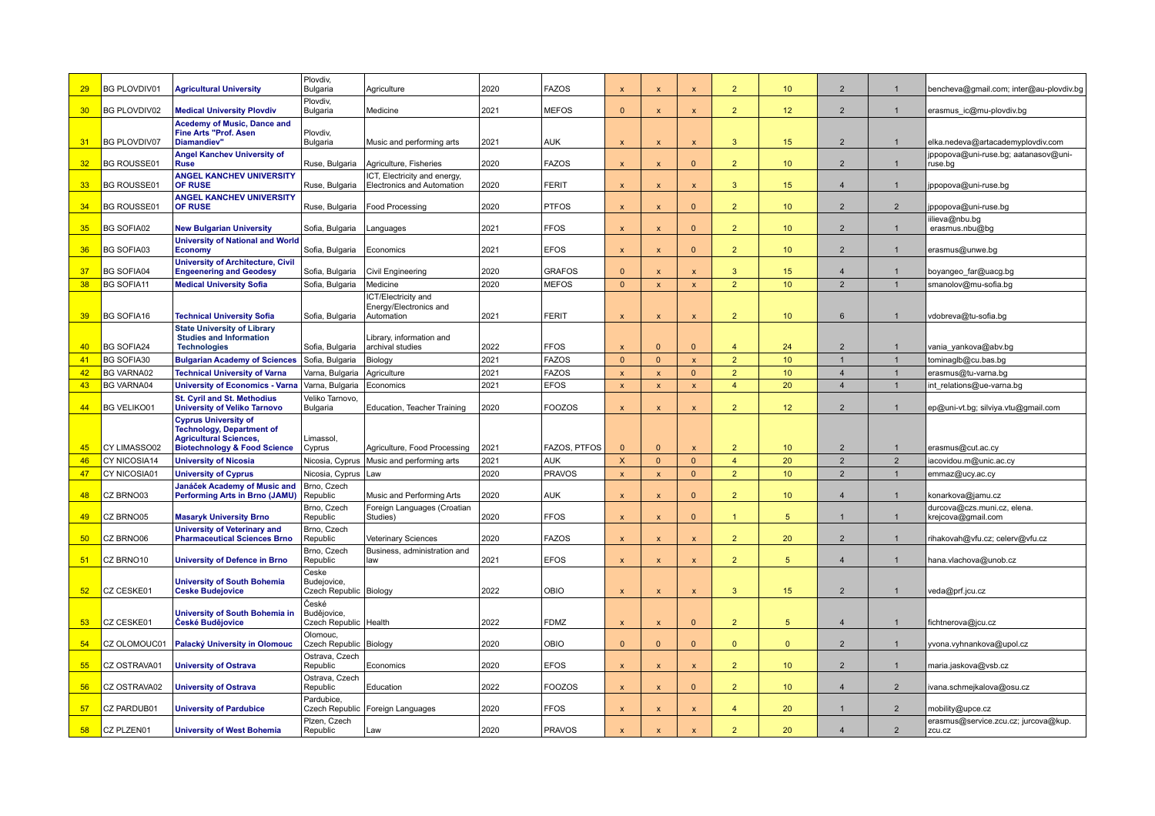| 29 | <b>BG PLOVDIV01</b> | <b>Agricultural University</b>                                                                                                              | Plovdiv,<br>Bulgaria                            | Agriculture                                               | 2020 | <b>FAZOS</b>        | $\boldsymbol{\mathsf{x}}$ | $\boldsymbol{\mathsf{x}}$ | X                         | $\overline{2}$ | 10              | $\overline{2}$ | $\mathbf 1$    | bencheva@gmail.com; inter@au-plovdiv.bg           |
|----|---------------------|---------------------------------------------------------------------------------------------------------------------------------------------|-------------------------------------------------|-----------------------------------------------------------|------|---------------------|---------------------------|---------------------------|---------------------------|----------------|-----------------|----------------|----------------|---------------------------------------------------|
| 30 | <b>BG PLOVDIV02</b> | <b>Medical University Plovdiv</b>                                                                                                           | Plovdiv,<br>Bulgaria                            | Medicine                                                  | 2021 | <b>MEFOS</b>        | $\mathbf{0}$              | $\mathsf{x}$              | $\mathsf{x}$              | $\overline{2}$ | 12 <sup>2</sup> | $\overline{2}$ | $\overline{1}$ | erasmus ic@mu-plovdiv.bg                          |
| 31 | <b>BG PLOVDIV07</b> | <b>Acedemy of Music, Dance and</b><br><b>Fine Arts "Prof. Asen</b><br>Diamandiev"                                                           | Plovdiv,<br>Bulgaria                            | Music and performing arts                                 | 2021 | <b>AUK</b>          | $\boldsymbol{\mathsf{x}}$ | $\boldsymbol{\mathsf{x}}$ | $\boldsymbol{\mathsf{x}}$ | $\mathbf{3}$   | 15              | $\overline{2}$ | $\overline{1}$ | elka.nedeva@artacademyplovdiv.com                 |
| 32 | <b>BG ROUSSE01</b>  | <b>Angel Kanchev University of</b><br><b>Ruse</b>                                                                                           | Ruse, Bulgaria                                  | Agriculture, Fisheries                                    | 2020 | <b>FAZOS</b>        | X                         | $\boldsymbol{\mathsf{x}}$ | $\mathbf{0}$              | $\overline{2}$ | 10 <sup>°</sup> | $\overline{2}$ | $\overline{1}$ | jppopova@uni-ruse.bg; aatanasov@uni-<br>ruse.bg   |
| 33 | <b>BG ROUSSE01</b>  | <b>ANGEL KANCHEV UNIVERSITY</b><br>OF RUSE                                                                                                  | Ruse, Bulgaria                                  | ICT, Electricity and energy<br>Electronics and Automation | 2020 | <b>FERIT</b>        | $\boldsymbol{\mathsf{x}}$ | $\boldsymbol{\mathsf{x}}$ | $\mathbf{x}$              | 3 <sup>5</sup> | 15              | $\overline{4}$ | $\mathbf{1}$   | jppopova@uni-ruse.bg                              |
| 34 | <b>BG ROUSSE01</b>  | <b>ANGEL KANCHEV UNIVERSITY</b><br><b>OF RUSE</b>                                                                                           | Ruse, Bulgaria                                  | Food Processing                                           | 2020 | <b>PTFOS</b>        | $\boldsymbol{\mathsf{x}}$ | $\boldsymbol{\mathsf{x}}$ | $\Omega$                  | $\overline{2}$ | 10 <sup>°</sup> | 2              | 2              | jppopova@uni-ruse.bg                              |
| 35 | <b>BG SOFIA02</b>   | <b>New Bulgarian University</b>                                                                                                             | Sofia, Bulgaria                                 | Languages                                                 | 2021 | <b>FFOS</b>         | $\boldsymbol{\mathsf{x}}$ | $\boldsymbol{\mathsf{x}}$ | $\mathbf{0}$              | 2 <sup>2</sup> | 10 <sup>°</sup> | $\overline{2}$ | $\mathbf{1}$   | iilieva@nbu.bg<br>erasmus.nbu@bg                  |
| 36 | <b>BG SOFIA03</b>   | <b>University of National and World</b><br><b>Economy</b>                                                                                   | Sofia, Bulgaria                                 | Economics                                                 | 2021 | <b>EFOS</b>         | $\boldsymbol{\mathsf{x}}$ | $\boldsymbol{\mathsf{x}}$ | $\mathbf{0}$              | $\overline{2}$ | 10 <sup>°</sup> | $\overline{2}$ | $\mathbf{1}$   | erasmus@unwe.bg                                   |
| 37 | <b>BG SOFIA04</b>   | <b>University of Architecture, Civil</b><br><b>Engeenering and Geodesy</b>                                                                  | Sofia, Bulgaria                                 | Civil Engineering                                         | 2020 | <b>GRAFOS</b>       | $\Omega$                  | $\mathbf{x}$              | $\mathbf{x}$              | 3              | 15              | $\overline{4}$ |                | boyangeo_far@uacg.bg                              |
| 38 | <b>BG SOFIA11</b>   | <b>Medical University Sofia</b>                                                                                                             | Sofia, Bulgaria                                 | Medicine                                                  | 2020 | <b>MEFOS</b>        | $\Omega$                  | $\mathbf{x}$              | $\mathbf{x}$              | $\overline{2}$ | 10              | $\overline{2}$ | $\overline{1}$ | smanolov@mu-sofia.bg                              |
|    |                     |                                                                                                                                             |                                                 | CT/Electricity and                                        |      |                     |                           |                           |                           |                |                 |                |                |                                                   |
| 39 | <b>BG SOFIA16</b>   | <b>Technical University Sofia</b>                                                                                                           | Sofia, Bulgaria                                 | Energy/Electronics and<br>Automation                      | 2021 | <b>FERIT</b>        | $\boldsymbol{\mathsf{x}}$ | $\mathbf{x}$              | $\mathbf{x}$              | $\overline{2}$ | 10              | 6              |                | vdobreva@tu-sofia.bg                              |
|    |                     | <b>State University of Library</b>                                                                                                          |                                                 |                                                           |      |                     |                           |                           |                           |                |                 |                |                |                                                   |
| 40 | <b>BG SOFIA24</b>   | <b>Studies and Information</b><br><b>Technologies</b>                                                                                       | Sofia, Bulgaria                                 | Library, information and<br>archival studies              | 2022 | <b>FFOS</b>         | $\mathbf{x}$              | $\Omega$                  | $\Omega$                  | $\overline{4}$ | 24              | $\overline{2}$ | $\mathbf{1}$   | vania_yankova@abv.bg                              |
| 41 | <b>BG SOFIA30</b>   | <b>Bulgarian Academy of Sciences</b>                                                                                                        | Sofia, Bulgaria                                 | Biology                                                   | 2021 | <b>FAZOS</b>        | $\Omega$                  | $\mathbf{0}$              | $\mathbf{x}$              | 2 <sup>2</sup> | 10              | $\overline{1}$ | $\overline{1}$ | tominaglb@cu.bas.bg                               |
| 42 | <b>BG VARNA02</b>   | <b>Technical University of Varna</b>                                                                                                        | Varna, Bulgaria                                 | Agriculture                                               | 2021 | <b>FAZOS</b>        | $\boldsymbol{\mathsf{x}}$ | $\boldsymbol{\mathsf{x}}$ | $\mathbf{0}$              | 2 <sup>2</sup> | 10              | $\overline{4}$ | $\overline{1}$ | erasmus@tu-varna.bg                               |
| 43 | <b>BG VARNA04</b>   | <b>University of Economics - Varna</b>                                                                                                      | Varna, Bulgaria                                 | Economics                                                 | 2021 | <b>EFOS</b>         | $\mathbf{x}$              | $\mathbf{x}$              | $\mathsf{x}$              | $\overline{4}$ | 20              | $\overline{4}$ | $\mathbf{1}$   | int relations@ue-varna.bg                         |
|    |                     | <b>St. Cyril and St. Methodius</b>                                                                                                          | Veliko Tarnovo,                                 |                                                           |      |                     |                           |                           |                           |                |                 |                |                |                                                   |
| 44 | <b>BG VELIKO01</b>  | <b>University of Veliko Tarnovo</b>                                                                                                         | Bulgaria                                        | Education, Teacher Training                               | 2020 | <b>FOOZOS</b>       | $\mathbf{x}$              | $\boldsymbol{\mathsf{x}}$ | $\mathbf{x}$              | $\overline{2}$ | 12 <sup>2</sup> | $\overline{2}$ | $\overline{1}$ | ep@uni-vt.bg; silviya.vtu@gmail.com               |
| 45 | CY LIMASSO02        | <b>Cyprus University of</b><br><b>Technology, Department of</b><br><b>Agricultural Sciences,</b><br><b>Biotechnology &amp; Food Science</b> | Limassol,<br>Cyprus                             | Agriculture, Food Processing                              | 2021 | <b>FAZOS, PTFOS</b> | $\Omega$                  | $\Omega$                  | $\mathbf{x}$              | $\overline{2}$ | 10              | 2              | $\overline{1}$ | erasmus@cut.ac.cy                                 |
| 46 | CY NICOSIA14        | <b>University of Nicosia</b>                                                                                                                | Nicosia, Cyprus                                 | Music and performing arts                                 | 2021 | <b>AUK</b>          | $\mathsf{x}$              | $\mathbf{0}$              | $\mathbf{0}$              | $\overline{4}$ | 20              | $\overline{2}$ | $\overline{2}$ | iacovidou.m@unic.ac.cy                            |
| 47 | CY NICOSIA01        | <b>University of Cyprus</b>                                                                                                                 | Nicosia, Cyprus                                 | Law                                                       | 2020 | <b>PRAVOS</b>       | $\mathbf{x}$              | $\boldsymbol{\mathsf{x}}$ | $\mathbf{0}$              | $\overline{2}$ | 10              | $\overline{2}$ | $\overline{1}$ | emmaz@ucy.ac.cy                                   |
|    |                     | Janáček Academy of Music and                                                                                                                | Brno, Czech                                     |                                                           |      |                     |                           |                           |                           |                |                 |                |                |                                                   |
| 48 | CZ BRNO03           | <b>Performing Arts in Brno (JAMU)</b>                                                                                                       | Republic                                        | Music and Performing Arts                                 | 2020 | <b>AUK</b>          | $\boldsymbol{\mathsf{x}}$ | $\boldsymbol{\mathsf{x}}$ | $\mathbf{0}$              | 2 <sup>2</sup> | 10 <sup>°</sup> | $\overline{4}$ | $\mathbf{1}$   | konarkova@jamu.cz                                 |
| 49 | CZ BRNO05           | <b>Masaryk University Brno</b>                                                                                                              | Brno, Czech<br>Republic                         | Foreign Languages (Croatian<br>Studies)                   | 2020 | <b>FFOS</b>         | $\boldsymbol{\mathsf{x}}$ | $\mathbf{x}$              | $\Omega$                  | $\mathbf{1}$   | -5              | $\mathbf 1$    | $\mathbf{1}$   | durcova@czs.muni.cz, elena.<br>krejcova@gmail.com |
| 50 | CZ BRNO06           | <b>University of Veterinary and</b><br><b>Pharmaceutical Sciences Brno</b>                                                                  | Brno, Czech<br>Republic                         | Veterinary Sciences                                       | 2020 | <b>FAZOS</b>        | $\boldsymbol{\mathsf{x}}$ | $\boldsymbol{\mathsf{x}}$ | $\mathsf{x}$              | $\overline{2}$ | 20              | $\overline{2}$ | $\mathbf{1}$   | rihakovah@vfu.cz; celerv@vfu.cz                   |
| 51 | CZ BRNO10           | <b>University of Defence in Brno</b>                                                                                                        | Brno, Czech<br>Republic                         | Business, administration and<br>law                       | 2021 | <b>EFOS</b>         | $\boldsymbol{\mathsf{x}}$ | $\mathsf{x}$              | $\boldsymbol{\mathsf{x}}$ | 2 <sup>2</sup> | 5               | $\overline{4}$ | $\mathbf{1}$   | hana.vlachova@unob.cz                             |
|    |                     |                                                                                                                                             | Ceske                                           |                                                           |      |                     |                           |                           |                           |                |                 |                |                |                                                   |
| 52 | CZ CESKE01          | <b>University of South Bohemia</b><br><b>Ceske Budejovice</b>                                                                               | Budejovice,<br>Czech Republic   Biology         |                                                           | 2022 | OBIO                | $\boldsymbol{\mathsf{x}}$ | $\boldsymbol{\mathsf{x}}$ | $\boldsymbol{\mathsf{x}}$ | 3              | 15              | 2              |                | veda@prf.jcu.cz                                   |
| 53 | CZ CESKE01          | University of South Bohemia in<br>České Budějovice                                                                                          | České<br>Budějovice,<br>Czech Republic   Health |                                                           | 2022 | <b>FDMZ</b>         | $\boldsymbol{\mathsf{x}}$ | $\mathsf{x}$              | $\mathbf{0}$              | 2 <sup>2</sup> | 5 <sup>5</sup>  | $\overline{4}$ | $\mathbf{1}$   | fichtnerova@jcu.cz                                |
| 54 | CZ OLOMOUC01        | Palacký University in Olomouc                                                                                                               | Olomouc.<br>Czech Republic Biology              |                                                           | 2020 | OBIO                | $\Omega$                  | $\Omega$                  | $\Omega$                  | $\Omega$       | $\Omega$        | $\overline{2}$ | $\mathbf{1}$   | yvona.vyhnankova@upol.cz                          |
| 55 | CZ OSTRAVA01        | <b>University of Ostrava</b>                                                                                                                | Ostrava, Czech<br>Republic                      | Economics                                                 | 2020 | <b>EFOS</b>         | $\boldsymbol{\mathsf{x}}$ | $\boldsymbol{\mathsf{x}}$ | $\mathbf{x}$              | $\overline{2}$ | 10 <sup>°</sup> | 2              | $\mathbf{1}$   | maria.jaskova@vsb.cz                              |
| 56 | CZ OSTRAVA02        | <b>University of Ostrava</b>                                                                                                                | Ostrava, Czech<br>Republic                      | Education                                                 | 2022 | <b>FOOZOS</b>       | $\boldsymbol{\mathsf{x}}$ | $\boldsymbol{\mathsf{x}}$ | $\Omega$                  | $\overline{2}$ | 10              | $\overline{4}$ | $\overline{2}$ | ivana.schmejkalova@osu.cz                         |
| 57 | CZ PARDUB01         | <b>University of Pardubice</b>                                                                                                              | Pardubice,                                      | Czech Republic   Foreign Languages                        | 2020 | <b>FFOS</b>         | $\boldsymbol{\mathsf{x}}$ | $\boldsymbol{\mathsf{x}}$ | $\pmb{\mathsf{x}}$        | $\overline{4}$ | 20              | $\mathbf 1$    | $\overline{2}$ | mobility@upce.cz                                  |
| 58 | CZ PLZEN01          | <b>University of West Bohemia</b>                                                                                                           | Plzen. Czech<br>Republic                        |                                                           | 2020 | <b>PRAVOS</b>       |                           |                           |                           | $\overline{2}$ | 20              | $\overline{4}$ | $\overline{2}$ | erasmus@service.zcu.cz; jurcova@kup.<br>ZCU.CZ    |
|    |                     |                                                                                                                                             |                                                 | Law                                                       |      |                     |                           |                           |                           |                |                 |                |                |                                                   |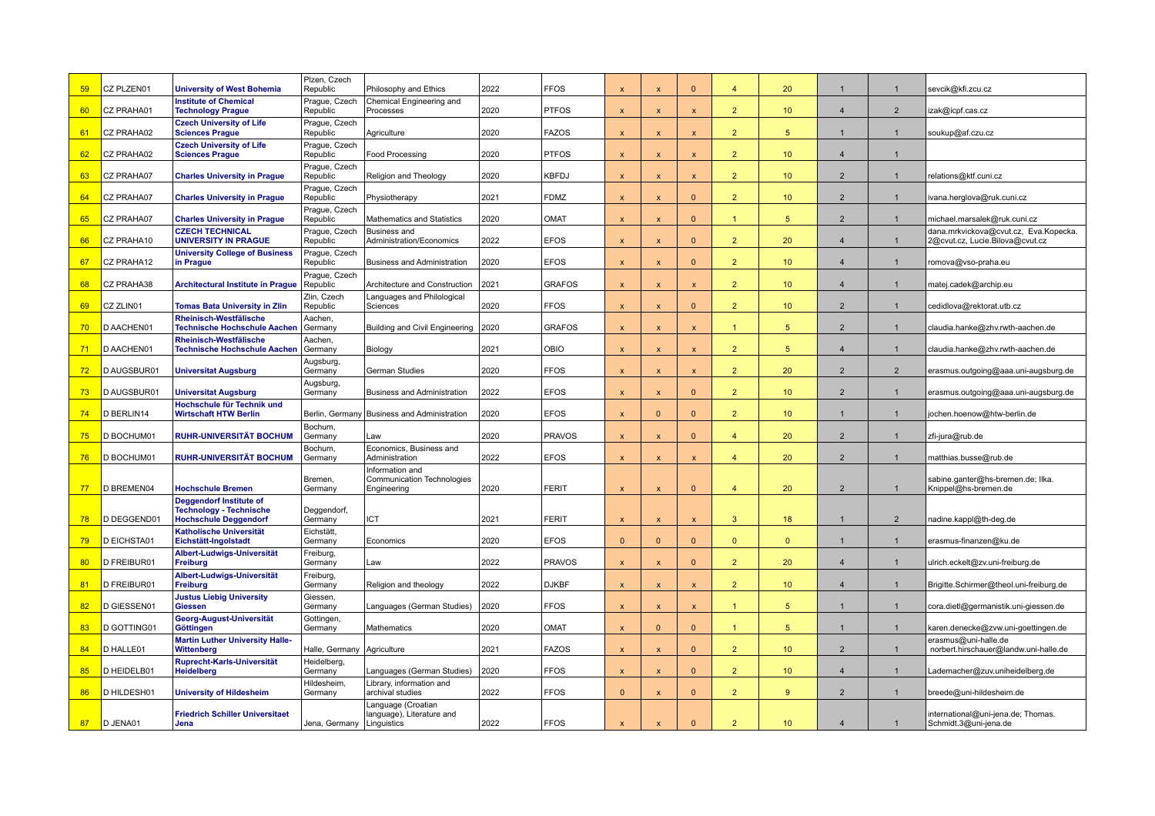| 59 | CZ PLZEN01         | <b>University of West Bohemia</b>                              | Plzen, Czech<br>Republic     | Philosophy and Ethics                           | 2022 | <b>FFOS</b>   | $\boldsymbol{\mathsf{x}}$ | $\boldsymbol{\mathsf{x}}$ | $\Omega$                  | $\overline{a}$ | 20              |                  |                | sevcik@kfi.zcu.cz                                                        |
|----|--------------------|----------------------------------------------------------------|------------------------------|-------------------------------------------------|------|---------------|---------------------------|---------------------------|---------------------------|----------------|-----------------|------------------|----------------|--------------------------------------------------------------------------|
| 60 | CZ PRAHA01         | <b>Institute of Chemical</b><br><b>Technology Prague</b>       | Prague, Czech<br>Republic    | Chemical Engineering and<br>Processes           | 2020 | <b>PTFOS</b>  | $\mathbf{x}$              | $\mathsf{x}$              | $\mathsf{x}$              | $\overline{2}$ | 10 <sup>°</sup> | $\overline{4}$   | $\overline{2}$ | izak@icpf.cas.cz                                                         |
| 61 | CZ PRAHA02         | <b>Czech University of Life</b><br><b>Sciences Prague</b>      | Prague, Czech<br>Republic    | Agriculture                                     | 2020 | <b>FAZOS</b>  | $\boldsymbol{\mathsf{x}}$ | X                         | $\mathbf{x}$              | $\overline{2}$ | 5               |                  | $\mathbf{1}$   | soukup@af.czu.cz                                                         |
| 62 | CZ PRAHA02         | <b>Czech University of Life</b><br><b>Sciences Prague</b>      | Prague, Czech<br>Republic    | Food Processing                                 | 2020 | <b>PTFOS</b>  | $\boldsymbol{\mathsf{x}}$ | $\mathsf{x}$              | $\mathsf{x}$              | 2 <sup>2</sup> | 10 <sup>°</sup> | $\overline{4}$   |                |                                                                          |
| 63 | CZ PRAHA07         | <b>Charles University in Prague</b>                            | Prague, Czech<br>Republic    | Religion and Theology                           | 2020 | <b>KBFDJ</b>  | $\mathbf{x}$              | X                         | $\boldsymbol{\mathsf{x}}$ | $\overline{2}$ | 10 <sup>°</sup> | $\overline{2}$   | $\mathbf{1}$   | relations@ktf.cuni.cz                                                    |
| 64 | CZ PRAHA07         | <b>Charles University in Prague</b>                            | Prague, Czech<br>Republic    | Physiotherapy                                   | 2021 | <b>FDMZ</b>   | $\mathsf{x}$              | X                         | $\mathbf{0}$              | $\overline{2}$ | 10 <sup>°</sup> | 2                | $\overline{1}$ | ivana.herglova@ruk.cuni.cz                                               |
| 65 | CZ PRAHA07         | <b>Charles University in Prague</b>                            | Prague, Czech<br>Republic    | Mathematics and Statistics                      | 2020 | OMAT          | $\mathbf{x}$              | $\boldsymbol{\mathsf{x}}$ | $\Omega$                  | 1              | 5               | $\overline{2}$   | $\overline{1}$ | michael.marsalek@ruk.cuni.cz                                             |
| 66 | CZ PRAHA10         | <b>CZECH TECHNICAL</b><br><b>UNIVERSITY IN PRAGUE</b>          | Prague, Czech<br>Republic    | <b>Business and</b><br>Administration/Economics | 2022 | <b>EFOS</b>   | $\mathbf{x}$              | $\mathbf{x}$              | $\Omega$                  | $\overline{2}$ | 20              | $\overline{4}$   | $\overline{1}$ | dana.mrkvickova@cvut.cz, Eva.Kopecka.<br>2@cvut.cz, Lucie.Bilova@cvut.cz |
| 67 | CZ PRAHA12         | <b>University College of Business</b><br>in Prague             | Prague, Czech<br>Republic    | <b>Business and Administration</b>              | 2020 | <b>EFOS</b>   | $\mathbf{x}$              | $\boldsymbol{\mathsf{x}}$ | $\mathbf{0}$              | 2 <sup>2</sup> | 10 <sup>°</sup> | $\overline{4}$   | $\mathbf{1}$   | romova@vso-praha.eu                                                      |
| 68 | CZ PRAHA38         | <b>Architectural Institute in Prague</b>                       | Prague, Czech<br>Republic    | Architecture and Construction                   | 2021 | <b>GRAFOS</b> | $\mathbf{x}$              | X                         | $\mathbf{x}$              | $\overline{2}$ | 10 <sup>°</sup> | $\overline{4}$   | $\mathbf{1}$   | matej.cadek@archip.eu                                                    |
| 69 | CZ ZLIN01          | <b>Tomas Bata University in Zlin</b>                           | Zlin, Czech<br>Republic      | Languages and Philological<br>Sciences          | 2020 | <b>FFOS</b>   | $\mathbf{x}$              | $\mathbf{x}$              | $\mathbf{0}$              | 2 <sup>7</sup> | 10 <sup>°</sup> | $\overline{2}$   | $\mathbf{1}$   | cedidlova@rektorat.utb.cz                                                |
| 70 | D AACHEN01         | Rheinisch-Westfälische<br><b>Technische Hochschule Aachen</b>  | Aachen,<br>Germany           | Building and Civil Engineering                  | 2020 | <b>GRAFOS</b> | $\boldsymbol{\mathsf{x}}$ | X                         | $\boldsymbol{\mathsf{x}}$ | $\mathbf{1}$   | $5\phantom{.0}$ | $\overline{2}$   | $\mathbf{1}$   | claudia.hanke@zhv.rwth-aachen.de                                         |
| 71 | D AACHEN01         | Rheinisch-Westfälische<br><b>Technische Hochschule Aachen</b>  | Aachen,<br>Germany           | Biology                                         | 2021 | OBIO          | $\boldsymbol{\mathsf{x}}$ | X                         | $\pmb{\mathsf{x}}$        | $\overline{2}$ | $\sqrt{5}$      | $\overline{4}$   | -1             | claudia.hanke@zhv.rwth-aachen.de                                         |
| 72 | D AUGSBUR01        | <b>Universitat Augsburg</b>                                    | Augsburg.<br>Germany         | German Studies                                  | 2020 | <b>FFOS</b>   | $\mathbf{x}$              | $\mathbf x$               | $\mathbf{x}$              | 2 <sup>2</sup> | 20              | $\overline{2}$   | $\overline{2}$ | erasmus.outgoing@aaa.uni-augsburg.de                                     |
| 73 | D AUGSBUR01        | <b>Universitat Augsburg</b>                                    | Augsburg.<br>Germany         | <b>Business and Administration</b>              | 2022 | <b>EFOS</b>   | $\mathbf{x}$              | $\mathbf{x}$              | $\Omega$                  | $\overline{2}$ | 10 <sup>°</sup> | $\overline{2}$   | $\mathbf{1}$   | erasmus.outgoing@aaa.uni-augsburg.de                                     |
| 74 | D BERLIN14         | Hochschule für Technik und<br><b>Wirtschaft HTW Berlin</b>     |                              | Berlin, Germany Business and Administration     | 2020 | <b>EFOS</b>   | $\boldsymbol{\mathsf{x}}$ | $\Omega$                  | $\Omega$                  | 2 <sup>2</sup> | 10 <sup>°</sup> |                  |                | jochen.hoenow@htw-berlin.de                                              |
| 75 | D BOCHUM01         | <b>RUHR-UNIVERSITÄT BOCHUM</b>                                 | Bochum,<br>Germany           | Law                                             | 2020 | <b>PRAVOS</b> | $\mathsf{x}$              | $\boldsymbol{\mathsf{x}}$ | $\mathbf{0}$              | $\overline{4}$ | 20              | $\overline{2}$   | $\overline{1}$ | zfi-jura@rub.de                                                          |
| 76 | D BOCHUM01         | <b>RUHR-UNIVERSITÄT BOCHUM</b>                                 | Bochum,<br>Germany           | Economics, Business and<br>Administration       | 2022 | <b>EFOS</b>   | $\boldsymbol{\mathsf{x}}$ | X                         |                           | $\overline{4}$ | 20              | 2                | $\mathbf{1}$   | matthias.busse@rub.de                                                    |
|    |                    |                                                                | Bremen,                      | Information and<br>Communication Technologies   |      |               |                           |                           |                           |                |                 |                  |                | sabine.ganter@hs-bremen.de; Ilka.                                        |
| 77 | <b>D BREMEN04</b>  | <b>Hochschule Bremen</b><br><b>Deggendorf Institute of</b>     | Germany                      | Engineering                                     | 2020 | <b>FERIT</b>  | $\boldsymbol{\mathsf{x}}$ | $\boldsymbol{\mathsf{x}}$ | $\mathbf{0}$              | $\overline{4}$ | 20              | 2                | $\mathbf{1}$   | Knippel@hs-bremen.de                                                     |
| 78 | D DEGGEND0         | <b>Technology - Technische</b><br><b>Hochschule Deggendorf</b> | Deggendorf,<br>Germany       | ICT                                             | 2021 | <b>FERIT</b>  | $\boldsymbol{\mathsf{x}}$ | $\boldsymbol{\mathsf{x}}$ | $\boldsymbol{\mathsf{x}}$ | 3 <sup>2</sup> | 18              |                  | $\overline{2}$ | nadine.kappl@th-deg.de                                                   |
| 79 | <b>D EICHSTA01</b> | <b>Katholische Universität</b><br>Eichstätt-Ingolstadt         | Eichstätt.<br>Germany        | Economics                                       | 2020 | <b>EFOS</b>   | $\Omega$                  | $\Omega$                  | $\Omega$                  | $\overline{0}$ | $\mathbf{0}$    |                  | $\mathbf{1}$   | erasmus-finanzen@ku.de                                                   |
| 80 | D FREIBUR01        | Albert-Ludwigs-Universität<br><b>Freiburg</b>                  | Freiburg,<br>Germany         | Law                                             | 2022 | <b>PRAVOS</b> | $\mathbf{x}$              | $\mathsf{x}$              | $\Omega$                  | 2 <sup>1</sup> | 20              | $\overline{4}$   | $\overline{1}$ | ulrich.eckelt@zv.uni-freiburg.de                                         |
| 81 | D FREIBUR01        | Albert-Ludwigs-Universität<br>Freiburg                         | Freiburg,<br>Germany         | Religion and theology                           | 2022 | <b>DJKBF</b>  | $\mathbf{x}$              | $\mathbf{x}$              | $\mathbf{x}$              | $\overline{2}$ | 10 <sup>°</sup> | $\overline{4}$   | $\overline{1}$ | Brigitte.Schirmer@theol.uni-freiburg.de                                  |
| 82 | D GIESSEN01        | <b>Justus Liebig University</b><br><b>Giessen</b>              | Giessen,<br>Germany          | Languages (German Studies)                      | 2020 | <b>FFOS</b>   | $\mathbf{x}$              | $\mathbf{x}$              | $\mathbf{x}$              | $\mathbf{1}$   | 5               | $\overline{1}$   | $\overline{1}$ | cora.dietl@germanistik.uni-giessen.de                                    |
| 83 | D GOTTING01        | Georg-August-Universität<br>Göttingen                          | Gottingen,<br>Germany        | Mathematics                                     | 2020 | OMAT          | $\boldsymbol{\mathsf{x}}$ | $\Omega$                  | $\mathbf{0}$              | $\mathbf{1}$   | 5               |                  | $\mathbf{1}$   | karen.denecke@zvw.uni-goettingen.de                                      |
| 84 | D HALLE01          | <b>Martin Luther University Halle-</b><br>Wittenberg           | Halle, Germany   Agriculture |                                                 | 2021 | <b>FAZOS</b>  | $\mathbf{x}$              | $\mathbf{x}$              | $\mathbf{0}$              | 2 <sup>7</sup> | 10 <sup>°</sup> | $\overline{2}$   | $\mathbf{1}$   | erasmus@uni-halle.de<br>norbert.hirschauer@landw.uni-halle.de            |
| 85 | D HEIDELB01        | Ruprecht-Karls-Universität<br><b>Heidelberg</b>                | Heidelberg,<br>Germany       | Languages (German Studies)                      | 2020 | <b>FFOS</b>   | $\boldsymbol{\mathsf{x}}$ | $\overline{\mathbf{x}}$   | $\Omega$                  | 2 <sup>2</sup> | 10 <sup>°</sup> | $\boldsymbol{4}$ | $\mathbf{1}$   | Lademacher@zuv.uniheidelberg.de                                          |
| 86 | D HILDESH01        | <b>University of Hildesheim</b>                                | Hildesheim,<br>Germany       | Library, information and<br>archival studies    | 2022 | <b>FFOS</b>   | $\Omega$                  | X                         | $\mathbf{0}$              | 2 <sup>2</sup> | 9               | $\overline{2}$   | $\mathbf{1}$   | breede@uni-hildesheim.de                                                 |
|    |                    | <b>Friedrich Schiller Universitaet</b>                         |                              | Language (Croatian<br>language), Literature and |      |               |                           |                           |                           |                |                 |                  |                | international@uni-jena.de; Thomas.                                       |
| 87 | D JENA01           | Jena                                                           | Jena, Germany   Linguistics  |                                                 | 2022 | <b>FFOS</b>   | $\mathsf{x}$              |                           | $\Omega$                  | $\overline{2}$ | 10 <sup>°</sup> | $\overline{4}$   | $\mathbf{1}$   | Schmidt.3@uni-jena.de                                                    |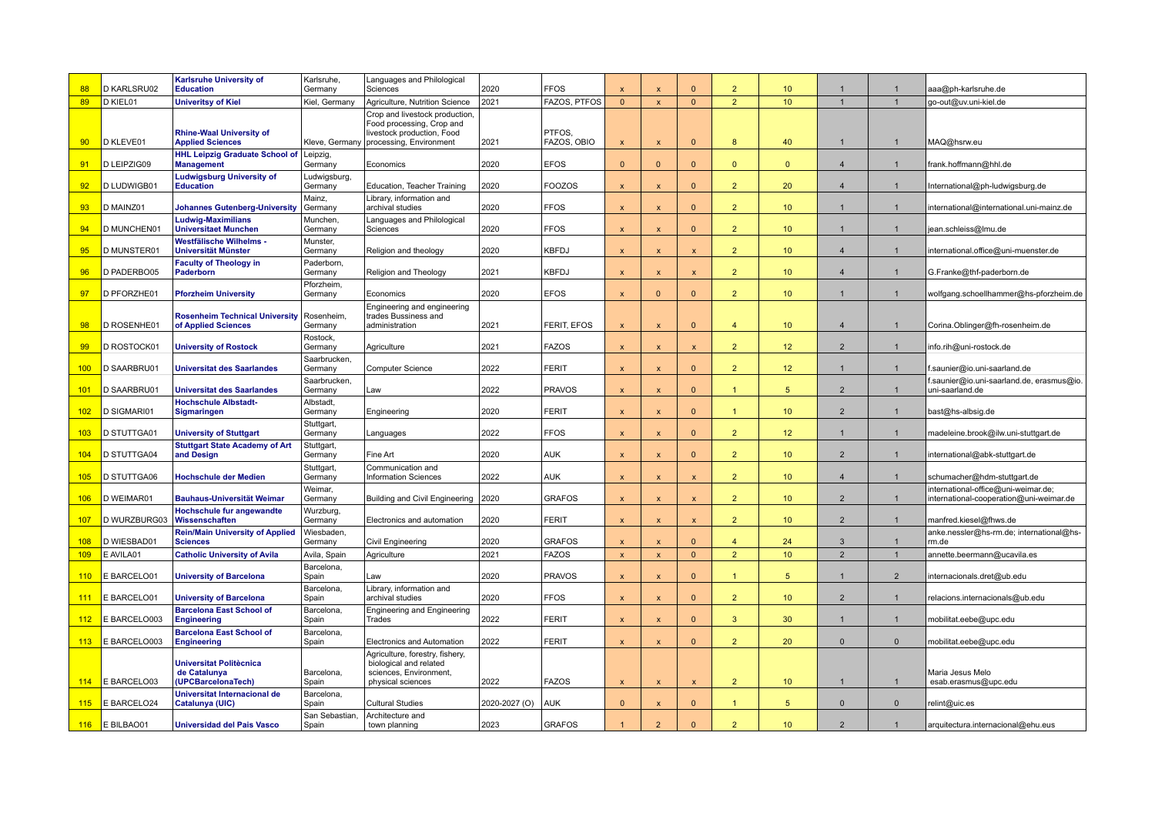| 88         | D KARLSRU02              | <b>Karlsruhe University of</b><br><b>Education</b>                   | Karlsruhe.<br>Germany   | Languages and Philological<br>Sciences                                                    | 2020          | <b>FFOS</b>                   |                              | $\boldsymbol{\mathsf{x}}$    | $\Omega$                   | $\overline{2}$                   | 10 <sup>10</sup>      |                     | $\mathbf{1}$                   | aaa@ph-karlsruhe.de                                                            |
|------------|--------------------------|----------------------------------------------------------------------|-------------------------|-------------------------------------------------------------------------------------------|---------------|-------------------------------|------------------------------|------------------------------|----------------------------|----------------------------------|-----------------------|---------------------|--------------------------------|--------------------------------------------------------------------------------|
| 89         | D KIEL01                 | <b>Univeritsy of Kiel</b>                                            | Kiel, Germany           | Agriculture, Nutrition Science                                                            | 2021          | FAZOS, PTFOS                  | $\Omega$                     | $\boldsymbol{\mathsf{x}}$    | $\mathbf{0}$               | 2 <sup>2</sup>                   | 10 <sup>°</sup>       | $\overline{1}$      | $\overline{1}$                 | go-out@uv.uni-kiel.de                                                          |
|            |                          | <b>Rhine-Waal University of</b>                                      |                         | Crop and livestock production,<br>Food processing, Crop and<br>livestock production, Food |               | PTFOS,                        |                              |                              |                            |                                  |                       |                     |                                |                                                                                |
| 90         | D KLEVE01                | <b>Applied Sciences</b><br><b>HHL Leipzig Graduate School of</b>     | Leipzig,                | Kleve, Germany   processing, Environment                                                  | 2021          | FAZOS, OBIO                   | X                            | $\boldsymbol{\mathsf{x}}$    | $\Omega$                   | 8                                | 40                    |                     |                                | MAQ@hsrw.eu                                                                    |
| 91         | D LEIPZIG09              | <b>Management</b><br><b>Ludwigsburg University of</b>                | Germany<br>Ludwigsburg, | Economics                                                                                 | 2020          | <b>EFOS</b>                   | $\Omega$                     | $\Omega$                     | $\mathbf{0}$               | $\overline{0}$                   | $\Omega$              | $\overline{4}$      | $\mathbf{1}$                   | frank.hoffmann@hhl.de                                                          |
| 92         | D LUDWIGB01              | <b>Education</b>                                                     | Germany                 | Education, Teacher Training                                                               | 2020          | <b>FOOZOS</b>                 | $\boldsymbol{\mathsf{x}}$    | $\boldsymbol{\mathsf{x}}$    | $\Omega$                   | $\overline{2}$                   | 20                    | $\overline{4}$      | $\mathbf{1}$                   | International@ph-ludwigsburg.de                                                |
| 93         | D MAINZ01                | <b>Johannes Gutenberg-University</b>                                 | Mainz,<br>Germany       | Library, information and<br>archival studies                                              | 2020          | <b>FFOS</b>                   | $\boldsymbol{\mathsf{x}}$    | $\mathbf{x}$                 | $\mathbf{0}$               | 2 <sup>2</sup>                   | 10 <sup>°</sup>       |                     |                                | international@international.uni-mainz.de                                       |
| 94         | D MUNCHEN01              | <b>Ludwig-Maximilians</b><br><b>Universitaet Munchen</b>             | Munchen,<br>Germany     | Languages and Philological<br>Sciences                                                    | 2020          | <b>FFOS</b>                   | $\mathsf{x}$                 | X                            | $\Omega$                   | 2 <sup>2</sup>                   | 10 <sup>°</sup>       |                     | $\overline{1}$                 | jean.schleiss@lmu.de                                                           |
| 95         | D MUNSTER01              | Westfälische Wilhelms -<br><b>Universität Münster</b>                | Munster,<br>Germany     | Religion and theology                                                                     | 2020          | <b>KBFDJ</b>                  | $\mathsf{x}$                 | $\boldsymbol{\mathsf{x}}$    | $\mathsf{x}$               | 2 <sup>2</sup>                   | 10 <sup>°</sup>       | $\overline{4}$      | $\overline{1}$                 | international.office@uni-muenster.de                                           |
| 96         | D PADERBO05              | <b>Faculty of Theology in</b><br>Paderborn                           | Paderborn,<br>Germany   | Religion and Theology                                                                     | 2021          | <b>KBFDJ</b>                  | $\mathsf{x}$                 | $\boldsymbol{\mathsf{x}}$    | $\pmb{\mathsf{x}}$         | 2 <sup>2</sup>                   | 10 <sup>°</sup>       | $\overline{4}$      | $\mathbf{1}$                   | G.Franke@thf-paderborn.de                                                      |
|            |                          |                                                                      | Pforzheim,              |                                                                                           |               |                               |                              | $\Omega$                     | $\Omega$                   |                                  |                       | $\overline{1}$      | $\overline{1}$                 |                                                                                |
| 97         | D PFORZHE01              | <b>Pforzheim University</b>                                          | Germany                 | Economics<br>Engineering and engineering                                                  | 2020          | <b>EFOS</b>                   | $\mathbf{x}$                 |                              |                            | $\overline{2}$                   | 10 <sup>°</sup>       |                     |                                | wolfgang.schoellhammer@hs-pforzheim.de                                         |
| 98         | D ROSENHE01              | <b>Rosenheim Technical University</b><br>of Applied Sciences         | Rosenheim,<br>Germany   | trades Bussiness and<br>administration                                                    | 2021          | FERIT, EFOS                   | $\mathbf{x}$                 | $\boldsymbol{\mathsf{x}}$    | $\Omega$                   | $\overline{4}$                   | 10 <sup>°</sup>       | $\overline{4}$      | $\mathbf{1}$                   | Corina.Oblinger@fh-rosenheim.de                                                |
| 99         | D ROSTOCK01              | <b>University of Rostock</b>                                         | Rostock,<br>Germany     | Agriculture                                                                               | 2021          | <b>FAZOS</b>                  | $\boldsymbol{\mathsf{x}}$    | $\mathbf{x}$                 | $\mathsf{x}$               | 2 <sup>2</sup>                   | 12 <sup>2</sup>       | $\overline{2}$      | $\mathbf{1}$                   | info.rih@uni-rostock.de                                                        |
| 100        | D SAARBRU01              | <b>Universitat des Saarlandes</b>                                    | Saarbrucken<br>Germany  | Computer Science                                                                          | 2022          | <b>FERIT</b>                  | $\boldsymbol{\mathsf{x}}$    | $\mathbf{x}$                 | $\mathbf{0}$               | $\overline{2}$                   | 12 <sub>2</sub>       | -1                  | $\mathbf{1}$                   | f.saunier@io.uni-saarland.de                                                   |
| 101        | D SAARBRU01              | <b>Universitat des Saarlandes</b>                                    | Saarbrucken<br>Germany  | Law                                                                                       | 2022          | <b>PRAVOS</b>                 | $\boldsymbol{\mathsf{x}}$    | $\boldsymbol{\mathsf{x}}$    | $\Omega$                   | 1                                | $5\overline{5}$       | $\overline{2}$      | $\mathbf{1}$                   | saunier@io.uni-saarland.de, erasmus@io.<br>uni-saarland.de                     |
| 102        | D SIGMARI01              | <b>Hochschule Albstadt-</b><br><b>Sigmaringen</b>                    | Albstadt,<br>Germany    | Engineering                                                                               | 2020          | <b>FERIT</b>                  | $\boldsymbol{\mathsf{x}}$    | X                            | $\mathbf{0}$               | $\mathbf{1}$                     | 10 <sup>°</sup>       | 2                   | -1                             | bast@hs-albsig.de                                                              |
| 103        | <b>D STUTTGA01</b>       | <b>University of Stuttgart</b>                                       | Stuttgart,<br>Germany   | Languages                                                                                 | 2022          | <b>FFOS</b>                   | $\boldsymbol{\mathsf{x}}$    | X                            | $\Omega$                   | 2 <sup>2</sup>                   | 12 <sup>2</sup>       |                     | $\mathbf{1}$                   | madeleine.brook@ilw.uni-stuttgart.de                                           |
| 104        | D STUTTGA04              | <b>Stuttgart State Academy of Art</b><br>and Design                  | Stuttgart,<br>Germany   | Fine Art                                                                                  | 2020          | <b>AUK</b>                    | $\mathsf{x}$                 | $\boldsymbol{\mathsf{x}}$    | $\Omega$                   | 2 <sup>2</sup>                   | 10 <sup>°</sup>       | $\overline{2}$      | $\mathbf{1}$                   | international@abk-stuttgart.de                                                 |
| 105        | D STUTTGA06              | <b>Hochschule der Medien</b>                                         | Stuttgart,<br>Germany   | Communication and<br><b>Information Sciences</b>                                          | 2022          | <b>AUK</b>                    | X                            | $\mathbf{x}$                 | $\mathsf{x}$               | 2 <sup>2</sup>                   | 10 <sup>1</sup>       | $\overline{4}$      |                                | schumacher@hdm-stuttgart.de                                                    |
| 106        | D WEIMAR01               | <b>Bauhaus-Universität Weimar</b>                                    | Weimar,<br>Germany      | Building and Civil Engineering                                                            | 2020          | <b>GRAFOS</b>                 | $\boldsymbol{\mathsf{x}}$    | X                            | $\mathsf{x}$               | 2 <sup>2</sup>                   | 10 <sup>°</sup>       | 2                   | $\overline{1}$                 | international-office@uni-weimar.de;<br>international-cooperation@uni-weimar.de |
| 107        | D WURZBURG03             | Hochschule fur angewandte<br>Wissenschaften                          | Wurzburg,<br>Germany    | Electronics and automation                                                                | 2020          | <b>FERIT</b>                  | $\mathsf{x}$                 | X                            | $\mathsf{x}$               | 2 <sup>2</sup>                   | 10 <sup>°</sup>       | 2                   | $\overline{1}$                 | manfred.kiesel@fhws.de                                                         |
|            |                          | <b>Rein/Main University of Applied</b>                               | Wiesbaden,              |                                                                                           |               |                               |                              |                              |                            |                                  |                       |                     |                                | anke.nessler@hs-rm.de; international@hs-                                       |
| 108<br>109 | D WIESBAD01<br>E AVILA01 | <b>Sciences</b><br><b>Catholic University of Avila</b>               | Germany<br>Avila, Spain | Civil Engineering<br>Agriculture                                                          | 2020<br>2021  | <b>GRAFOS</b><br><b>FAZOS</b> | $\mathbf{x}$<br>$\mathsf{x}$ | $\mathbf{x}$<br>$\mathbf{x}$ | $\Omega$<br>$\overline{0}$ | $\overline{4}$<br>$\overline{2}$ | 24<br>10 <sup>°</sup> | 3<br>$\overline{2}$ | $\overline{1}$<br>$\mathbf{1}$ | rm.de<br>annette.beermann@ucavila.es                                           |
| 110        | E BARCELO01              | <b>University of Barcelona</b>                                       | Barcelona,<br>Spain     | Law                                                                                       | 2020          | <b>PRAVOS</b>                 | $\mathbf{x}$                 | $\boldsymbol{\mathsf{x}}$    | $\Omega$                   | $\mathbf{1}$                     | $5\overline{5}$       |                     | $\overline{2}$                 | internacionals.dret@ub.edu                                                     |
| 111        | E BARCELO01              | <b>University of Barcelona</b>                                       | Barcelona,<br>Spain     | Library, information and<br>archival studies                                              | 2020          | <b>FFOS</b>                   | $\boldsymbol{\mathsf{x}}$    | $\mathsf{x}$                 | $\mathbf{0}$               | 2 <sup>2</sup>                   | 10 <sup>°</sup>       | $\overline{2}$      | $\overline{1}$                 | relacions.internacionals@ub.edu                                                |
| 112        | E BARCELO003             | <b>Barcelona East School of</b><br><b>Engineering</b>                | Barcelona,<br>Spain     | Engineering and Engineering<br>Trades                                                     | 2022          | <b>FERIT</b>                  | $\boldsymbol{\mathsf{x}}$    | X                            | $\mathbf{0}$               | 3                                | 30                    |                     | $\mathbf{1}$                   | mobilitat.eebe@upc.edu                                                         |
| 113        | E BARCELO003             | <b>Barcelona East School of</b><br><b>Engineering</b>                | Barcelona,<br>Spain     | Electronics and Automation                                                                | 2022          | <b>FERIT</b>                  | $\boldsymbol{\mathsf{x}}$    | X                            | $\mathbf{0}$               | 2 <sup>2</sup>                   | 20                    | $\Omega$            | $\mathbf{0}$                   | mobilitat.eebe@upc.edu                                                         |
|            |                          |                                                                      |                         | Agriculture, forestry, fishery,                                                           |               |                               |                              |                              |                            |                                  |                       |                     |                                |                                                                                |
| 114        | E BARCELO03              | <b>Universitat Politècnica</b><br>de Catalunya<br>(UPCBarcelonaTech) | Barcelona,<br>Spain     | biological and related<br>sciences, Environment,<br>physical sciences                     | 2022          | <b>FAZOS</b>                  | $\boldsymbol{\mathsf{x}}$    | X                            | $\mathsf{x}$               | 2 <sup>2</sup>                   | 10 <sup>°</sup>       | -1                  | $\mathbf{1}$                   | Maria Jesus Melo<br>esab.erasmus@upc.edu                                       |
| 115        | E BARCELO24              | Universitat Internacional de<br>Catalunya (UIC)                      | Barcelona,<br>Spain     | <b>Cultural Studies</b>                                                                   | 2020-2027 (O) | <b>AUK</b>                    | $\mathbf{0}$                 | X                            | $\mathbf{0}$               | $\mathbf{1}$                     | $5\phantom{.0}$       | $\Omega$            | $\mathbf 0$                    | relint@uic.es                                                                  |
|            | $116$ E BILBAO01         | <b>Universidad del Pais Vasco</b>                                    | San Sebastian.<br>Spain | Architecture and<br>town planning                                                         | 2023          | <b>GRAFOS</b>                 |                              | $\overline{2}$               | $\Omega$                   | $\overline{2}$                   | 10 <sup>°</sup>       | $\overline{2}$      | -1                             | arquitectura.internacional@ehu.eus                                             |
|            |                          |                                                                      |                         |                                                                                           |               |                               |                              |                              |                            |                                  |                       |                     |                                |                                                                                |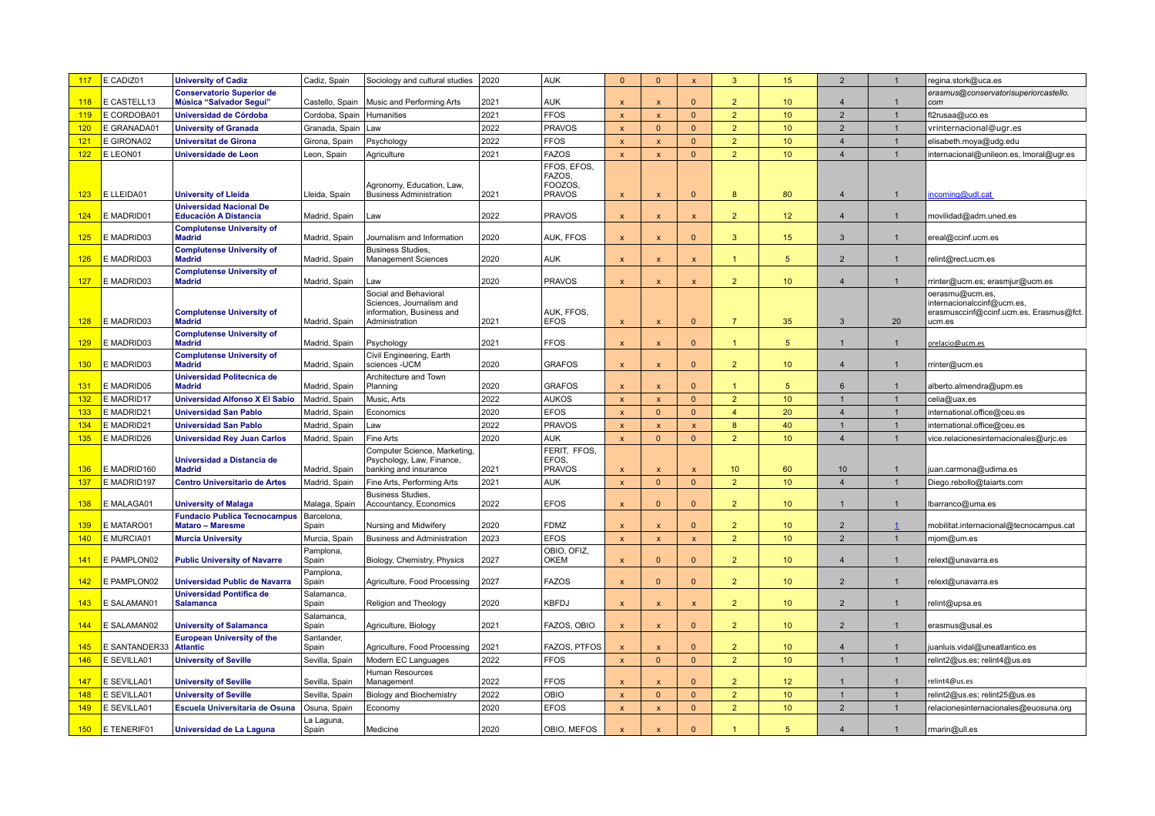| 117        | E CADIZ01                | <b>University of Cadiz</b>                                     | Cadiz, Spain                   | Sociology and cultural studies                                          | 2020 | <b>AUK</b>                    | $\Omega$                                               | $\mathbf{0}$                                           | $\mathbf{x}$                   | $\overline{3}$  | 15               | $\overline{2}$ |                | egina.stork@uca.es                                                              |
|------------|--------------------------|----------------------------------------------------------------|--------------------------------|-------------------------------------------------------------------------|------|-------------------------------|--------------------------------------------------------|--------------------------------------------------------|--------------------------------|-----------------|------------------|----------------|----------------|---------------------------------------------------------------------------------|
| 118        | E CASTELL13              | <b>Conservatorio Superior de</b><br>Música "Salvador Seguí"    | Castello, Spain                | Music and Performing Arts                                               | 2021 | <b>AUK</b>                    | $\mathbf{x}$                                           | $\mathbf{x}$                                           | $\Omega$                       | $\overline{2}$  | 10 <sup>°</sup>  | $\overline{4}$ |                | erasmus@conservatorisuperiorcastello.<br>com                                    |
| 119        | E CORDOBA01              | Universidad de Córdoba                                         | Cordoba, Spain                 | Humanities                                                              | 2021 | <b>FFOS</b>                   | $\boldsymbol{\mathsf{x}}$                              | $\boldsymbol{\mathsf{x}}$                              | $\mathbf{0}$                   | 2 <sup>2</sup>  | 10 <sup>°</sup>  | $\overline{2}$ | $\overline{1}$ | fl2rusaa@uco.es                                                                 |
| 120        | E GRANADA01              | <b>University of Granada</b>                                   | Granada, Spain                 | Law                                                                     | 2022 | <b>PRAVOS</b>                 | $\overline{\mathbf{x}}$                                | $\mathbf{0}$                                           | $\mathbf{0}$                   | $\overline{2}$  | 10 <sup>°</sup>  | $\overline{2}$ | $\mathbf{1}$   | vrinternacional@ugr.es                                                          |
| 121        | E GIRONA02               | <b>Universitat de Girona</b>                                   | Girona, Spain                  | Psychology                                                              | 2022 | <b>FFOS</b>                   | $\pmb{\chi}$                                           | $\mathbf{x}$                                           | $\mathbf{0}$                   | $\overline{2}$  | 10 <sup>10</sup> | $\overline{4}$ | $\overline{1}$ | elisabeth.moya@udg.edu                                                          |
| 122        | E LEON01                 | Universidade de Leon                                           | Leon, Spain                    | Agriculture                                                             | 2021 | <b>FAZOS</b>                  | $\mathbf{x}$                                           | $\mathbf{x}$                                           | $\mathbf{0}$                   | $\mathcal{P}$   | 10 <sup>°</sup>  | $\overline{4}$ | $\mathbf{1}$   | internacional@unileon.es, Imoral@ugr.es                                         |
|            |                          |                                                                |                                |                                                                         |      | FFOS, EFOS.                   |                                                        |                                                        |                                |                 |                  |                |                |                                                                                 |
|            |                          |                                                                |                                | Agronomy, Education, Law,                                               |      | FAZOS,<br>FOOZOS.             |                                                        |                                                        |                                |                 |                  |                |                |                                                                                 |
| 123        | E LLEIDA01               | <b>University of Lleida</b>                                    | Lleida, Spain                  | <b>Business Administration</b>                                          | 2021 | <b>PRAVOS</b>                 | $\boldsymbol{\mathsf{x}}$                              | $\boldsymbol{\mathsf{x}}$                              | $\mathbf{0}$                   | 8               | 80               | $\overline{4}$ | $\mathbf{1}$   | ncoming@udl.cat                                                                 |
| 124        | E MADRID01               | <b>Universidad Nacional De</b><br><b>Educación A Distancia</b> | Madrid, Spain                  | Law                                                                     | 2022 | <b>PRAVOS</b>                 | $\boldsymbol{\mathsf{x}}$                              | $\mathbf{x}$                                           | $\mathbf{x}$                   | $\overline{2}$  | 12 <sup>2</sup>  | $\overline{4}$ | $\mathbf{1}$   | movilidad@adm.uned.es                                                           |
| 125        | E MADRID03               | <b>Complutense University of</b><br><b>Madrid</b>              | Madrid, Spain                  | Journalism and Information                                              | 2020 | AUK, FFOS                     | $\boldsymbol{\mathsf{x}}$                              | $\boldsymbol{\mathsf{x}}$                              | $\mathbf{0}$                   | $\overline{3}$  | 15 <sup>15</sup> | $\mathbf{3}$   | $\mathbf{1}$   | ereal@ccinf.ucm.es                                                              |
| 126        | E MADRID03               | <b>Complutense University of</b><br><b>Madrid</b>              | Madrid, Spain                  | <b>Business Studies,</b><br><b>Management Sciences</b>                  | 2020 | <b>AUK</b>                    | $\boldsymbol{\mathsf{x}}$                              | $\boldsymbol{\mathsf{x}}$                              | $\mathsf{x}$                   | $\mathbf{1}$    | 5                | $\overline{2}$ | -1             | relint@rect.ucm.es                                                              |
| 127        | E MADRID03               | <b>Complutense University of</b><br><b>Madrid</b>              | Madrid, Spain                  | Law                                                                     | 2020 | <b>PRAVOS</b>                 | $\boldsymbol{\mathsf{x}}$                              | $\boldsymbol{\mathsf{x}}$                              | $\pmb{\times}$                 | $\overline{2}$  | 10 <sup>°</sup>  | $\overline{4}$ | $\mathbf{1}$   | rrinter@ucm.es; erasmjur@ucm.es                                                 |
|            |                          |                                                                |                                | Social and Behavioral                                                   |      |                               |                                                        |                                                        |                                |                 |                  |                |                | oerasmu@ucm.es,                                                                 |
| 128        | E MADRID03               | <b>Complutense University of</b><br><b>Madrid</b>              | Madrid, Spain                  | Sciences, Journalism and<br>information, Business and<br>Administration | 2021 | AUK, FFOS,<br><b>EFOS</b>     | $\boldsymbol{\mathsf{x}}$                              | $\boldsymbol{\mathsf{x}}$                              | $\Omega$                       | $\overline{7}$  | 35               | 3              | 20             | internacionalccinf@ucm.es,<br>erasmusccinf@ccinf.ucm.es, Erasmus@fct.<br>ucm.es |
| 129        | E MADRID03               | <b>Complutense University of</b><br><b>Madrid</b>              | Madrid, Spain                  | Psychology                                                              | 2021 | <b>FFOS</b>                   | $\boldsymbol{\mathsf{x}}$                              | $\boldsymbol{\mathsf{x}}$                              | $\mathbf{0}$                   | $\mathbf{1}$    | 5 <sup>5</sup>   |                | $\mathbf{1}$   | orelacio@ucm.es                                                                 |
| 130        | E MADRID03               | <b>Complutense University of</b><br><b>Madrid</b>              | Madrid, Spain                  | Civil Engineering, Earth<br>sciences -UCM                               | 2020 | <b>GRAFOS</b>                 | $\boldsymbol{\mathsf{x}}$                              | $\boldsymbol{\mathsf{x}}$                              | $\Omega$                       | $\overline{2}$  | 10 <sup>°</sup>  | $\overline{4}$ | -1             | rrinter@ucm.es                                                                  |
|            | E MADRID05               | <b>Universidad Politecnica de</b><br><b>Madrid</b>             |                                | Architecture and Town                                                   | 2020 |                               |                                                        |                                                        | $\Omega$                       | 1               | $\overline{5}$   | 6              | $\mathbf{1}$   |                                                                                 |
| 131<br>132 | E MADRID17               | <b>Universidad Alfonso X El Sabio</b>                          | Madrid, Spain<br>Madrid, Spain | Planning<br>Music, Arts                                                 | 2022 | <b>GRAFOS</b><br><b>AUKOS</b> | $\boldsymbol{\mathsf{x}}$<br>$\boldsymbol{\mathsf{x}}$ | $\boldsymbol{\mathsf{x}}$<br>$\boldsymbol{\mathsf{x}}$ | $\mathbf{0}$                   | $\overline{2}$  | 10 <sup>°</sup>  | $\overline{1}$ | $\overline{1}$ | alberto.almendra@upm.es<br>celia@uax.es                                         |
|            | E MADRID21               |                                                                |                                |                                                                         | 2020 | <b>EFOS</b>                   |                                                        | $\mathbf{0}$                                           | $\mathbf{0}$                   | $\overline{4}$  | 20               | $\overline{4}$ | $\overline{1}$ |                                                                                 |
| 133        |                          | <b>Universidad San Pablo</b>                                   | Madrid, Spain                  | Economics                                                               | 2022 | <b>PRAVOS</b>                 | $\boldsymbol{\mathsf{x}}$                              | $\mathbf{x}$                                           |                                | 8               | 40               | $\overline{1}$ | $\mathbf{1}$   | international.office@ceu.es                                                     |
| 134<br>135 | E MADRID21<br>E MADRID26 | <b>Universidad San Pablo</b>                                   | Madrid, Spain                  | Law<br>Fine Arts                                                        | 2020 | <b>AUK</b>                    | $\boldsymbol{\mathsf{x}}$<br>$\mathbf{x}$              | $\Omega$                                               | $\pmb{\times}$<br>$\mathbf{0}$ | $\overline{2}$  | 10 <sup>10</sup> | $\overline{4}$ | $\mathbf{1}$   | international.office@ceu.es                                                     |
|            |                          | <b>Universidad Rey Juan Carlos</b>                             | Madrid, Spain                  | Computer Science, Marketing,                                            |      | FERIT. FFOS.                  |                                                        |                                                        |                                |                 |                  |                |                | vice.relacionesinternacionales@urjc.es                                          |
| 136        | E MADRID160              | Universidad a Distancia de<br><b>Madrid</b>                    | Madrid, Spain                  | Psychology, Law, Finance,<br>banking and insurance                      | 2021 | EFOS,<br><b>PRAVOS</b>        | $\boldsymbol{\mathsf{x}}$                              | $\boldsymbol{\mathsf{x}}$                              | $\mathbf{x}$                   | 10 <sup>°</sup> | 60               | 10             | $\mathbf{1}$   | juan.carmona@udima.es                                                           |
| 137        | E MADRID197              | <b>Centro Universitario de Artes</b>                           | Madrid, Spain                  | Fine Arts, Performing Arts                                              | 2021 | <b>AUK</b>                    | $\mathbf{x}$                                           | $\mathbf{0}$                                           | $\mathbf{0}$                   | $\overline{2}$  | 10 <sup>°</sup>  | $\overline{4}$ | $\mathbf{1}$   | Diego.rebollo@taiarts.com                                                       |
| 138        | E MALAGA01               | <b>University of Malaga</b>                                    | Malaga, Spain                  | <b>Business Studies,</b><br>Accountancy, Economics                      | 2022 | <b>EFOS</b>                   | $\boldsymbol{\mathsf{x}}$                              | $\Omega$                                               | $\Omega$                       | $\overline{2}$  | 10 <sup>°</sup>  | $\mathbf{1}$   | $\mathbf{1}$   | lbarranco@uma.es                                                                |
|            |                          | <b>Fundacio Publica Tecnocampus</b>                            | Barcelona,                     |                                                                         |      |                               |                                                        |                                                        |                                |                 |                  |                |                |                                                                                 |
| 139        | E MATARO01               | <b>Mataro - Maresme</b>                                        | Spain                          | Nursing and Midwifery                                                   | 2020 | <b>FDMZ</b>                   | $\boldsymbol{\mathsf{x}}$                              | $\boldsymbol{\mathsf{x}}$                              | $\Omega$                       | $\overline{2}$  | 10 <sup>°</sup>  | $\overline{2}$ | -1             | mobilitat.internacional@tecnocampus.cat                                         |
| 140        | E MURCIA01               | <b>Murcia University</b>                                       | Murcia, Spain                  | <b>Business and Administration</b>                                      | 2023 | <b>EFOS</b>                   | $\boldsymbol{\mathsf{x}}$                              | $\boldsymbol{\mathsf{x}}$                              | $\pmb{\times}$                 | $\overline{2}$  | 10 <sup>°</sup>  | $\overline{2}$ | $\mathbf{1}$   | mjom@um.es                                                                      |
| 141        | E PAMPLON02              | <b>Public University of Navarre</b>                            | Pamplona,<br>Spain             | Biology, Chemistry, Physics                                             | 2027 | OBIO, OFIZ,<br><b>OKEM</b>    | $\boldsymbol{\mathsf{x}}$                              | $\Omega$                                               | $\Omega$                       | $\overline{2}$  | 10 <sup>°</sup>  | $\overline{4}$ | $\mathbf{1}$   | relext@unavarra.es                                                              |
| 142        | E PAMPLON02              | <b>Universidad Public de Navarra</b>                           | Pamplona,<br>Spain             | Agriculture, Food Processing                                            | 2027 | <b>FAZOS</b>                  | $\boldsymbol{\mathsf{x}}$                              | $\Omega$                                               | $\Omega$                       | $\overline{2}$  | 10 <sup>°</sup>  | $\overline{2}$ |                | relext@unavarra.es                                                              |
| 143        | E SALAMAN01              | <b>Universidad Pontifica de</b><br><b>Salamanca</b>            | Salamanca,<br>Spain            | Religion and Theology                                                   | 2020 | <b>KBFDJ</b>                  | $\boldsymbol{\mathsf{x}}$                              | $\mathbf{x}$                                           | $\mathbf{x}$                   | $\overline{2}$  | 10 <sup>°</sup>  | $\overline{2}$ |                | relint@upsa.es                                                                  |
| 144        | E SALAMAN02              | <b>University of Salamanca</b>                                 | Salamanca,<br>Spain            | Agriculture, Biology                                                    | 2021 | FAZOS, OBIO                   | $\overline{\mathbf{x}}$                                | $\mathbf{x}$                                           | $\Omega$                       | $\overline{2}$  | 10 <sup>°</sup>  | $\overline{2}$ | $\mathbf{1}$   | erasmus@usal.es                                                                 |
| 145        | E SANTANDER3             | <b>European University of the</b><br><b>Atlantic</b>           | Santander,<br>Spain            | Agriculture, Food Processing                                            | 2021 | FAZOS, PTFOS                  | $\boldsymbol{\mathsf{x}}$                              | $\mathbf{x}$                                           | $\Omega$                       | $\overline{2}$  | 10 <sup>°</sup>  | $\overline{4}$ | $\mathbf{1}$   | juanluis.vidal@uneatlantico.es                                                  |
| 146        | E SEVILLA01              | <b>University of Seville</b>                                   | Sevilla, Spain                 | Modern EC Languages                                                     | 2022 | <b>FFOS</b>                   | $\mathbf{x}$                                           | $\mathbf{0}$                                           | $\mathbf{0}$                   | $\overline{2}$  | 10 <sup>°</sup>  | $\overline{1}$ | $\mathbf{1}$   | relint2@us.es; relint4@us.es                                                    |
|            |                          |                                                                |                                | Human Resources                                                         |      |                               |                                                        |                                                        |                                |                 |                  |                |                |                                                                                 |
| 147        | E SEVILLA01              | <b>University of Seville</b>                                   | Sevilla, Spain                 | Management                                                              | 2022 | <b>FFOS</b>                   | $\boldsymbol{\mathsf{x}}$                              | $\boldsymbol{\mathsf{x}}$                              | $\Omega$                       | $\overline{2}$  | 12 <sup>°</sup>  | $\mathbf{1}$   | $\overline{1}$ | relint4@us.es                                                                   |
| 148        | E SEVILLA01              | <b>University of Seville</b>                                   | Sevilla, Spain                 | <b>Biology and Biochemistry</b>                                         | 2022 | OBIO                          | $\boldsymbol{\mathsf{x}}$                              | $\mathbf{0}$                                           | $\mathbf{0}$                   | $\overline{2}$  | 10 <sup>°</sup>  | $\mathbf{1}$   | $\mathbf{1}$   | relint2@us.es; relint25@us.es                                                   |
| 149        | E SEVILLA01              | Escuela Universitaria de Osuna                                 | Osuna, Spain                   | Economy                                                                 | 2020 | <b>EFOS</b>                   | $\boldsymbol{\mathsf{x}}$                              | $\boldsymbol{\mathsf{x}}$                              | $\mathbf{0}$                   | 2 <sup>2</sup>  | 10 <sup>°</sup>  | $\overline{2}$ | $\mathbf{1}$   | relacionesinternacionales@euosuna.org                                           |
|            |                          |                                                                | La Laguna,                     |                                                                         |      |                               |                                                        |                                                        |                                |                 |                  |                |                |                                                                                 |
|            | 150 E TENERIF01          | Universidad de La Laguna                                       | Spain                          | Medicine                                                                | 2020 | OBIO, MEFOS                   | $\boldsymbol{\mathsf{x}}$                              | $\mathsf{x}$                                           | $\mathbf{0}$                   |                 | 5 <sup>5</sup>   | $\overline{4}$ | $\mathbf{1}$   | rmarin@ull.es                                                                   |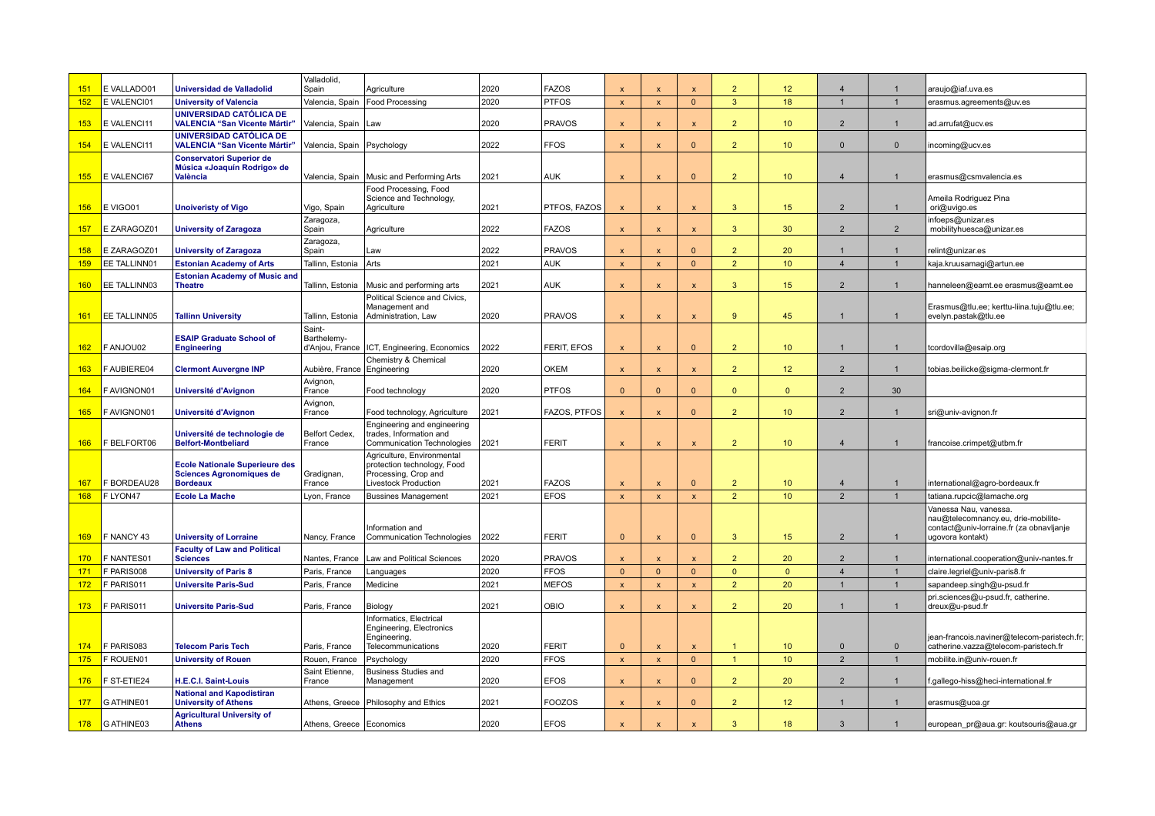| 151        | E VALLADO01   | <b>Universidad de Valladolid</b>                                                            | Valladolid,<br>Spain                     | Agriculture                                                                                               | 2020 | <b>FAZOS</b>       | $\mathbf x$               | $\boldsymbol{\mathsf{x}}$ | $\mathbf{x}$            | $\overline{2}$ | 12 <sup>2</sup>  | $\overline{4}$ | $\mathbf{1}$   | araujo@iaf.uva.es                                                                                                           |
|------------|---------------|---------------------------------------------------------------------------------------------|------------------------------------------|-----------------------------------------------------------------------------------------------------------|------|--------------------|---------------------------|---------------------------|-------------------------|----------------|------------------|----------------|----------------|-----------------------------------------------------------------------------------------------------------------------------|
| 152        | E VALENCI01   | <b>University of Valencia</b>                                                               | Valencia, Spain                          | Food Processing                                                                                           | 2020 | <b>PTFOS</b>       | $\boldsymbol{\mathsf{x}}$ | $\boldsymbol{\mathsf{x}}$ | $\mathbf{0}$            | 3 <sup>2</sup> | 18               |                | $\overline{1}$ | erasmus.agreements@uv.es                                                                                                    |
| 153        | E VALENCI11   | UNIVERSIDAD CATÓLICA DE<br><b>VALENCIA "San Vicente Mártir"</b>                             | Valencia, Spain   Law                    |                                                                                                           | 2020 | <b>PRAVOS</b>      | $\mathsf{x}$              | $\boldsymbol{\mathsf{x}}$ | $\mathsf{x}$            | 2 <sup>2</sup> | 10 <sup>°</sup>  | $\overline{2}$ |                | ad.arrufat@ucv.es                                                                                                           |
| 154        | E VALENCI11   | UNIVERSIDAD CATÓLICA DE<br><b>VALENCIA "San Vicente Mártir"</b>                             | Valencia, Spain   Psychology             |                                                                                                           | 2022 | <b>FFOS</b>        | $\mathbf{x}$              | $\boldsymbol{\mathsf{x}}$ | $\Omega$                | $\overline{2}$ | 10 <sup>°</sup>  | $\Omega$       | $\Omega$       | incoming@ucv.es                                                                                                             |
|            |               | <b>Conservatori Superior de</b><br>Música «Joaquín Rodrigo» de                              |                                          |                                                                                                           |      |                    |                           |                           |                         |                |                  |                |                |                                                                                                                             |
| 155        | E VALENCI67   | València                                                                                    |                                          | Valencia, Spain   Music and Performing Arts                                                               | 2021 | <b>AUK</b>         | $\boldsymbol{\mathsf{x}}$ | $\boldsymbol{\mathsf{x}}$ | $\Omega$                | $\overline{2}$ | 10 <sup>°</sup>  | $\overline{4}$ |                | erasmus@csmvalencia.es                                                                                                      |
| 156        | E VIGO01      | <b>Unoiveristy of Vigo</b>                                                                  | Vigo, Spain                              | Food Processing, Food<br>Science and Technology,<br>Agriculture                                           | 2021 | PTFOS, FAZOS       |                           | $\boldsymbol{\mathsf{x}}$ | $\mathbf{x}$            | 3              | 15               | $\overline{2}$ |                | Ameila Rodriguez Pina<br>ori@uvigo.es                                                                                       |
| 157        | E ZARAGOZ01   | <b>University of Zaragoza</b>                                                               | Zaragoza,<br>Spain                       | Agriculture                                                                                               | 2022 | <b>FAZOS</b>       | $\mathsf{x}$              | $\mathsf{x}$              | $\mathsf{x}$            | 3 <sup>2</sup> | 30               | $\overline{2}$ | $\overline{2}$ | infoeps@unizar.es<br>mobilityhuesca@unizar.es                                                                               |
| 158        | E ZARAGOZ01   | <b>University of Zaragoza</b>                                                               | Zaragoza,<br>Spain                       | Law                                                                                                       | 2022 | <b>PRAVOS</b>      | $\mathbf{x}$              | $\boldsymbol{\mathsf{x}}$ | $\Omega$                | $\overline{2}$ | 20               | $\overline{1}$ | $\overline{1}$ | relint@unizar.es                                                                                                            |
| 159        | EE TALLINN01  | <b>Estonian Academy of Arts</b>                                                             | Tallinn, Estonia                         | Arts                                                                                                      | 2021 | <b>AUK</b>         | $\mathbf{x}$              | $\boldsymbol{\mathsf{x}}$ | $\mathbf{0}$            | 2 <sup>2</sup> | 10 <sup>°</sup>  | $\overline{4}$ | $\overline{1}$ | kaja.kruusamagi@artun.ee                                                                                                    |
| 160        | EE TALLINN03  | <b>Estonian Academy of Music and</b><br><b>Theatre</b>                                      | Tallinn, Estonia                         | Music and performing arts                                                                                 | 2021 | <b>AUK</b>         | $\mathbf{x}$              | $\mathbf{x}$              | $\mathbf{x}$            | $\mathbf{3}$   | 15 <sup>2</sup>  | 2              | $\overline{1}$ | hanneleen@eamt.ee erasmus@eamt.ee                                                                                           |
| 161        | EE TALLINN05  | <b>Tallinn University</b>                                                                   | Tallinn, Estonia                         | Political Science and Civics,<br>Management and<br>Administration, Law                                    | 2020 | <b>PRAVOS</b>      | $\mathbf{x}$              | $\mathbf{x}$              | $\mathbf{x}$            | 9 <sup>°</sup> | 45               | $\overline{1}$ | $\overline{1}$ | Erasmus@tlu.ee; kerttu-liina.tuju@tlu.ee;<br>evelyn.pastak@tlu.ee                                                           |
| 162        | F ANJOU02     | <b>ESAIP Graduate School of</b><br><b>Engineering</b>                                       | Saint-<br>Barthelemy-<br>d'Anjou, France | ICT, Engineering, Economics                                                                               | 2022 | <b>FERIT, EFOS</b> | $\mathbf{x}$              | $\mathbf{x}$              | $\Omega$                | $\overline{2}$ | 10 <sup>°</sup>  | $\overline{1}$ | $\overline{1}$ | tcordovilla@esaip.org                                                                                                       |
| 163        | F AUBIERE04   | <b>Clermont Auvergne INP</b>                                                                | Aubière, France Engineering              | Chemistry & Chemical                                                                                      | 2020 | <b>OKEM</b>        | $\mathbf{x}$              | $\mathbf{x}$              | $\mathbf{x}$            | 2 <sup>1</sup> | 12 <sup>2</sup>  | 2              | $\overline{1}$ | tobias.beilicke@sigma-clermont.fr                                                                                           |
| 164        | F AVIGNON01   | Université d'Avignon                                                                        | Avignon,<br>France                       | Food technology                                                                                           | 2020 | <b>PTFOS</b>       | $\mathbf{0}$              | $\Omega$                  | $\Omega$                | $\overline{0}$ | $\Omega$         | $\overline{2}$ | 30             |                                                                                                                             |
| 165        | F AVIGNON01   | Université d'Avignon                                                                        | Avignon,<br>France                       | Food technology, Agriculture                                                                              | 2021 | FAZOS, PTFOS       | $\boldsymbol{\mathsf{x}}$ | $\mathbf{x}$              | $\mathbf{0}$            | 2 <sup>2</sup> | 10 <sup>°</sup>  | $\overline{2}$ | $\mathbf{1}$   | sri@univ-avignon.fr                                                                                                         |
| 166        | F BELFORT06   | Université de technologie de<br><b>Belfort-Montbeliard</b>                                  | Belfort Cedex.<br>France                 | Engineering and engineering<br>trades, Information and<br>Communication Technologies                      | 2021 | <b>FERIT</b>       | $\boldsymbol{\mathsf{x}}$ | $\boldsymbol{\mathsf{x}}$ | $\overline{\mathsf{x}}$ | $\overline{2}$ | 10 <sup>°</sup>  | $\overline{4}$ |                | francoise.crimpet@utbm.fr                                                                                                   |
| 167        | F BORDEAU28   | <b>Ecole Nationale Superieure des</b><br><b>Sciences Agronomiques de</b><br><b>Bordeaux</b> | Gradignan,<br>France                     | Agriculture, Environmental<br>protection technology, Food<br>Processing, Crop and<br>Livestock Production | 2021 | <b>FAZOS</b>       | $\mathbf{x}$              | $\boldsymbol{\mathsf{x}}$ | $\Omega$                | $\overline{2}$ | 10 <sup>10</sup> | $\overline{4}$ | $\overline{1}$ | international@agro-bordeaux.fr                                                                                              |
| 168        | F LYON47      | <b>Ecole La Mache</b>                                                                       | Lyon, France                             | <b>Bussines Management</b>                                                                                | 2021 | <b>EFOS</b>        | $\mathbf{x}$              | $\boldsymbol{\mathsf{x}}$ | $\pmb{\times}$          | $\overline{2}$ | 10 <sup>°</sup>  | $\overline{2}$ |                | tatiana.rupcic@lamache.org                                                                                                  |
| 169        | F NANCY 43    | <b>University of Lorraine</b>                                                               | Nancy, France                            | nformation and<br>Communication Technologies                                                              | 2022 | <b>FERIT</b>       | $\mathbf{0}$              | $\mathsf{x}$              | $\mathbf{0}$            | 3 <sup>1</sup> | 15 <sub>15</sub> | $\overline{2}$ | $\mathbf{1}$   | Vanessa Nau, vanessa<br>nau@telecomnancy.eu, drie-mobilite-<br>contact@univ-lorraine.fr (za obnavljanje<br>ugovora kontakt) |
| <b>170</b> | F NANTES01    | <b>Faculty of Law and Political</b><br><b>Sciences</b>                                      | Nantes, France                           | Law and Political Sciences                                                                                | 2020 | <b>PRAVOS</b>      | $\mathbf{x}$              | $\mathbf{x}$              | $\mathbf{x}$            | $\overline{2}$ | 20               | $\overline{2}$ | $\overline{1}$ | international.cooperation@univ-nantes.fr                                                                                    |
| 171        | F PARIS008    | <b>University of Paris 8</b>                                                                | Paris, France                            | Languages                                                                                                 | 2020 | <b>FFOS</b>        | $\mathbf{0}$              | $\mathbf{0}$              | $\overline{0}$          | $\overline{0}$ | $\Omega$         | $\overline{4}$ | $\overline{1}$ | claire.legriel@univ-paris8.fr                                                                                               |
| 172        | F PARIS011    | <b>Universite Paris-Sud</b>                                                                 | Paris, France                            | Medicine                                                                                                  | 2021 | <b>MEFOS</b>       | $\mathbf{x}$              | $\mathbf{x}$              | $\pmb{\times}$          | 2 <sup>2</sup> | 20               |                | $\overline{1}$ | sapandeep.singh@u-psud.fr                                                                                                   |
| 173        | F PARIS011    | <b>Universite Paris-Sud</b>                                                                 | Paris, France                            | Biology                                                                                                   | 2021 | <b>OBIO</b>        | $\boldsymbol{\mathsf{x}}$ | $\boldsymbol{\mathsf{x}}$ | $\mathsf{x}$            | 2 <sup>2</sup> | 20 <sub>2</sub>  | $\mathbf{1}$   | $\mathbf{1}$   | pri.sciences@u-psud.fr, catherine.<br>dreux@u-psud.fr                                                                       |
| 174        | F PARIS083    | <b>Telecom Paris Tech</b>                                                                   | Paris, France                            | nformatics, Electrical<br>Engineering, Electronics<br>Engineering,<br>Telecommunications                  | 2020 | <b>FERIT</b>       | $\Omega$                  | $\mathbf{x}$              | $\mathbf{x}$            | $\mathbf{1}$   | 10 <sup>10</sup> | $\Omega$       | $\Omega$       | jean-francois.naviner@telecom-paristech.fr;<br>catherine.vazza@telecom-paristech.fr                                         |
| 175        | F ROUEN01     | <b>University of Rouen</b>                                                                  | Rouen, France                            | Psychology                                                                                                | 2020 | <b>FFOS</b>        | $\mathbf{x}$              | $\boldsymbol{\mathsf{x}}$ | $\mathbf{0}$            | $\mathbf{1}$   | 10 <sup>°</sup>  | $\overline{2}$ | $\overline{1}$ | mobilite.in@univ-rouen.fr                                                                                                   |
| 176        | F ST-ETIE24   | H.E.C.I. Saint-Louis                                                                        | Saint Etienne,<br>France                 | <b>Business Studies and</b><br>Management                                                                 | 2020 | <b>EFOS</b>        | $\boldsymbol{\mathsf{x}}$ | $\boldsymbol{\mathsf{x}}$ | $\mathbf{0}$            | $\overline{2}$ | 20               | 2              | $\mathbf{1}$   | .gallego-hiss@heci-international.fr                                                                                         |
| 177        | G ATHINE01    | <b>National and Kapodistiran</b><br><b>University of Athens</b>                             |                                          | Athens, Greece   Philosophy and Ethics                                                                    | 2021 | <b>FOOZOS</b>      | $\boldsymbol{\mathsf{x}}$ | X                         | $\mathbf{0}$            | 2 <sup>2</sup> | 12 <sup>°</sup>  | -1             | $\mathbf{1}$   | erasmus@uoa.gr                                                                                                              |
|            | 178 GATHINE03 | <b>Agricultural University of</b><br><b>Athens</b>                                          | Athens, Greece   Economics               |                                                                                                           | 2020 | <b>EFOS</b>        |                           |                           |                         | 3              | 18               | 3              | $\mathbf{1}$   | european pr@aua.gr: koutsouris@aua.gr                                                                                       |
|            |               |                                                                                             |                                          |                                                                                                           |      |                    |                           |                           |                         |                |                  |                |                |                                                                                                                             |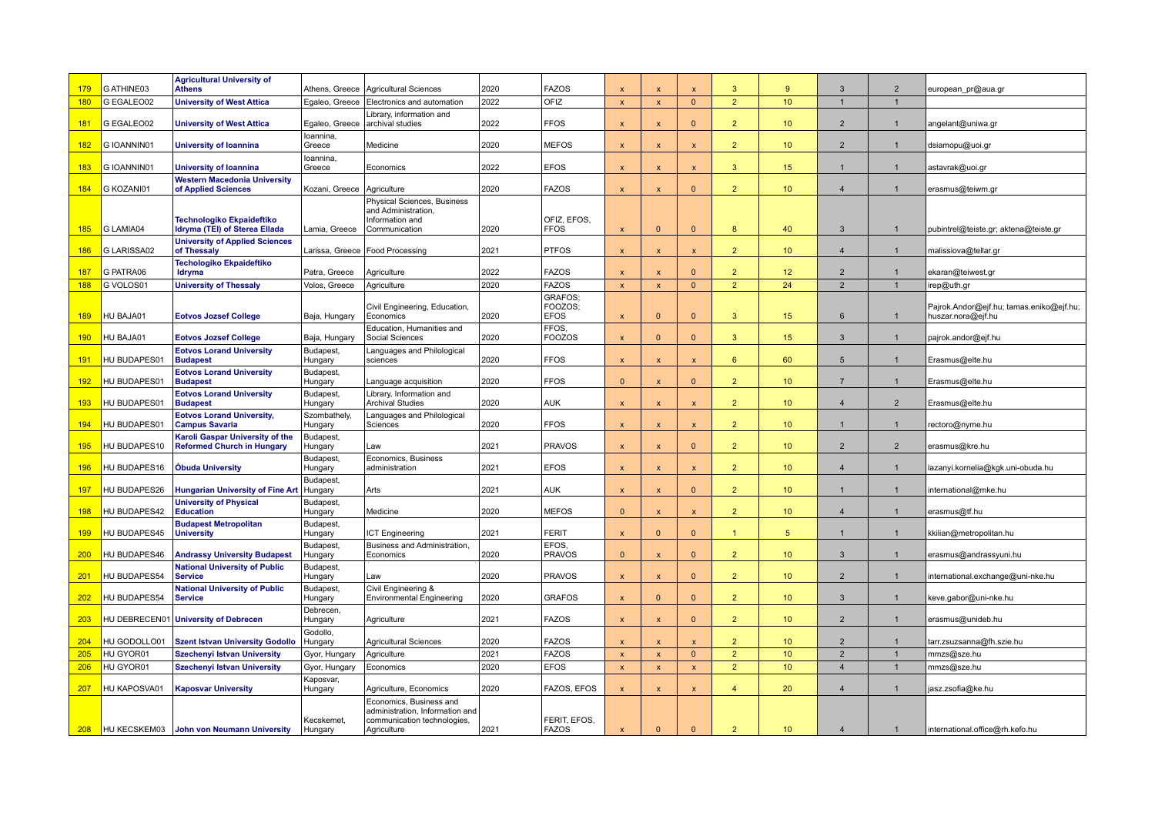|             |                        | <b>Agricultural University of</b>                                    |                                |                                                                                           |              |                              |                              |                                           |                              |                                  |                       |                                  |                                |                                                                |
|-------------|------------------------|----------------------------------------------------------------------|--------------------------------|-------------------------------------------------------------------------------------------|--------------|------------------------------|------------------------------|-------------------------------------------|------------------------------|----------------------------------|-----------------------|----------------------------------|--------------------------------|----------------------------------------------------------------|
| 179         | G ATHINE03             | <b>Athens</b>                                                        | Athens, Greece                 | <b>Agricultural Sciences</b>                                                              | 2020         | <b>FAZOS</b><br>OFIZ         | $\boldsymbol{\mathsf{x}}$    | $\boldsymbol{\mathsf{x}}$                 | $\mathsf{x}$<br>$\mathbf{0}$ | 3<br>2 <sup>2</sup>              | 9<br>10 <sub>1</sub>  | $\mathbf{3}$<br>$\mathbf{1}$     | $\overline{2}$                 | european_pr@aua.gr                                             |
| 180         | G EGALEO02             | <b>University of West Attica</b>                                     | Egaleo, Greece                 | Electronics and automation<br>Library, information and                                    | 2022         |                              | $\boldsymbol{\mathsf{x}}$    | X                                         |                              |                                  |                       |                                  | $\mathbf{1}$                   |                                                                |
| 181         | G EGALEO02             | <b>University of West Attica</b>                                     |                                | Egaleo, Greece   archival studies                                                         | 2022         | <b>FFOS</b>                  | $\mathsf{x}$                 | $\boldsymbol{\mathsf{x}}$                 | $\Omega$                     | $\overline{2}$                   | 10 <sup>°</sup>       | $\overline{2}$                   | $\mathbf{1}$                   | angelant@uniwa.gr                                              |
| 182         | G IOANNIN01            | <b>University of loannina</b>                                        | Ioannina.<br>Greece            | Medicine                                                                                  | 2020         | <b>MEFOS</b>                 | $\mathsf{x}$                 | $\mathbf x$                               | $\mathsf{x}$                 | $\overline{2}$                   | 10 <sup>°</sup>       | $\overline{2}$                   | $\mathbf{1}$                   | dsiamopu@uoi.gr                                                |
| 183         | G IOANNIN01            | <b>University of loannina</b>                                        | Ioannina,<br>Greece            | Economics                                                                                 | 2022         | <b>EFOS</b>                  | $\mathsf{x}$                 | X                                         | $\mathsf{x}$                 | $\mathbf{3}$                     | 15 <sub>15</sub>      | $\overline{1}$                   | $\overline{1}$                 | astavrak@uoi.gr                                                |
|             |                        | <b>Western Macedonia University</b>                                  |                                |                                                                                           |              |                              |                              |                                           |                              |                                  |                       |                                  |                                |                                                                |
| 184         | G KOZANI01             | of Applied Sciences                                                  | Kozani, Greece                 | Agriculture<br><b>Physical Sciences, Business</b>                                         | 2020         | <b>FAZOS</b>                 | $\mathbf{x}$                 | $\mathbf{x}$                              | $\mathbf{0}$                 | $\overline{2}$                   | 10 <sup>10</sup>      | $\overline{4}$                   | $\mathbf{1}$                   | erasmus@teiwm.gr                                               |
|             |                        | <b>Technologiko Ekpaideftiko</b>                                     |                                | and Administration,<br>Information and                                                    |              | OFIZ, EFOS.                  |                              |                                           |                              |                                  |                       |                                  |                                |                                                                |
| 185         | G LAMIA04              | Idryma (TEI) of Sterea Ellada                                        | Lamia, Greece                  | Communication                                                                             | 2020         | <b>FFOS</b>                  | $\mathbf{x}$                 | $\overline{0}$                            | $\mathbf{0}$                 | 8                                | 40                    | $\mathbf{3}$                     | $\mathbf{1}$                   | pubintrel@teiste.gr; aktena@teiste.gr                          |
| <b>186</b>  | G LARISSA02            | <b>University of Applied Sciences</b><br>of Thessaly                 |                                | Larissa, Greece   Food Processing                                                         | 2021         | <b>PTFOS</b>                 | $\mathbf{x}$                 | $\mathbf{x}$                              | $\mathbf{x}$                 | $\overline{2}$                   | 10 <sup>°</sup>       | $\overline{4}$                   | $\overline{1}$                 | malissiova@tellar.gr                                           |
|             |                        | Techologiko Ekpaideftiko                                             |                                |                                                                                           |              |                              |                              |                                           |                              |                                  |                       |                                  |                                |                                                                |
| 187<br>188  | G PATRA06<br>G VOLOS01 | Idryma<br><b>University of Thessaly</b>                              | Patra, Greece<br>Volos, Greece | Agriculture<br>Agriculture                                                                | 2022<br>2020 | <b>FAZOS</b><br><b>FAZOS</b> | $\mathbf{x}$<br>$\mathbf{x}$ | $\boldsymbol{\mathsf{x}}$<br>$\mathbf{x}$ | $\Omega$<br>$\mathbf{0}$     | $\overline{2}$<br>2 <sup>2</sup> | 12 <sup>2</sup><br>24 | $\overline{2}$<br>$\overline{2}$ | $\overline{1}$<br>$\mathbf{1}$ | ekaran@teiwest.gr<br>irep@uth.gr                               |
|             |                        |                                                                      |                                |                                                                                           |              | GRAFOS:                      |                              |                                           |                              |                                  |                       |                                  |                                |                                                                |
| <b>189</b>  | HU BAJA01              | <b>Eotvos Jozsef College</b>                                         | Baja, Hungary                  | Civil Engineering, Education,<br>Economics                                                | 2020         | FOOZOS;<br><b>EFOS</b>       | $\boldsymbol{\mathsf{x}}$    | $\overline{0}$                            | $\mathbf{0}$                 | 3 <sup>1</sup>                   | 15 <sub>1</sub>       | $6\phantom{1}$                   | $\mathbf{1}$                   | Pajrok.Andor@ejf.hu; tamas.eniko@ejf.hu;<br>huszar.nora@ejf.hu |
| 190         | HU BAJA01              | <b>Eotvos Jozsef College</b>                                         | Baja, Hungary                  | Education, Humanities and<br>Social Sciences                                              | 2020         | FFOS.<br>FOOZOS              | $\boldsymbol{\mathsf{x}}$    | $\Omega$                                  | $\mathbf{0}$                 | 3                                | 15 <sub>15</sub>      | $\mathbf{3}$                     | $\mathbf{1}$                   | pajrok.andor@ejf.hu                                            |
| 191         | HU BUDAPES01           | <b>Eotvos Lorand University</b><br><b>Budapest</b>                   | Budapest,<br>Hungary           | Languages and Philological<br>sciences                                                    | 2020         | <b>FFOS</b>                  | $\mathsf{x}$                 | $\mathsf{x}$                              | $\mathsf{x}$                 | $6^{\circ}$                      | 60                    | 5                                | $\mathbf{1}$                   | Erasmus@elte.hu                                                |
| 192         | HU BUDAPES0            | <b>Eotvos Lorand University</b><br><b>Budapest</b>                   | Budapest,<br>Hungary           | Language acquisition                                                                      | 2020         | <b>FFOS</b>                  | $\Omega$                     | x                                         | $\Omega$                     | $\overline{2}$                   | 10 <sup>°</sup>       | $\overline{7}$                   |                                | Erasmus@elte.hu                                                |
| 193         | HU BUDAPES01           | <b>Eotvos Lorand University</b><br><b>Budapest</b>                   | Budapest,<br>Hungary           | Library, Information and<br><b>Archival Studies</b>                                       | 2020         | <b>AUK</b>                   | $\mathbf{x}$                 | $\boldsymbol{\mathsf{x}}$                 | $\mathbf{x}$                 | $\overline{2}$                   | 10 <sup>1</sup>       | $\overline{4}$                   | $\overline{2}$                 | Erasmus@elte.hu                                                |
| <u> 194</u> | HU BUDAPES01           | <b>Eotvos Lorand University,</b><br><b>Campus Savaria</b>            | Szombathely<br>Hungary         | Languages and Philological<br>Sciences                                                    | 2020         | <b>FFOS</b>                  | $\mathbf{x}$                 | X                                         | $\mathbf{x}$                 | 2 <sup>2</sup>                   | 10 <sup>°</sup>       | $\overline{1}$                   | $\overline{1}$                 | rectoro@nyme.hu                                                |
| <b>195</b>  | HU BUDAPES10           | Karoli Gaspar University of the<br><b>Reformed Church in Hungary</b> | Budapest.<br>Hungary           | Law                                                                                       | 2021         | <b>PRAVOS</b>                | $\mathbf{x}$                 | $\boldsymbol{\mathsf{x}}$                 | $\mathbf{0}$                 | $\overline{2}$                   | 10 <sup>°</sup>       | $\overline{2}$                   | 2                              | erasmus@kre.hu                                                 |
| 196         | HU BUDAPES16           | <b>Obuda University</b>                                              | Budapest,<br>Hungary           | Economics, Business<br>administration                                                     | 2021         | <b>EFOS</b>                  | $\boldsymbol{\mathsf{x}}$    | $\mathsf{x}$                              | $\mathsf{x}$                 | 2 <sup>2</sup>                   | 10 <sup>°</sup>       | $\overline{4}$                   | $\overline{1}$                 | lazanyi.kornelia@kgk.uni-obuda.hu                              |
| 197         | HU BUDAPES26           | <b>Hungarian University of Fine Art</b>                              | Budapest,<br>Hungary           | Arts                                                                                      | 2021         | <b>AUK</b>                   | $\boldsymbol{\mathsf{x}}$    | $\mathsf{x}$                              | $\mathbf{0}$                 | 2 <sup>2</sup>                   | 10 <sup>°</sup>       | $\mathbf{1}$                     | $\mathbf{1}$                   | international@mke.hu                                           |
| 198         | HU BUDAPES42           | <b>University of Physical</b><br><b>Education</b>                    | Budapest,<br>Hungary           | Medicine                                                                                  | 2020         | <b>MEFOS</b>                 | $\Omega$                     | X                                         | $\mathsf{x}$                 | 2 <sup>2</sup>                   | 10 <sup>°</sup>       | $\overline{4}$                   | $\mathbf{1}$                   | erasmus@tf.hu                                                  |
| 199         | HU BUDAPES45           | <b>Budapest Metropolitan</b><br><b>University</b>                    | Budapest,<br>Hungary           | CT Engineering                                                                            | 2021         | <b>FERIT</b>                 | $\mathsf{x}$                 | $\Omega$                                  | $\Omega$                     | 1                                | 5 <sup>5</sup>        | 1                                | 1                              | kkilian@metropolitan.hu                                        |
| 200         | HU BUDAPES46           | <b>Andrassy University Budapest</b>                                  | Budapest.<br>Hungary           | Business and Administration.<br>Economics                                                 | 2020         | EFOS.<br><b>PRAVOS</b>       | $\Omega$                     | $\boldsymbol{\mathsf{x}}$                 | $\Omega$                     | $\overline{2}$                   | 10 <sup>°</sup>       | 3                                |                                | erasmus@andrassyuni.hu                                         |
|             |                        | <b>National University of Public</b>                                 | Budapest,                      |                                                                                           |              |                              |                              |                                           |                              |                                  |                       |                                  |                                |                                                                |
| 201         | HU BUDAPES54           | <b>Service</b>                                                       | Hungary                        | Law                                                                                       | 2020         | <b>PRAVOS</b>                | $\boldsymbol{\mathsf{x}}$    | X                                         | $\mathbf{0}$                 | 2 <sup>2</sup>                   | 10 <sup>°</sup>       | $\overline{2}$                   | $\mathbf{1}$                   | international.exchange@uni-nke.hu                              |
| 202         | HU BUDAPES54           | <b>National University of Public</b><br><b>Service</b>               | Budapest,<br>Hungary           | Civil Engineering &<br><b>Environmental Engineering</b>                                   | 2020         | <b>GRAFOS</b>                | $\mathsf{x}$                 | $\Omega$                                  | $\mathbf{0}$                 | $\overline{2}$                   | 10 <sup>°</sup>       | $\mathbf{3}$                     | $\mathbf{1}$                   | keve.gabor@uni-nke.hu                                          |
| 203         |                        | HU DEBRECEN01 University of Debrecen                                 | Debrecen,<br>Hungary           | Agriculture                                                                               | 2021         | <b>FAZOS</b>                 | $\mathbf{x}$                 | $\mathbf{x}$                              | $\mathbf{0}$                 | 2 <sup>2</sup>                   | 10 <sup>°</sup>       | $\overline{2}$                   | $\mathbf{1}$                   | erasmus@unideb.hu                                              |
| 204         | HU GODOLLO01           | <b>Szent Istvan University Godollo</b>                               | Godollo.<br>Hungary            | <b>Agricultural Sciences</b>                                                              | 2020         | <b>FAZOS</b>                 | $\mathbf{x}$                 | $\boldsymbol{\mathsf{x}}$                 | $\mathbf{x}$                 | $\overline{2}$                   | 10 <sup>°</sup>       | $\overline{2}$                   | $\mathbf{1}$                   | tarr.zsuzsanna@fh.szie.hu                                      |
| 205         | HU GYOR01              | <b>Szechenyi Istvan University</b>                                   | Gyor, Hungary                  | Agriculture                                                                               | 2021         | <b>FAZOS</b>                 | $\mathbf{x}$                 | $\boldsymbol{\mathsf{x}}$                 | $\mathbf{0}$                 | 2 <sup>2</sup>                   | 10 <sup>°</sup>       | $\overline{2}$                   | $\mathbf{1}$                   | mmzs@sze.hu                                                    |
| 206         | HU GYOR01              | <b>Szechenyi Istvan University</b>                                   | Gyor, Hungary                  | Economics                                                                                 | 2020         | <b>EFOS</b>                  | $\boldsymbol{\mathsf{x}}$    | $\mathsf{x}$                              | $\mathsf{x}$                 | $\overline{2}$                   | 10 <sup>°</sup>       | $\overline{4}$                   | $\mathbf{1}$                   | mmzs@sze.hu                                                    |
| 207         | HU KAPOSVA01           | <b>Kaposvar University</b>                                           | Kaposvar,<br>Hungary           | Agriculture, Economics                                                                    | 2020         | FAZOS, EFOS                  | $\pmb{\mathsf{x}}$           | X                                         | $\mathsf{x}$                 | $\overline{4}$                   | 20                    | $\overline{4}$                   | $\mathbf{1}$                   | jasz.zsofia@ke.hu                                              |
|             |                        |                                                                      | Kecskemet.                     | Economics, Business and<br>administration, Information and<br>communication technologies, |              | FERIT. EFOS.                 |                              |                                           |                              |                                  |                       |                                  |                                |                                                                |
| 208         | HU KECSKEM03           | John von Neumann University                                          | Hungary                        | Agriculture                                                                               | 2021         | <b>FAZOS</b>                 | $\mathsf{x}$                 | $\overline{0}$                            | $\Omega$                     | $\overline{2}$                   | 10 <sup>°</sup>       | $\overline{4}$                   | $\mathbf{1}$                   | international.office@rh.kefo.hu                                |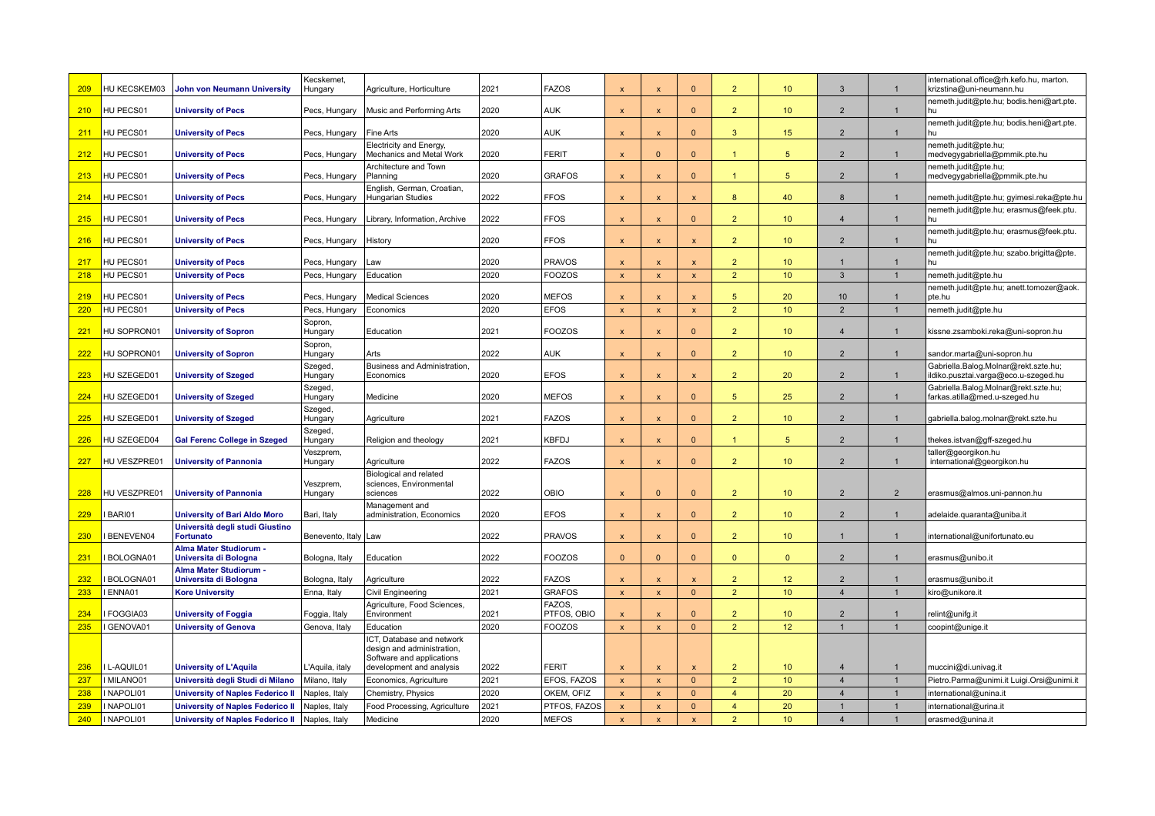| 209        | HU KECSKEM03     | <b>John von Neumann University</b>              | Kecskemet,<br>Hungary  | Agriculture, Horticulture                                                            | 2021 | <b>FAZOS</b>          | $\times$                  | $\boldsymbol{\mathsf{x}}$ | $\Omega$                  | $\overline{2}$ | 10 <sup>1</sup>  | 3               | $\mathbf{1}$   | international.office@rh.kefo.hu, marton.<br>krizstina@uni-neumann.hu         |
|------------|------------------|-------------------------------------------------|------------------------|--------------------------------------------------------------------------------------|------|-----------------------|---------------------------|---------------------------|---------------------------|----------------|------------------|-----------------|----------------|------------------------------------------------------------------------------|
| 210        | HU PECS01        | <b>University of Pecs</b>                       | Pecs, Hungary          | Music and Performing Arts                                                            | 2020 | AUK                   | $\boldsymbol{\mathsf{x}}$ | $\boldsymbol{\mathsf{x}}$ | $\mathbf{0}$              | $\overline{2}$ | 10 <sup>10</sup> | $\overline{2}$  | $\mathbf{1}$   | nemeth.judit@pte.hu; bodis.heni@art.pte.<br>hu                               |
| 211        | HU PECS01        | <b>University of Pecs</b>                       | Pecs, Hungary          | Fine Arts                                                                            | 2020 | AUK                   | $\boldsymbol{\mathsf{x}}$ | $\boldsymbol{\mathsf{x}}$ | $\Omega$                  | 3              | 15 <sub>15</sub> | $\overline{2}$  | $\mathbf{1}$   | nemeth.judit@pte.hu; bodis.heni@art.pte.<br>hu                               |
| 212        | HU PECS01        | <b>University of Pecs</b>                       | Pecs, Hungary          | Electricity and Energy,<br>Mechanics and Metal Work                                  | 2020 | <b>FERIT</b>          | $\boldsymbol{\mathsf{x}}$ | $\Omega$                  | $\Omega$                  | $\mathbf{1}$   | 5 <sup>5</sup>   | $\overline{2}$  |                | nemeth.judit@pte.hu;<br>medvegygabriella@pmmik.pte.hu                        |
| 213        | HU PECS01        | <b>University of Pecs</b>                       | Pecs, Hungary          | Architecture and Town<br>Planning                                                    | 2020 | <b>GRAFOS</b>         | $\boldsymbol{\mathsf{x}}$ | $\mathbf x$               | $\mathbf{0}$              |                | 5                | $\overline{2}$  | $\mathbf{1}$   | nemeth.judit@pte.hu;<br>medvegygabriella@pmmik.pte.hu                        |
| 214        | HU PECS01        | <b>University of Pecs</b>                       | Pecs, Hungary          | English, German, Croatian,<br><b>Hungarian Studies</b>                               | 2022 | <b>FFOS</b>           | $\boldsymbol{\mathsf{x}}$ | $\boldsymbol{\mathsf{x}}$ | $\boldsymbol{\mathsf{x}}$ | 8              | 40               | 8               |                | nemeth.judit@pte.hu; gyimesi.reka@pte.hu                                     |
| 215        | HU PECS01        | <b>University of Pecs</b>                       | Pecs, Hungary          | Library, Information, Archive                                                        | 2022 | <b>FFOS</b>           | X                         | $\boldsymbol{\mathsf{x}}$ | $\mathbf{0}$              | 2 <sup>1</sup> | 10 <sup>°</sup>  | $\overline{4}$  | $\overline{1}$ | nemeth.judit@pte.hu; erasmus@feek.ptu.                                       |
| 216        | HU PECS01        | <b>University of Pecs</b>                       | Pecs, Hungary          | History                                                                              | 2020 | <b>FFOS</b>           | $\boldsymbol{\mathsf{x}}$ | $\boldsymbol{\mathsf{x}}$ | $\boldsymbol{\mathsf{x}}$ | $\overline{2}$ | 10 <sup>°</sup>  | $\overline{2}$  | $\overline{1}$ | nemeth.judit@pte.hu; erasmus@feek.ptu.<br>hu                                 |
| 217        | HU PECS01        | <b>University of Pecs</b>                       | Pecs, Hungary          | Law                                                                                  | 2020 | <b>PRAVOS</b>         | $\boldsymbol{\mathsf{x}}$ | $\boldsymbol{\mathsf{x}}$ | $\mathsf{x}$              | 2 <sup>1</sup> | 10 <sup>10</sup> | $\overline{1}$  | $\overline{1}$ | nemeth.judit@pte.hu; szabo.brigitta@pte.                                     |
| 218        | HU PECS01        | <b>University of Pecs</b>                       | Pecs, Hungary          | Education                                                                            | 2020 | <b>FOOZOS</b>         | $\overline{\mathbf{x}}$   | $\boldsymbol{\mathsf{x}}$ | $\mathbf{x}$              | $\overline{2}$ | 10 <sup>10</sup> | 3               | $\overline{1}$ | nemeth.judit@pte.hu                                                          |
| 219        | HU PECS01        | <b>University of Pecs</b>                       | Pecs, Hungary          | <b>Medical Sciences</b>                                                              | 2020 | <b>MEFOS</b>          | $\mathbf{x}$              | $\mathbf{x}$              | $\mathbf{x}$              | 5 <sup>5</sup> | 20               | 10 <sup>1</sup> | $\mathbf{1}$   | nemeth.judit@pte.hu; anett.tomozer@aok.<br>pte.hu                            |
| 220        | HU PECS01        | <b>University of Pecs</b>                       | Pecs, Hungary          | Economics                                                                            | 2020 | <b>EFOS</b>           | $\mathbf{x}$              | $\mathbf{x}$              | $\mathsf{x}$              | 2 <sup>1</sup> | 10 <sup>°</sup>  | 2               | $\mathbf{1}$   | nemeth.judit@pte.hu                                                          |
| 221        | HU SOPRON01      | <b>University of Sopron</b>                     | Sopron,<br>Hungary     | Education                                                                            | 2021 | <b>FOOZOS</b>         | $\boldsymbol{\mathsf{x}}$ | $\boldsymbol{\mathsf{x}}$ | $\mathbf{0}$              | 2 <sup>2</sup> | 10 <sup>°</sup>  | $\overline{4}$  | $\mathbf{1}$   | kissne.zsamboki.reka@uni-sopron.hu                                           |
| 222        | HU SOPRON01      | <b>University of Sopron</b>                     | Sopron,<br>Hungary     | Arts                                                                                 | 2022 | <b>AUK</b>            | $\boldsymbol{\mathsf{x}}$ | $\mathbf x$               | $\Omega$                  | $\overline{2}$ | 10 <sup>°</sup>  | $\overline{2}$  | -1             | sandor.marta@uni-sopron.hu                                                   |
| 223        | HU SZEGED01      | <b>University of Szeged</b>                     | Szeged,<br>Hungary     | Business and Administration,<br>Economics                                            | 2020 | <b>EFOS</b>           | $\boldsymbol{\mathsf{x}}$ | $\boldsymbol{\mathsf{x}}$ | $\mathsf{x}$              | 2 <sup>1</sup> | 20               | $\overline{2}$  | $\mathbf{1}$   | Gabriella.Balog.Molnar@rekt.szte.hu;<br>ildiko.pusztai.varga@eco.u-szeged.hu |
| 224        | HU SZEGED01      | <b>University of Szeged</b>                     | Szeged,<br>Hungary     | Medicine                                                                             | 2020 | <b>MEFOS</b>          | $\boldsymbol{\mathsf{x}}$ | $\boldsymbol{\mathsf{x}}$ | $\mathbf{0}$              | 5              | 25               | $\overline{2}$  | $\mathbf{1}$   | Gabriella.Balog.Molnar@rekt.szte.hu;<br>farkas.atilla@med.u-szeged.hu        |
| 225        | HU SZEGED01      | <b>University of Szeged</b>                     | Szeged,<br>Hungary     | Agriculture                                                                          | 2021 | <b>FAZOS</b>          | $\boldsymbol{\mathsf{x}}$ | $\boldsymbol{\mathsf{x}}$ | $\overline{0}$            | 2 <sup>1</sup> | 10 <sup>°</sup>  | $\overline{2}$  | -1             | gabriella.balog.molnar@rekt.szte.hu                                          |
| <b>226</b> | HU SZEGED04      | <b>Gal Ferenc College in Szeged</b>             | Szeged,<br>Hungary     | Religion and theology                                                                | 2021 | <b>KBFDJ</b>          | X                         | $\boldsymbol{\mathsf{x}}$ | $\mathbf{0}$              | 1              | $5\phantom{.0}$  | $\overline{2}$  | -1             | thekes.istvan@gff-szeged.hu                                                  |
|            |                  |                                                 | Veszprem               |                                                                                      |      |                       |                           |                           |                           |                |                  |                 |                | aller@georgikon.hu                                                           |
| <b>227</b> | HU VESZPRE01     | <b>University of Pannonia</b>                   | Hungary                | Agriculture                                                                          | 2022 | <b>FAZOS</b>          | $\boldsymbol{\mathsf{x}}$ | $\boldsymbol{\mathsf{x}}$ | $\mathbf{0}$              | $\overline{2}$ | 10 <sup>1</sup>  | $\overline{2}$  | -1             | international@georgikon.hu                                                   |
| 228        | HU VESZPRE01     | <b>University of Pannonia</b>                   | Veszprem,<br>Hungary   | Biological and related<br>sciences, Environmental<br>sciences                        | 2022 | OBIO                  | $\times$                  | $\Omega$                  | $\Omega$                  | $\overline{2}$ | 10 <sup>1</sup>  | $\overline{2}$  | $\overline{2}$ | erasmus@almos.uni-pannon.hu                                                  |
| 229        | BARI01           | <b>University of Bari Aldo Moro</b>             | Bari, Italy            | Management and<br>administration, Economics                                          | 2020 | <b>EFOS</b>           | $\boldsymbol{\mathsf{x}}$ | $\boldsymbol{\mathsf{x}}$ | $\mathbf{0}$              | $\overline{2}$ | 10 <sup>10</sup> | $\overline{2}$  | $\mathbf{1}$   | adelaide.quaranta@uniba.it                                                   |
|            |                  | Università degli studi Giustino                 |                        |                                                                                      |      |                       |                           |                           |                           |                |                  |                 |                |                                                                              |
| 230        | BENEVEN04        | <b>Fortunato</b><br>Alma Mater Studiorum -      | Benevento, Italy   Law |                                                                                      | 2022 | <b>PRAVOS</b>         | $\boldsymbol{\mathsf{x}}$ | $\boldsymbol{\mathsf{x}}$ | $\Omega$                  | $\overline{2}$ | 10 <sup>°</sup>  |                 | $\mathbf{1}$   | international@unifortunato.eu                                                |
| 231        | BOLOGNA01        | Universita di Bologna                           | Bologna, Italy         | Education                                                                            | 2022 | <b>FOOZOS</b>         | $\Omega$                  | $\Omega$                  | $\Omega$                  | $\overline{0}$ | $\mathbf{0}$     | $\overline{2}$  |                | erasmus@unibo.it                                                             |
| 232        | BOLOGNA01        | Alma Mater Studiorum -<br>Universita di Bologna | Bologna, Italy         | Agriculture                                                                          | 2022 | <b>FAZOS</b>          | $\boldsymbol{\mathsf{x}}$ | $\boldsymbol{\mathsf{x}}$ | $\mathbf{x}$              | $\overline{2}$ | 12               | $\overline{2}$  |                | erasmus@unibo.it                                                             |
| 233        | <b>ENNA01</b>    | <b>Kore University</b>                          | Enna, Italy            | Civil Engineering                                                                    | 2021 | <b>GRAFOS</b>         | $\mathbf{x}$              | $\mathbf{x}$              | $\mathbf{0}$              | 2 <sup>1</sup> | 10 <sup>10</sup> | $\overline{4}$  | $\overline{1}$ | kiro@unikore.it                                                              |
| 234        | FOGGIA03         | <b>University of Foggia</b>                     | Foggia, Italy          | Agriculture, Food Sciences,<br>Environment                                           | 2021 | FAZOS,<br>PTFOS, OBIO | X                         | $\boldsymbol{\mathsf{x}}$ | $\mathbf{0}$              | 2 <sup>1</sup> | 10 <sup>1</sup>  | $\overline{2}$  | $\overline{1}$ | relint@unifg.it                                                              |
| 235        | GENOVA01         | <b>University of Genova</b>                     | Genova, Italy          | Education                                                                            | 2020 | <b>FOOZOS</b>         | $\boldsymbol{\mathsf{x}}$ | $\boldsymbol{\mathsf{x}}$ | $\mathbf{0}$              | 2 <sup>1</sup> | 12 <sup>°</sup>  |                 |                | coopint@unige.it                                                             |
|            |                  |                                                 |                        | ICT, Database and network<br>design and administration,<br>Software and applications |      |                       |                           |                           |                           |                |                  |                 |                |                                                                              |
| 236        | <b>L-AQUIL01</b> | <b>University of L'Aquila</b>                   | L'Aquila, italy        | development and analysis                                                             | 2022 | <b>FERIT</b>          | $\boldsymbol{\mathsf{x}}$ | $\boldsymbol{\mathsf{x}}$ | $\mathbf{x}$              | $\overline{2}$ | 10               | $\overline{4}$  |                | muccini@di.univag.it                                                         |
| 237        | I MILANO01       | Università degli Studi di Milano                | Milano, Italy          | Economics, Agriculture                                                               | 2021 | EFOS, FAZOS           | $\boldsymbol{\mathsf{x}}$ | $\mathbf{x}$              | $\Omega$                  | $\overline{2}$ | 10 <sup>10</sup> | $\overline{4}$  |                | Pietro.Parma@unimi.it Luigi.Orsi@unimi.it                                    |
| 238        | I NAPOLI01       | <b>University of Naples Federico II</b>         | Naples, Italy          | Chemistry, Physics                                                                   | 2020 | OKEM, OFIZ            | $\boldsymbol{\mathsf{x}}$ | X                         | $\mathbf{0}$              | $\overline{4}$ | 20               | $\overline{4}$  | $\overline{1}$ | nternational@unina.it                                                        |
| 239        | I NAPOLI01       | <b>University of Naples Federico II</b>         | Naples, Italy          | Food Processing, Agriculture                                                         | 2021 | PTFOS, FAZOS          | $\boldsymbol{\mathsf{x}}$ | $\mathbf x$               | $\Omega$                  | $\overline{4}$ | 20               |                 |                | international@urina.it                                                       |
| 240        | I NAPOLI01       | <b>University of Naples Federico II</b>         | Naples, Italy          | Medicine                                                                             | 2020 | <b>MEFOS</b>          | $\boldsymbol{\mathsf{x}}$ | $\overline{\mathbf{x}}$   | X                         | $\overline{2}$ | 10               | $\overline{4}$  | $\overline{1}$ | erasmed@unina.it                                                             |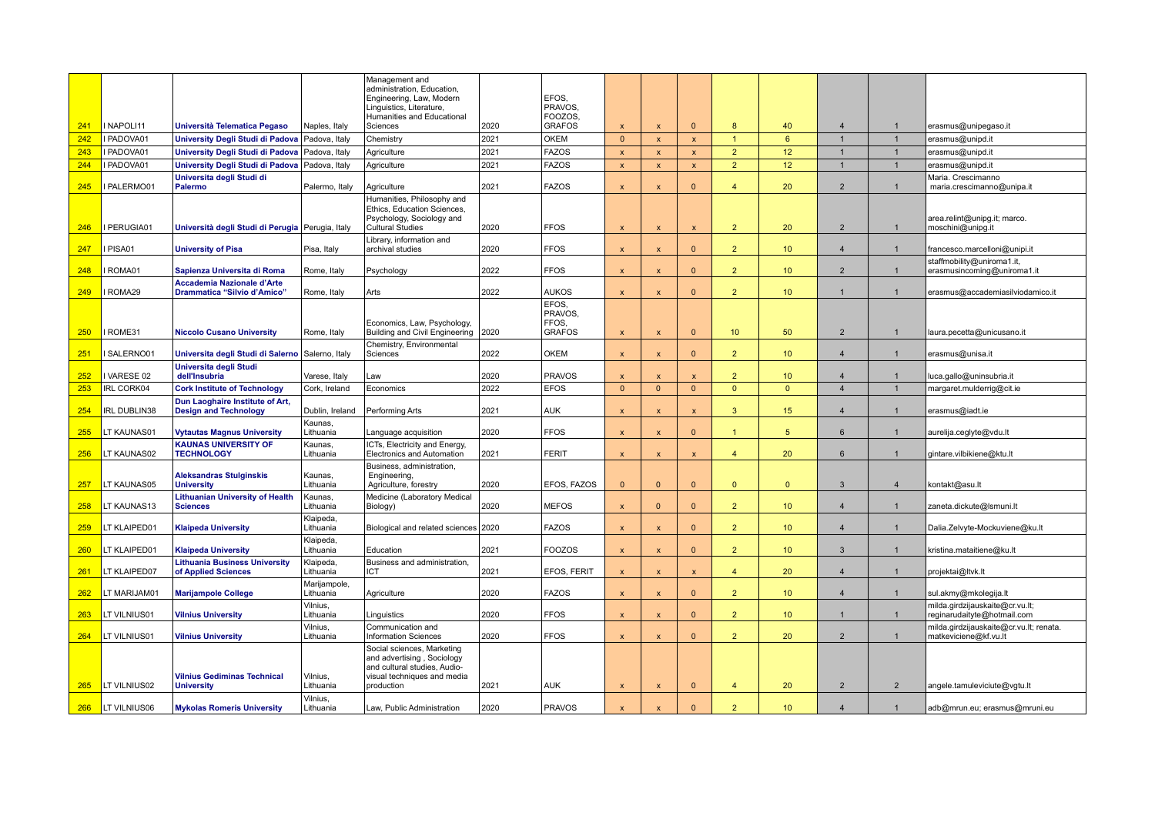|            | I NAPOLI11          |                                                                  |                                | Management and<br>administration, Education,<br>Engineering, Law, Modern<br>Linguistics, Literature,<br>Humanities and Educational | 2020 | EFOS.<br>PRAVOS.<br>FOOZOS. |                                       |                              | $\mathbf{0}$              | 8              |                  | $\overline{4}$   |                |                                                                |
|------------|---------------------|------------------------------------------------------------------|--------------------------------|------------------------------------------------------------------------------------------------------------------------------------|------|-----------------------------|---------------------------------------|------------------------------|---------------------------|----------------|------------------|------------------|----------------|----------------------------------------------------------------|
| 241<br>242 | I PADOVA01          | Università Telematica Pegaso<br>University Degli Studi di Padova | Naples, Italy<br>Padova, Italy | Sciences<br>Chemistry                                                                                                              | 2021 | <b>GRAFOS</b><br>OKEM       | $\boldsymbol{\mathsf{x}}$<br>$\Omega$ | $\mathbf{x}$<br>$\mathbf{x}$ | $\pmb{\mathsf{x}}$        | $\mathbf{1}$   | 40<br>6          |                  | $\mathbf{1}$   | erasmus@unipegaso.it<br>erasmus@unipd.it                       |
| 243        | I PADOVA01          | University Degli Studi di Padova                                 | Padova, Italy                  | Agriculture                                                                                                                        | 2021 | <b>FAZOS</b>                | $\boldsymbol{\mathsf{x}}$             | $\mathbf{x}$                 | $\pmb{\mathsf{x}}$        | $\overline{2}$ | 12 <sup>°</sup>  |                  |                | erasmus@unipd.it                                               |
| 244        | I PADOVA01          | University Degli Studi di Padova                                 | Padova, Italy                  | Agriculture                                                                                                                        | 2021 | <b>FAZOS</b>                | $\mathbf{x}$                          | $\mathbf{x}$                 | $\pmb{\mathsf{x}}$        | $\overline{2}$ | 12 <sup>°</sup>  | $\overline{1}$   | $\overline{1}$ | erasmus@unipd.it                                               |
|            |                     | Universita degli Studi di                                        |                                |                                                                                                                                    |      |                             |                                       |                              |                           |                |                  |                  |                | Maria. Crescimanno                                             |
| 245        | I PALERMO01         | Palermo                                                          | Palermo, Italy                 | Agriculture                                                                                                                        | 2021 | <b>FAZOS</b>                | $\overline{\mathbf{x}}$               | $\mathbf{x}$                 | $\Omega$                  | $\overline{4}$ | 20               | $\overline{2}$   |                | maria.crescimanno@unipa.it                                     |
| 246        | PERUGIA01           | Università degli Studi di Perugia Perugia, Italy                 |                                | Humanities, Philosophy and<br>Ethics, Education Sciences,<br>Psychology, Sociology and<br><b>Cultural Studies</b>                  | 2020 | FFOS                        | $\boldsymbol{\mathsf{x}}$             | $\mathbf{x}$                 | $\mathbf{x}$              | $\overline{2}$ | 20 <sup>°</sup>  | 2                | $\mathbf{1}$   | area.relint@unipg.it; marco.<br>moschini@unipg.it              |
| 247        | I PISA01            | <b>University of Pisa</b>                                        | Pisa, Italy                    | Library, information and<br>archival studies                                                                                       | 2020 | <b>FFOS</b>                 | $\boldsymbol{\mathsf{x}}$             | $\boldsymbol{\mathsf{x}}$    | $\mathbf{0}$              | $\overline{2}$ | 10 <sup>°</sup>  | $\overline{4}$   | $\mathbf{1}$   | francesco.marcelloni@unipi.it                                  |
|            |                     |                                                                  |                                |                                                                                                                                    |      |                             |                                       |                              |                           |                |                  |                  |                | staffmobility@uniroma1.it,                                     |
| 248        | ROMA01              | Sapienza Universita di Roma                                      | Rome, Italy                    | Psychology                                                                                                                         | 2022 | FFOS                        | $\boldsymbol{\mathsf{x}}$             | $\boldsymbol{\mathsf{x}}$    | $\Omega$                  | $\overline{2}$ | 10 <sup>°</sup>  | 2                | $\mathbf{1}$   | erasmusincoming@uniroma1.it                                    |
| 249        | ROMA29              | Accademia Nazionale d'Arte<br>Drammatica "Silvio d'Amico"        | Rome, Italy                    | Arts                                                                                                                               | 2022 | <b>AUKOS</b>                | $\mathbf{x}$                          | $\boldsymbol{\mathsf{x}}$    | $\overline{0}$            | 2 <sup>1</sup> | 10 <sup>°</sup>  | $\overline{1}$   | $\overline{1}$ | erasmus@accademiasilviodamico.it                               |
|            |                     |                                                                  |                                | Economics, Law, Psychology,                                                                                                        |      | EFOS.<br>PRAVOS.<br>FFOS,   |                                       |                              |                           |                |                  |                  |                |                                                                |
| 250        | ROME31              | <b>Niccolo Cusano University</b>                                 | Rome, Italy                    | Building and Civil Engineering                                                                                                     | 2020 | <b>GRAFOS</b>               | $\boldsymbol{\mathsf{x}}$             | $\mathbf{x}$                 | $\mathbf{0}$              | 10             | 50               | $\overline{2}$   |                | laura.pecetta@unicusano.it                                     |
| 251        | SALERNO01           | Universita degli Studi di Salerno Salerno, Italy                 |                                | Chemistry, Environmental<br>Sciences                                                                                               | 2022 | <b>OKEM</b>                 | $\boldsymbol{\mathsf{x}}$             | $\boldsymbol{\mathsf{x}}$    | $\Omega$                  | $\overline{2}$ | 10 <sup>°</sup>  | $\overline{4}$   |                | erasmus@unisa.it                                               |
| 252        | I VARESE 02         | Universita degli Studi<br>dell'Insubria                          | Varese, Italy                  | Law                                                                                                                                | 2020 | <b>PRAVOS</b>               | $\mathbf x$                           | $\boldsymbol{\mathsf{x}}$    | $\mathbf{x}$              | $\overline{2}$ | 10 <sup>°</sup>  | $\overline{4}$   |                | luca.gallo@uninsubria.it                                       |
| 253        | <b>IRL CORK04</b>   | <b>Cork Institute of Technology</b>                              | Cork, Ireland                  | Economics                                                                                                                          | 2022 | <b>EFOS</b>                 | $\Omega$                              | $\Omega$                     | $\mathbf{0}$              | $\overline{0}$ | $\Omega$         | $\overline{4}$   |                | margaret.mulderrig@cit.ie                                      |
| 254        | IRL DUBLIN38        | Dun Laoghaire Institute of Art,<br><b>Design and Technology</b>  | Dublin, Ireland                | Performing Arts                                                                                                                    | 2021 | <b>AUK</b>                  | $\boldsymbol{\mathsf{x}}$             | $\mathbf{x}$                 | $\mathbf{x}$              | 3              | 15 <sup>15</sup> | $\overline{4}$   |                | erasmus@iadt.ie                                                |
| 255        | LT KAUNAS01         | <b>Vytautas Magnus University</b>                                | Kaunas,<br>Lithuania           | Language acquisition                                                                                                               | 2020 | <b>FFOS</b>                 | $\boldsymbol{\mathsf{x}}$             | $\boldsymbol{\mathsf{x}}$    | $\Omega$                  | 1              | 5                | 6                |                | aurelija.ceglyte@vdu.lt                                        |
| 256        | LT KAUNAS02         | <b>KAUNAS UNIVERSITY OF</b><br><b>TECHNOLOGY</b>                 | Kaunas,<br>Lithuania           | ICTs, Electricity and Energy,<br>Electronics and Automation                                                                        | 2021 | <b>FERIT</b>                | $\mathbf{x}$                          | $\boldsymbol{\mathsf{x}}$    | $\pmb{\mathsf{x}}$        | $\overline{4}$ | 20               | 6                | -1             | gintare.vilbikiene@ktu.lt                                      |
| 257        | LT KAUNAS05         | <b>Aleksandras Stulginskis</b><br><b>University</b>              | Kaunas,<br>Lithuania           | Business, administration,<br>Engineering,<br>Agriculture, forestry                                                                 | 2020 | EFOS, FAZOS                 | $\Omega$                              | $\mathbf{0}$                 | $\mathbf{0}$              | $\mathbf{0}$   | $\mathbf{0}$     | 3                | $\overline{4}$ | kontakt@asu.lt                                                 |
| 258        | LT KAUNAS13         | <b>Lithuanian University of Health</b><br><b>Sciences</b>        | Kaunas,<br>Lithuania           | Medicine (Laboratory Medical<br>Biology)                                                                                           | 2020 | <b>MEFOS</b>                | $\boldsymbol{\mathsf{x}}$             | $\mathbf{0}$                 | $\mathbf{0}$              | 2 <sup>2</sup> | 10 <sup>°</sup>  | $\overline{4}$   | $\mathbf{1}$   | zaneta.dickute@Ismuni.lt                                       |
|            |                     |                                                                  | Klaipeda,                      |                                                                                                                                    |      |                             |                                       |                              |                           |                |                  |                  |                |                                                                |
| 259        | LT KLAIPED01        | <b>Klaipeda University</b>                                       | Lithuania                      | Biological and related sciences 2020                                                                                               |      | <b>FAZOS</b>                | $\boldsymbol{\mathsf{x}}$             | $\boldsymbol{\mathsf{x}}$    | $\Omega$                  | $\overline{2}$ | 10 <sup>°</sup>  | $\overline{4}$   |                | Dalia.Zelvyte-Mockuviene@ku.lt                                 |
| 260        | LT KLAIPED01        | <b>Klaipeda University</b>                                       | Klaipeda,<br>Lithuania         | Education                                                                                                                          | 2021 | <b>FOOZOS</b>               | $\boldsymbol{\mathsf{x}}$             | $\mathbf{x}$                 | $\overline{0}$            | $\overline{2}$ | 10 <sup>°</sup>  | $\mathbf{3}$     | $\mathbf{1}$   | kristina.mataitiene@ku.lt                                      |
| 261        | LT KLAIPED07        | <b>Lithuania Business University</b><br>of Applied Sciences      | Klaipeda.<br>Lithuania         | Business and administration,<br><b>ICT</b>                                                                                         | 2021 | EFOS, FERIT                 | $\boldsymbol{\mathsf{x}}$             | $\boldsymbol{\mathsf{x}}$    | $\boldsymbol{\mathsf{x}}$ | $\overline{4}$ | 20               | $\boldsymbol{4}$ |                | projektai@Itvk.lt                                              |
| 262        | LT MARIJAM01        | <b>Marijampole College</b>                                       | Marijampole,<br>Lithuania      | Agriculture                                                                                                                        | 2020 | <b>FAZOS</b>                | $\boldsymbol{\mathsf{x}}$             | $\boldsymbol{\mathsf{x}}$    | $\mathbf{0}$              | 2 <sup>1</sup> | 10 <sup>°</sup>  | $\overline{4}$   | $\mathbf{1}$   | sul.akmy@mkolegija.lt                                          |
| 263        | LT VILNIUS01        | <b>Vilnius University</b>                                        | Vilnius,<br>Lithuania          | Linguistics                                                                                                                        | 2020 | <b>FFOS</b>                 | $\boldsymbol{\mathsf{x}}$             | $\boldsymbol{\mathsf{x}}$    | $\Omega$                  | $\overline{2}$ | 10 <sup>°</sup>  | $\mathbf{1}$     | $\mathbf{1}$   | milda.girdzijauskaite@cr.vu.lt;<br>reginarudaityte@hotmail.com |
|            |                     |                                                                  | Vilnius,                       | Communication and                                                                                                                  |      |                             |                                       |                              |                           |                |                  |                  |                | milda.girdzijauskaite@cr.vu.lt; renata.                        |
| 264        | LT VILNIUS01        | <b>Vilnius University</b>                                        | Lithuania                      | <b>Information Sciences</b><br>Social sciences, Marketing                                                                          | 2020 | <b>FFOS</b>                 | $\mathbf{x}$                          | $\boldsymbol{\mathsf{x}}$    | $\Omega$                  | $\overline{2}$ | 20               | $\overline{2}$   | $\overline{1}$ | matkeviciene@kf.vu.lt                                          |
| 265        | LT VILNIUS02        | <b>Vilnius Gediminas Technical</b><br><b>University</b>          | Vilnius,<br>Lithuania          | and advertising, Sociology<br>and cultural studies, Audio-<br>visual techniques and media<br>production                            | 2021 | <b>AUK</b>                  | $\boldsymbol{\mathsf{x}}$             | $\boldsymbol{\mathsf{x}}$    | $\mathbf{0}$              | $\overline{4}$ | 20               | 2                | $\overline{2}$ | angele.tamuleviciute@vgtu.lt                                   |
|            |                     |                                                                  | Vilnius,                       |                                                                                                                                    |      |                             |                                       |                              |                           |                |                  |                  |                |                                                                |
| 266        | <b>LT VILNIUS06</b> | <b>Mykolas Romeris University</b>                                | Lithuania                      | Law, Public Administration                                                                                                         | 2020 | <b>PRAVOS</b>               |                                       |                              | $\Omega$                  | $\overline{2}$ | 10 <sup>°</sup>  | $\boldsymbol{4}$ |                | adb@mrun.eu; erasmus@mruni.eu                                  |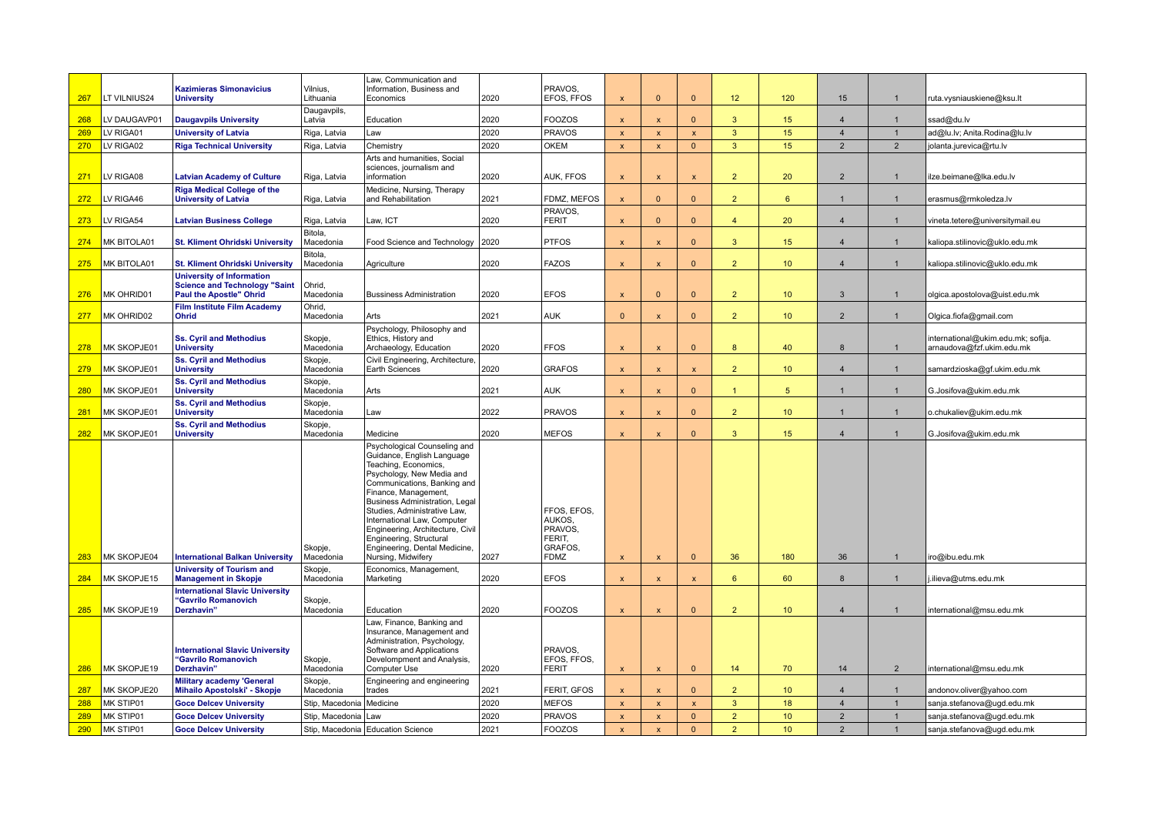| 267 | LT VILNIUS24 | <b>Kazimieras Simonavicius</b><br><b>University</b>                                                        | Vilnius,<br>Lithuania      | Law, Communication and<br>Information, Business and<br>Economics                                                                                                                                                                                                                                                                                                                                     | 2020 | PRAVOS.<br>EFOS, FFOS                                                | $\overline{\mathsf{x}}$   | $\mathbf{0}$              | $\Omega$                | 12             | 120              | 15             |                | ruta.vysniauskiene@ksu.lt                                       |
|-----|--------------|------------------------------------------------------------------------------------------------------------|----------------------------|------------------------------------------------------------------------------------------------------------------------------------------------------------------------------------------------------------------------------------------------------------------------------------------------------------------------------------------------------------------------------------------------------|------|----------------------------------------------------------------------|---------------------------|---------------------------|-------------------------|----------------|------------------|----------------|----------------|-----------------------------------------------------------------|
| 268 | LV DAUGAVP01 | <b>Daugavpils University</b>                                                                               | Daugavpils,<br>Latvia      | Education                                                                                                                                                                                                                                                                                                                                                                                            | 2020 | <b>FOOZOS</b>                                                        | $\overline{\mathsf{x}}$   | $\mathbf{x}$              | $\overline{0}$          | $\mathbf{3}$   | 15               | $\overline{4}$ | $\overline{1}$ | ssad@du.lv                                                      |
| 269 | LV RIGA01    | <b>University of Latvia</b>                                                                                | Riga, Latvia               | Law                                                                                                                                                                                                                                                                                                                                                                                                  | 2020 | <b>PRAVOS</b>                                                        | $\overline{\mathsf{x}}$   | $\boldsymbol{\mathsf{x}}$ | $\overline{\mathbf{x}}$ | $\mathbf{3}$   | 15               | $\overline{4}$ | $\overline{1}$ | ad@lu.lv; Anita.Rodina@lu.lv                                    |
| 270 | LV RIGA02    | <b>Riga Technical University</b>                                                                           | Riga, Latvia               | Chemistry                                                                                                                                                                                                                                                                                                                                                                                            | 2020 | <b>OKEM</b>                                                          | $\boldsymbol{\mathsf{x}}$ | $\mathbf{x}$              | $\mathbf{0}$            | $\mathbf{3}$   | 15               | $\overline{2}$ | $\overline{2}$ | jolanta.jurevica@rtu.lv                                         |
| 271 | LV RIGA08    | <b>Latvian Academy of Culture</b>                                                                          | Riga, Latvia               | Arts and humanities, Social<br>sciences, journalism and<br>information                                                                                                                                                                                                                                                                                                                               | 2020 | AUK, FFOS                                                            | $\mathbf{x}$              | $\mathbf{x}$              | $\mathsf{x}$            | $\overline{2}$ | 20               | $\overline{2}$ | $\mathbf{1}$   | ilze.beimane@lka.edu.lv                                         |
| 272 | LV RIGA46    | <b>Riga Medical College of the</b><br><b>University of Latvia</b>                                          | Riga, Latvia               | Medicine, Nursing, Therapy<br>and Rehabilitation                                                                                                                                                                                                                                                                                                                                                     | 2021 | FDMZ, MEFOS                                                          | $\mathbf{x}$              | $\Omega$                  | $\Omega$                | $\overline{2}$ | $\epsilon$       | $\mathbf{1}$   | $\mathbf{1}$   | erasmus@rmkoledza.lv                                            |
| 273 | LV RIGA54    | <b>Latvian Business College</b>                                                                            | Riga, Latvia               | Law, ICT                                                                                                                                                                                                                                                                                                                                                                                             | 2020 | PRAVOS,<br><b>FERIT</b>                                              | $\boldsymbol{\mathsf{x}}$ | $\Omega$                  | $\mathbf{0}$            | $\overline{4}$ | 20               | $\overline{4}$ | $\mathbf{1}$   | vineta.tetere@universitymail.eu                                 |
| 274 | MK BITOLA01  | <b>St. Kliment Ohridski University</b>                                                                     | Bitola,<br>Macedonia       | Food Science and Technology                                                                                                                                                                                                                                                                                                                                                                          | 2020 | <b>PTFOS</b>                                                         | $\mathsf{x}$              | $\mathbf{x}$              | $\mathbf{0}$            | $\mathbf{3}$   | 15 <sub>1</sub>  | $\overline{4}$ | $\mathbf{1}$   | kaliopa.stilinovic@uklo.edu.mk                                  |
| 275 | MK BITOLA01  | <b>St. Kliment Ohridski University</b>                                                                     | Bitola,<br>Macedonia       | Agriculture                                                                                                                                                                                                                                                                                                                                                                                          | 2020 | <b>FAZOS</b>                                                         | X                         | $\boldsymbol{\mathsf{x}}$ | $\mathbf{0}$            | $\overline{2}$ | 10 <sup>°</sup>  | $\overline{4}$ | $\mathbf{1}$   | kaliopa.stilinovic@uklo.edu.mk                                  |
| 276 | MK OHRID01   | <b>University of Information</b><br><b>Science and Technology "Saint</b><br><b>Paul the Apostle" Ohrid</b> | Ohrid,<br>Macedonia        | <b>Bussiness Administration</b>                                                                                                                                                                                                                                                                                                                                                                      | 2020 | <b>EFOS</b>                                                          | $\mathsf{x}$              | $\Omega$                  | $\Omega$                | $\overline{2}$ | 10 <sup>1</sup>  | 3              | $\mathbf{1}$   | olgica.apostolova@uist.edu.mk                                   |
| 277 | MK OHRID02   | <b>Film Institute Film Academy</b><br><b>Ohrid</b>                                                         | Ohrid,<br>Macedonia        | Arts                                                                                                                                                                                                                                                                                                                                                                                                 | 2021 | <b>AUK</b>                                                           | $\Omega$                  | $\mathbf{x}$              | $\mathbf{0}$            | $\overline{2}$ | 10 <sup>°</sup>  | 2              |                | Olgica.fiofa@gmail.com                                          |
| 278 | MK SKOPJE01  | <b>Ss. Cyril and Methodius</b><br><b>University</b>                                                        | Skopje,<br>Macedonia       | Psychology, Philosophy and<br>Ethics, History and<br>Archaeology, Education                                                                                                                                                                                                                                                                                                                          | 2020 | <b>FFOS</b>                                                          | $\overline{\mathsf{x}}$   | $\mathbf{x}$              | $\Omega$                | 8              | 40               | 8              |                | international@ukim.edu.mk; sofija.<br>arnaudova@fzf.ukim.edu.mk |
| 279 | MK SKOPJE01  | <b>Ss. Cyril and Methodius</b><br><b>University</b>                                                        | Skopje,<br>Macedonia       | Civil Engineering, Architecture,<br>Earth Sciences                                                                                                                                                                                                                                                                                                                                                   | 2020 | <b>GRAFOS</b>                                                        | $\overline{\mathsf{x}}$   | $\mathbf{x}$              | $\mathbf{x}$            | $\overline{2}$ | 10 <sup>°</sup>  | $\overline{4}$ | $\overline{1}$ | samardzioska@gf.ukim.edu.mk                                     |
| 280 | MK SKOPJE01  | <b>Ss. Cyril and Methodius</b><br><b>University</b>                                                        | Skopje,<br>Macedonia       | Arts                                                                                                                                                                                                                                                                                                                                                                                                 | 2021 | <b>AUK</b>                                                           | $\mathsf{x}$              | $\boldsymbol{\mathsf{x}}$ | $\overline{0}$          | $\mathbf{1}$   | 5 <sup>5</sup>   | $\overline{1}$ | $\overline{1}$ | G.Josifova@ukim.edu.mk                                          |
| 281 | MK SKOPJE01  | <b>Ss. Cyril and Methodius</b><br><b>University</b>                                                        | Skopje,<br>Macedonia       | Law                                                                                                                                                                                                                                                                                                                                                                                                  | 2022 | <b>PRAVOS</b>                                                        | $\mathbf{x}$              | $\mathbf{x}$              | $\Omega$                | $\mathcal{P}$  | 10 <sup>1</sup>  | $\overline{1}$ | $\mathbf{1}$   | o.chukaliev@ukim.edu.mk                                         |
| 282 | MK SKOPJE01  | <b>Ss. Cyril and Methodius</b><br><b>University</b>                                                        | Skopje,<br>Macedonia       | Medicine                                                                                                                                                                                                                                                                                                                                                                                             | 2020 | <b>MEFOS</b>                                                         | $\overline{\mathsf{x}}$   | $\boldsymbol{\mathsf{x}}$ | $\mathbf{0}$            | $\mathbf{3}$   | 15               | $\overline{4}$ | $\mathbf{1}$   | G.Josifova@ukim.edu.mk                                          |
| 283 | MK SKOPJE04  | <b>International Balkan University</b>                                                                     | Skopje,<br>Macedonia       | Psychological Counseling and<br>Guidance, English Language<br>Teaching, Economics,<br>Psychology, New Media and<br>Communications, Banking and<br>Finance, Management,<br><b>Business Administration, Legal</b><br>Studies, Administrative Law,<br>International Law, Computer<br>Engineering, Architecture, Civil<br>Engineering, Structural<br>Engineering, Dental Medicine,<br>Nursing, Midwifery | 2027 | FFOS, EFOS,<br>AUKOS.<br>PRAVOS,<br>FERIT,<br>GRAFOS.<br><b>FDMZ</b> | X                         | $\boldsymbol{\mathsf{x}}$ | $\Omega$                | 36             | 180              | 36             | $\mathbf{1}$   | iro@ibu.edu.mk                                                  |
| 284 | MK SKOPJE15  | <b>University of Tourism and</b><br><b>Management in Skopje</b>                                            | Skopje,<br>Macedonia       | Economics, Management,<br>Marketing                                                                                                                                                                                                                                                                                                                                                                  | 2020 | <b>EFOS</b>                                                          | $\overline{\mathsf{x}}$   | $\mathbf x$               | $\mathbf{x}$            | 6              | 60               | 8              | $\mathbf{1}$   | .ilieva@utms.edu.mk                                             |
| 285 | MK SKOPJE19  | <b>International Slavic University</b><br>"Gavrilo Romanovich<br>Derzhavin'                                | Skopje,<br>Macedonia       | Education                                                                                                                                                                                                                                                                                                                                                                                            | 2020 | <b>FOOZOS</b>                                                        | $\mathbf{x}$              | $\overline{\mathbf{x}}$   | $\Omega$                | $\overline{2}$ | 10 <sup>10</sup> | $\overline{4}$ |                | international@msu.edu.mk                                        |
| 286 | MK SKOPJE19  | <b>International Slavic University</b><br>"Gavrilo Romanovich<br>Derzhavin"                                | Skopje,<br>Macedonia       | Law, Finance, Banking and<br>Insurance, Management and<br>Administration, Psychology,<br>Software and Applications<br>Develompment and Analysis,<br>Computer Use                                                                                                                                                                                                                                     | 2020 | PRAVOS.<br>EFOS, FFOS,<br><b>FERIT</b>                               | X                         | $\boldsymbol{\mathsf{x}}$ | $\mathbf{0}$            | 14             | 70               | 14             | $\overline{2}$ | international@msu.edu.mk                                        |
| 287 | MK SKOPJE20  | <b>Military academy 'General</b><br>Mihailo Apostolski' - Skopje                                           | Skopje,<br>Macedonia       | Engineering and engineering<br>trades                                                                                                                                                                                                                                                                                                                                                                | 2021 | FERIT, GFOS                                                          | $\overline{\mathsf{x}}$   | $\mathbf{x}$              | $\Omega$                | $\overline{2}$ | 10 <sup>°</sup>  | $\overline{4}$ | $\mathbf{1}$   | andonov.oliver@yahoo.com                                        |
| 288 | MK STIP01    | <b>Goce Delcev University</b>                                                                              | Stip, Macedonia   Medicine |                                                                                                                                                                                                                                                                                                                                                                                                      | 2020 | <b>MEFOS</b>                                                         | $\mathsf{x}$              | $\mathbf{x}$              | $\mathsf{x}$            | $\mathbf{3}$   | 18               | $\overline{4}$ | $\mathbf{1}$   | sanja.stefanova@ugd.edu.mk                                      |
| 289 | MK STIP01    | <b>Goce Delcev University</b>                                                                              | Stip, Macedonia Law        |                                                                                                                                                                                                                                                                                                                                                                                                      | 2020 | <b>PRAVOS</b>                                                        | $\mathsf{x}$              | $\mathbf{x}$              | $\overline{0}$          | $\overline{2}$ | 10 <sup>°</sup>  | $\overline{2}$ |                | sanja.stefanova@ugd.edu.mk                                      |
| 290 | MK STIP01    | <b>Goce Delcev University</b>                                                                              |                            | Stip, Macedonia   Education Science                                                                                                                                                                                                                                                                                                                                                                  | 2021 | FOOZOS                                                               | $\overline{\mathsf{x}}$   | $\boldsymbol{\mathsf{x}}$ | $\mathbf{0}$            | $\overline{2}$ | 10 <sup>°</sup>  | $\mathfrak{p}$ | $\mathbf{1}$   | sanja.stefanova@ugd.edu.mk                                      |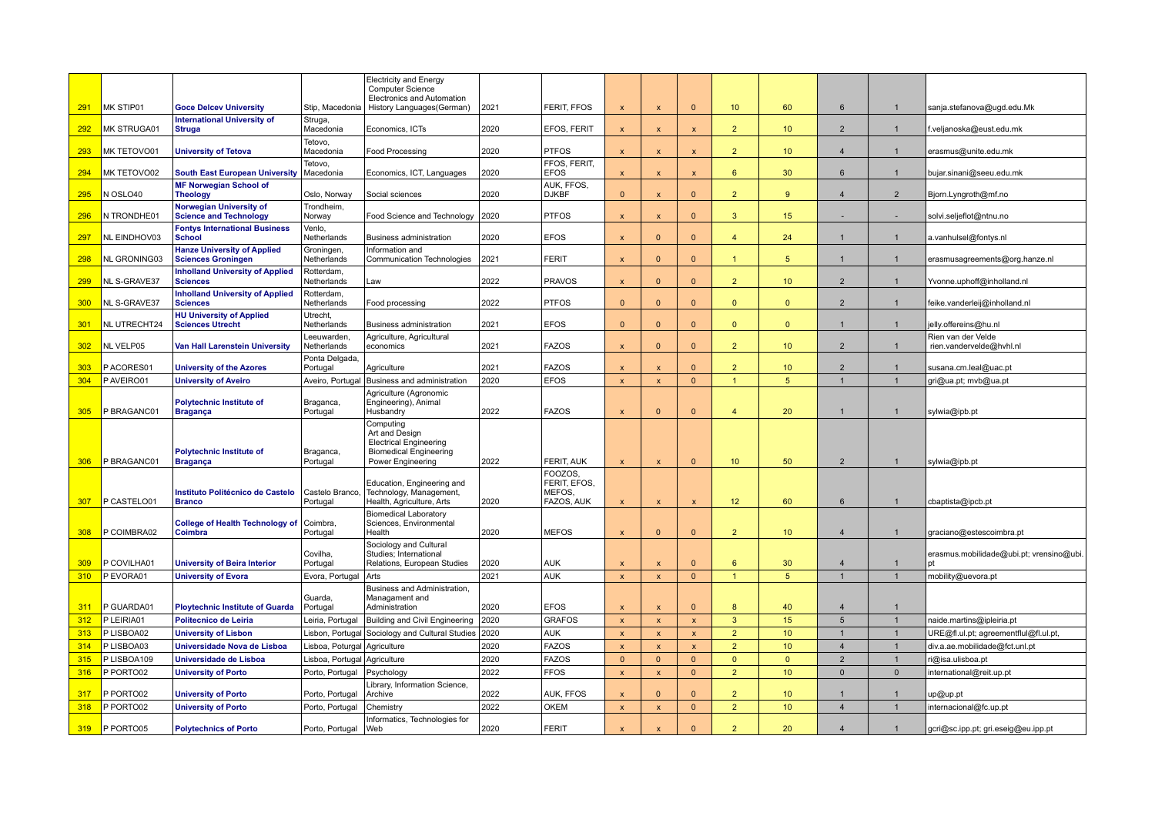|            |                           |                                                                 |                                     | <b>Electricity and Energy</b><br><b>Computer Science</b><br>Electronics and Automation                                    |              |                                                 |                              |                              |                                    |                                |                             |                                  |                                |                                                |
|------------|---------------------------|-----------------------------------------------------------------|-------------------------------------|---------------------------------------------------------------------------------------------------------------------------|--------------|-------------------------------------------------|------------------------------|------------------------------|------------------------------------|--------------------------------|-----------------------------|----------------------------------|--------------------------------|------------------------------------------------|
| 291        | MK STIP01                 | <b>Goce Delcey University</b>                                   | Stip, Macedonia                     | History Languages(German)                                                                                                 | 2021         | FERIT, FFOS                                     | $\boldsymbol{\mathsf{x}}$    | $\boldsymbol{\mathsf{x}}$    | $\mathbf{0}$                       | 10 <sup>°</sup>                | 60                          | 6                                | $\mathbf{1}$                   | sanja.stefanova@ugd.edu.Mk                     |
| 292        | MK STRUGA01               | <b>International University of</b><br><b>Struga</b>             | Struga,<br>Macedonia                | Economics, ICTs                                                                                                           | 2020         | EFOS, FERIT                                     | $\boldsymbol{\mathsf{x}}$    | $\boldsymbol{\mathsf{x}}$    | $\mathsf{x}$                       | 2 <sup>2</sup>                 | 10 <sup>°</sup>             | $\overline{2}$                   | $\mathbf{1}$                   | f.veljanoska@eust.edu.mk                       |
| 293        | MK TETOVO01               | <b>University of Tetova</b>                                     | Tetovo,<br>Macedonia                | <b>Food Processing</b>                                                                                                    | 2020         | <b>PTFOS</b>                                    | $\boldsymbol{\mathsf{x}}$    | $\boldsymbol{\mathsf{x}}$    | $\boldsymbol{\mathsf{x}}$          | $\overline{2}$                 | 10 <sup>°</sup>             | $\overline{4}$                   | $\mathbf{1}$                   | erasmus@unite.edu.mk                           |
| 294        | MK TETOVO02               | <b>South East European University</b>                           | Tetovo,<br>Macedonia                | Economics, ICT, Languages                                                                                                 | 2020         | FFOS, FERIT,<br><b>EFOS</b>                     | $\boldsymbol{\mathsf{x}}$    | $\boldsymbol{\mathsf{x}}$    | $\pmb{\times}$                     | 6                              | 30                          | 6                                | $\mathbf{1}$                   | bujar.sinani@seeu.edu.mk                       |
| 295        | N OSLO40                  | <b>MF Norwegian School of</b><br><b>Theology</b>                | Oslo, Norway                        | Social sciences                                                                                                           | 2020         | AUK, FFOS,<br><b>DJKBF</b>                      | $\Omega$                     | $\mathbf x$                  | $\Omega$                           | $\overline{2}$                 | 9                           | $\overline{4}$                   | $\overline{2}$                 | Bjorn.Lyngroth@mf.no                           |
| 296        | N TRONDHE01               | Norwegian University of<br><b>Science and Technology</b>        | Trondheim,<br>Norway                | Food Science and Technology                                                                                               | 2020         | <b>PTFOS</b>                                    | $\boldsymbol{\mathsf{x}}$    | $\mathbf{x}$                 | $\Omega$                           | $\overline{3}$                 | 15                          |                                  |                                | solvi.seljeflot@ntnu.no                        |
| 297        | NL EINDHOV03              | <b>Fontys International Business</b><br><b>School</b>           | Venlo.<br>Netherlands               | <b>Business administration</b>                                                                                            | 2020         | <b>EFOS</b>                                     | $\mathbf{x}$                 | $\Omega$                     | $\Omega$                           | $\overline{4}$                 | 24                          | $\overline{1}$                   | $\mathbf{1}$                   | a.vanhulsel@fontys.nl                          |
| 298        | NL GRONING03              | <b>Hanze University of Applied</b><br><b>Sciences Groningen</b> | Groningen,<br>Netherlands           | Information and<br>Communication Technologies                                                                             | 2021         | <b>FERIT</b>                                    | $\mathbf{x}$                 | $\Omega$                     | $\mathbf{0}$                       | $\overline{1}$                 | 5 <sup>5</sup>              | $\mathbf{1}$                     | $\mathbf{1}$                   | erasmusagreements@org.hanze.nl                 |
|            | NL S-GRAVE37              | <b>Inholland University of Applied</b>                          | Rotterdam,                          |                                                                                                                           |              |                                                 |                              |                              | $\mathbf{0}$                       | 2 <sup>2</sup>                 | 10 <sup>°</sup>             | $\overline{2}$                   | $\mathbf{1}$                   |                                                |
| 299        |                           | <b>Sciences</b><br><b>Inholland University of Applied</b>       | Netherlands<br>Rotterdam,           | Law                                                                                                                       | 2022         | PRAVOS                                          | $\boldsymbol{\mathsf{x}}$    | $\mathbf{0}$                 |                                    |                                |                             |                                  |                                | Yvonne.uphoff@inholland.nl                     |
| 300        | NL S-GRAVE37              | <b>Sciences</b><br><b>HU University of Applied</b>              | Netherlands<br>Utrecht,             | Food processing                                                                                                           | 2022         | <b>PTFOS</b>                                    | $\Omega$                     | $\Omega$                     | $\mathbf{0}$                       | $\Omega$                       | $\mathbf{0}$                | $\overline{2}$                   | $\mathbf{1}$                   | feike.vanderleij@inholland.nl                  |
| 301        | NL UTRECHT24              | <b>Sciences Utrecht</b>                                         | Netherlands                         | Business administration                                                                                                   | 2021         | <b>EFOS</b>                                     | $\Omega$                     | $\mathbf{0}$                 | $\mathbf{0}$                       | $\mathbf{0}$                   | $\mathbf{0}$                | -1                               | $\mathbf{1}$                   | jelly.offereins@hu.nl                          |
| 302        | NL VELP05                 | <b>Van Hall Larenstein University</b>                           | Leeuwarden,<br>Netherlands          | Agriculture, Agricultural<br>economics                                                                                    | 2021         | <b>FAZOS</b>                                    | $\boldsymbol{\mathsf{x}}$    | $\Omega$                     | $\Omega$                           | $\overline{2}$                 | 10 <sup>°</sup>             | $\overline{2}$                   | $\mathbf{1}$                   | Rien van der Velde<br>rien.vandervelde@hvhl.nl |
| 303        | PACORES01                 | <b>University of the Azores</b>                                 | Ponta Delgada<br>Portugal           | Agriculture                                                                                                               | 2021         | <b>FAZOS</b>                                    | $\overline{\mathbf{x}}$      | $\overline{\mathbf{x}}$      | $\Omega$                           | $\overline{2}$                 | 10 <sup>°</sup>             | $\overline{2}$                   |                                | susana.cm.leal@uac.pt                          |
| 304        | P AVEIRO01                | <b>University of Aveiro</b>                                     |                                     | Aveiro, Portugal Business and administration                                                                              | 2020         | <b>EFOS</b>                                     | $\boldsymbol{\mathsf{x}}$    | $\boldsymbol{\mathsf{x}}$    | $\mathbf{0}$                       | $\overline{1}$                 | 5 <sup>5</sup>              | $\overline{1}$                   | $\overline{1}$                 | gri@ua.pt; mvb@ua.pt                           |
| 305        | P BRAGANC01               | <b>Polytechnic Institute of</b><br><b>Bragança</b>              | Braganca,<br>Portugal               | Agriculture (Agronomic<br>Engineering), Animal<br>Husbandry                                                               | 2022         | <b>FAZOS</b>                                    | $\boldsymbol{\mathsf{x}}$    | $\Omega$                     | $\Omega$                           | $\overline{4}$                 | 20                          | $\overline{1}$                   | $\mathbf{1}$                   | sylwia@ipb.pt                                  |
| 306        | P BRAGANC01               | <b>Polytechnic Institute of</b><br><b>Bragança</b>              | Braganca,<br>Portugal               | Computing<br>Art and Design<br><b>Electrical Engineering</b><br><b>Biomedical Engineering</b><br><b>Power Engineering</b> | 2022         | FERIT, AUK                                      | $\boldsymbol{\mathsf{x}}$    | $\overline{\mathsf{x}}$      | $\mathbf{0}$                       | 10                             | 50                          | $\overline{2}$                   |                                | sylwia@ipb.pt                                  |
| 307        | P CASTELO01               | Instituto Politécnico de Castelo<br><b>Branco</b>               | Castelo Branco,<br>Portugal         | Education, Engineering and<br>Technology, Management,<br>Health, Agriculture, Arts                                        | 2020         | FOOZOS.<br>FERIT, EFOS,<br>MEFOS,<br>FAZOS, AUK | X                            | $\mathsf{x}$                 | $\mathbf{x}$                       | 12                             | 60                          | 6                                |                                | cbaptista@ipcb.pt                              |
| 308        | P COIMBRA02               | <b>College of Health Technology of</b><br>Coimbra               | Coimbra,<br>Portugal                | <b>Biomedical Laboratory</b><br>Sciences, Environmental<br>Health                                                         | 2020         | <b>MEFOS</b>                                    | $\boldsymbol{\mathsf{x}}$    | $\Omega$                     | $\Omega$                           | $\overline{2}$                 | 10 <sup>°</sup>             | $\overline{4}$                   |                                | graciano@estescoimbra.pt                       |
|            |                           |                                                                 | Covilha.                            | Sociology and Cultural<br>Studies; International                                                                          |              |                                                 |                              |                              |                                    |                                |                             |                                  |                                | erasmus.mobilidade@ubi.pt; vrensino@ubi        |
| 309        | P COVILHA01               | <b>University of Beira Interior</b>                             | Portugal                            | Relations, European Studies                                                                                               | 2020         | <b>AUK</b>                                      | $\boldsymbol{\mathsf{x}}$    | $\mathsf{x}$                 | $\mathbf{0}$                       | 6                              | 30                          | $\overline{4}$                   | $\mathbf{1}$                   |                                                |
| 310        | P EVORA01                 | <b>University of Evora</b>                                      | Evora, Portugal                     | Arts                                                                                                                      | 2021         | <b>AUK</b>                                      | $\boldsymbol{\mathsf{x}}$    | $\mathsf{x}$                 | $\mathbf{0}$                       | $\overline{1}$                 | 5 <sup>5</sup>              | $\overline{1}$                   | $\overline{1}$                 | mobility@uevora.pt                             |
|            |                           |                                                                 | Guarda,                             | Business and Administration.<br>Managament and                                                                            |              |                                                 |                              |                              |                                    |                                |                             |                                  |                                |                                                |
| 311        | P GUARDA01                | <b>Ploytechnic Institute of Guarda</b>                          | Portugal                            | Administration                                                                                                            | 2020         | <b>EFOS</b>                                     | $\boldsymbol{\mathsf{x}}$    | $\boldsymbol{\mathsf{x}}$    | $\Omega$                           | 8                              | 40                          | $\overline{4}$                   | $\overline{1}$<br>$\mathbf{1}$ |                                                |
| 312        | P LEIRIA01                | Politecnico de Leiria                                           | Leiria, Portugal                    | <b>Building and Civil Engineering</b>                                                                                     | 2020         | <b>GRAFOS</b>                                   | $\boldsymbol{\mathsf{x}}$    | $\pmb{\chi}$                 | $\pmb{\mathsf{x}}$                 | $\mathbf{3}$<br>$\overline{2}$ | 15                          | 5<br>$\overline{1}$              | $\mathbf{1}$                   | naide.martins@ipleiria.pt                      |
| 313        | P LISBOA02                | <b>University of Lisbon</b>                                     | Lisbon, Portuga                     | Sociology and Cultural Studies                                                                                            | 2020         | <b>AUK</b>                                      | $\mathbf{x}$                 | $\mathbf{x}$                 | $\mathsf{x}$                       | $\overline{2}$                 | 10 <sup>°</sup>             |                                  |                                | URE@fl.ul.pt; agreementflul@fl.ul.pt,          |
| 314<br>315 | P LISBOA03<br>P LISBOA109 | Universidade Nova de Lisboa                                     | Lisboa, Poturgal                    | Agriculture                                                                                                               | 2020<br>2020 | <b>FAZOS</b><br><b>FAZOS</b>                    | $\mathbf{x}$<br>$\mathbf{0}$ | $\mathbf{x}$<br>$\mathbf{0}$ | $\pmb{\mathsf{x}}$<br>$\mathbf{0}$ |                                | 10 <sup>°</sup><br>$\Omega$ | $\overline{4}$<br>$\overline{2}$ | $\mathbf{1}$<br>$\mathbf{1}$   | div.a.ae.mobilidade@fct.unl.pt                 |
| 316        | P PORTO02                 | Universidade de Lisboa<br><b>University of Porto</b>            | Lisboa, Portugal<br>Porto, Portugal | Agriculture                                                                                                               | 2022         | <b>FFOS</b>                                     | $\mathbf{x}$                 | $\mathbf{x}$                 | $\overline{0}$                     | $\mathbf{0}$<br>2 <sup>1</sup> | 10 <sup>°</sup>             | $\Omega$                         | $\mathbf 0$                    | i@isa.ulisboa.pt<br>international@reit.up.pt   |
|            |                           |                                                                 |                                     | Psychology<br>ibrary, Information Science,                                                                                |              |                                                 |                              |                              |                                    |                                |                             |                                  |                                |                                                |
| 317        | P PORTO02                 | <b>University of Porto</b>                                      | Porto, Portugal                     | Archive                                                                                                                   | 2022         | AUK, FFOS                                       | X                            | $\Omega$                     | $\mathbf{0}$                       | $\overline{2}$                 | 10 <sup>°</sup>             | -1                               | $\mathbf{1}$                   | up@up.pt                                       |
| 318        | P PORTO02                 | <b>University of Porto</b>                                      | Porto, Portugal                     | Chemistry                                                                                                                 | 2022         | <b>OKEM</b>                                     | $\pmb{\mathsf{x}}$           | $\boldsymbol{\mathsf{x}}$    | $\mathbf{0}$                       | $\overline{2}$                 | 10 <sup>°</sup>             | $\overline{4}$                   | $\mathbf{1}$                   | internacional@fc.up.pt                         |
| 319        | P PORTO05                 | <b>Polytechnics of Porto</b>                                    | Porto, Portugal                     | Informatics, Technologies for<br> Web                                                                                     | 2020         | <b>FERIT</b>                                    | $\mathbf{x}$                 |                              | $\Omega$                           | $\overline{2}$                 | 20                          | $\overline{4}$                   | $\mathbf{1}$                   | gcri@sc.ipp.pt; gri.eseig@eu.ipp.pt            |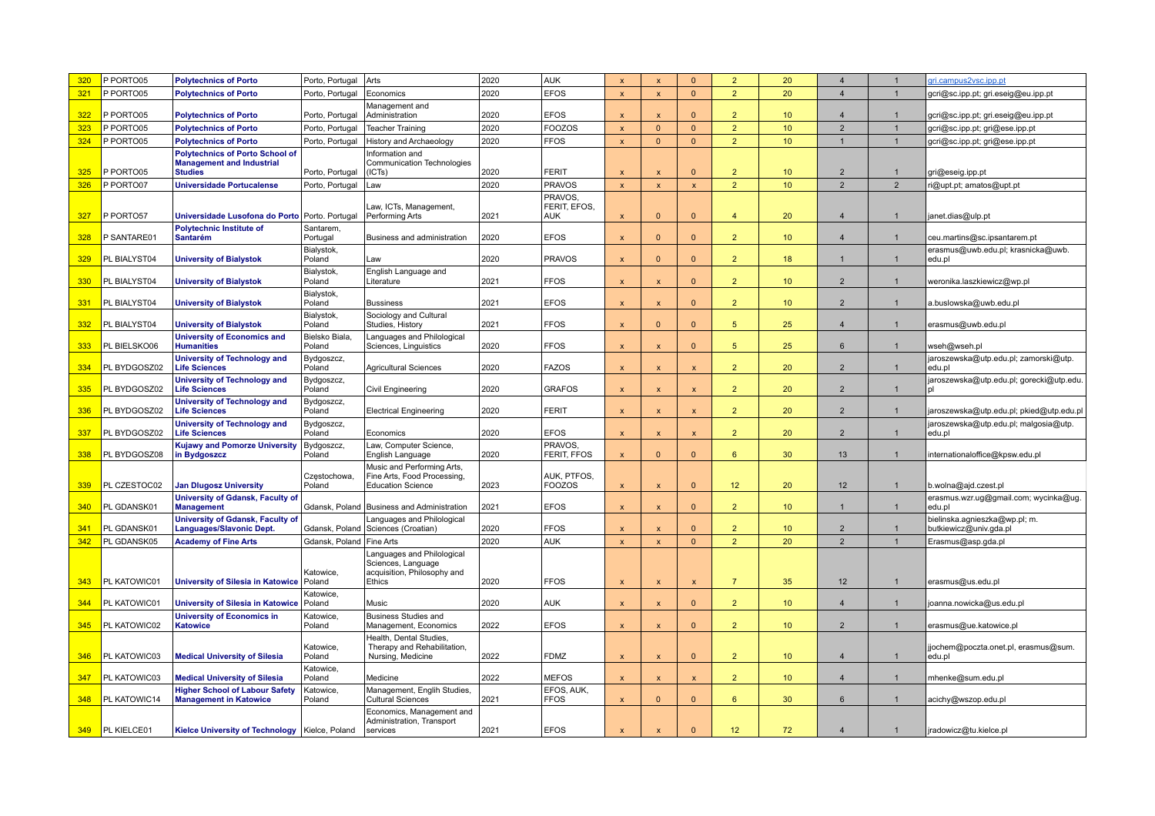| 320 | P PORTO05       | <b>Polytechnics of Porto</b>                                                                 | Porto, Portugal                 | Arts                                                                                      | 2020 | <b>AUK</b>                           | $\mathbf{x}$              | $\mathbf{x}$              | $\mathbf{0}$              | $\overline{2}$ | 20               | $\overline{4}$   | $\mathbf{1}$   | gri.campus2vsc.ipp.pt                                   |
|-----|-----------------|----------------------------------------------------------------------------------------------|---------------------------------|-------------------------------------------------------------------------------------------|------|--------------------------------------|---------------------------|---------------------------|---------------------------|----------------|------------------|------------------|----------------|---------------------------------------------------------|
| 321 | P PORTO05       | <b>Polytechnics of Porto</b>                                                                 | Porto, Portugal                 | Economics                                                                                 | 2020 | <b>EFOS</b>                          | $\boldsymbol{\mathsf{x}}$ | $\mathbf{x}$              | $\Omega$                  | $\overline{2}$ | 20               | $\overline{4}$   |                | gcri@sc.ipp.pt; gri.eseig@eu.ipp.pt                     |
| 322 | P PORTO05       | <b>Polytechnics of Porto</b>                                                                 | Porto, Portugal                 | Management and<br>Administration                                                          | 2020 | <b>EFOS</b>                          | $\mathbf x$               |                           | $\Omega$                  | $\overline{2}$ | 10 <sup>10</sup> | $\boldsymbol{4}$ | $\mathbf{1}$   | gcri@sc.ipp.pt; gri.eseig@eu.ipp.pt                     |
| 323 | P PORTO05       | <b>Polytechnics of Porto</b>                                                                 | Porto, Portugal                 | <b>Teacher Training</b>                                                                   | 2020 | <b>FOOZOS</b>                        | $\mathbf{x}$              | $\Omega$                  | $\mathbf{0}$              | $\overline{2}$ | 10 <sup>°</sup>  | $\overline{2}$   | $\overline{1}$ | gcri@sc.ipp.pt; gri@ese.ipp.pt                          |
| 324 | P PORTO05       | <b>Polytechnics of Porto</b>                                                                 | Porto, Portugal                 | <b>History and Archaeology</b>                                                            | 2020 | <b>FFOS</b>                          | $\boldsymbol{\mathsf{x}}$ | $\Omega$                  | $\mathbf{0}$              | $\overline{2}$ | 10 <sup>°</sup>  | $\overline{1}$   | $\mathbf{1}$   | gcri@sc.ipp.pt; gri@ese.ipp.pt                          |
| 325 | P PORTO05       | <b>Polytechnics of Porto School of</b><br><b>Management and Industrial</b><br><b>Studies</b> | Porto, Portugal                 | Information and<br>Communication Technologies<br>(ICTs)                                   | 2020 | <b>FERIT</b>                         | $\boldsymbol{\mathsf{x}}$ | $\boldsymbol{\mathsf{x}}$ | $\mathbf{0}$              | $\overline{2}$ | 10 <sup>°</sup>  | $\overline{2}$   | $\mathbf{1}$   | gri@eseig.ipp.pt                                        |
| 326 | P PORTO07       | <b>Universidade Portucalense</b>                                                             | Porto, Portugal                 | Law                                                                                       | 2020 | <b>PRAVOS</b>                        | $\boldsymbol{\mathsf{x}}$ | $\mathbf{x}$              | $\mathsf{x}$              | $\overline{2}$ | 10 <sup>°</sup>  | $\overline{2}$   | 2              | i@upt.pt; amatos@upt.pt                                 |
| 327 | P PORTO57       | Universidade Lusofona do Porto Porto. Portugal                                               |                                 | Law, ICTs, Management,<br>Performing Arts                                                 | 2021 | PRAVOS<br>FERIT, EFOS,<br><b>AUK</b> | $\boldsymbol{\mathsf{x}}$ | $\Omega$                  | $\Omega$                  | $\overline{4}$ | 20               | $\overline{4}$   | $\mathbf{1}$   | janet.dias@ulp.pt                                       |
| 328 | P SANTARE01     | <b>Polytechnic Institute of</b><br><b>Santarém</b>                                           | Santarem,<br>Portugal           | Business and administration                                                               | 2020 | <b>EFOS</b>                          | $\boldsymbol{\mathsf{x}}$ | $\Omega$                  | $\mathbf{0}$              | $\overline{2}$ | 10 <sup>°</sup>  | $\overline{4}$   | $\mathbf{1}$   | ceu.martins@sc.ipsantarem.pt                            |
| 329 | PL BIALYST04    | <b>University of Bialystok</b>                                                               | Bialystok,<br>Poland            | Law                                                                                       | 2020 | <b>PRAVOS</b>                        | $\boldsymbol{\mathsf{x}}$ | $\Omega$                  | $\mathbf{0}$              | $\overline{2}$ | 18               | -1               | $\mathbf{1}$   | erasmus@uwb.edu.pl; krasnicka@uwb.<br>edu.pl            |
| 330 | PL BIALYST04    | <b>University of Bialystok</b>                                                               | Bialystok,<br>Poland            | English Language and<br>Literature                                                        | 2021 | <b>FFOS</b>                          | $\boldsymbol{\mathsf{x}}$ | $\boldsymbol{\mathsf{x}}$ | $\mathbf{0}$              | $\overline{2}$ | 10 <sup>°</sup>  | $\overline{2}$   | $\mathbf{1}$   | weronika.laszkiewicz@wp.pl                              |
| 331 | PL BIALYST04    | <b>University of Bialystok</b>                                                               | <b>Bialystok</b><br>Poland      | <b>Bussiness</b>                                                                          | 2021 | <b>EFOS</b>                          | $\boldsymbol{\mathsf{x}}$ | $\boldsymbol{\mathsf{x}}$ | $\Omega$                  | $\overline{2}$ | 10 <sup>°</sup>  | $\overline{2}$   |                | a.buslowska@uwb.edu.pl                                  |
| 332 | PL BIALYST04    | <b>University of Bialystok</b>                                                               | <b>Bialystok</b><br>Poland      | Sociology and Cultural<br>Studies, History                                                | 2021 | <b>FFOS</b>                          | $\boldsymbol{\mathsf{x}}$ | $\Omega$                  | $\Omega$                  | 5              | 25               | $\overline{4}$   |                | erasmus@uwb.edu.pl                                      |
| 333 | PL BIELSKO06    | <b>University of Economics and</b><br><b>Humanities</b>                                      | Bielsko Biala.<br>Poland        | Languages and Philological<br>Sciences, Linguistics                                       | 2020 | <b>FFOS</b>                          | $\boldsymbol{\mathsf{x}}$ | $\boldsymbol{\mathsf{x}}$ | $\Omega$                  | 5              | 25               | 6                | $\overline{1}$ | wseh@wseh.pl                                            |
| 334 | PL BYDGOSZ02    | University of Technology and<br><b>Life Sciences</b>                                         | Bydgoszcz,<br>Poland            | <b>Agricultural Sciences</b>                                                              | 2020 | <b>FAZOS</b>                         | $\boldsymbol{\mathsf{x}}$ | $\mathbf{x}$              | $\mathbf{x}$              | $\mathcal{P}$  | 20               | $\mathcal{P}$    | $\overline{1}$ | jaroszewska@utp.edu.pl; zamorski@utp.<br>edu.pl         |
| 335 | PL BYDGOSZ02    | <b>University of Technology and</b><br><b>Life Sciences</b>                                  | Bydgoszcz.<br>Poland            | Civil Engineering                                                                         | 2020 | <b>GRAFOS</b>                        | $\boldsymbol{\mathsf{x}}$ | $\boldsymbol{\mathsf{x}}$ | $\mathbf{x}$              | 2 <sup>2</sup> | 20               | $\overline{2}$   | $\mathbf{1}$   | jaroszewska@utp.edu.pl; gorecki@utp.edu                 |
| 336 | PL BYDGOSZ02    | University of Technology and<br><b>Life Sciences</b>                                         | Bydgoszcz,<br>Poland            | <b>Electrical Engineering</b>                                                             | 2020 | <b>FERIT</b>                         | $\boldsymbol{\mathsf{x}}$ | $\boldsymbol{\mathsf{x}}$ | $\boldsymbol{\mathsf{x}}$ | $\overline{2}$ | 20               | $\overline{2}$   | $\mathbf{1}$   | jaroszewska@utp.edu.pl; pkied@utp.edu.pl                |
| 337 | PL BYDGOSZ02    | University of Technology and<br><b>Life Sciences</b>                                         | Bydgoszcz,<br>Poland            | Economics                                                                                 | 2020 | <b>EFOS</b>                          | X                         | $\boldsymbol{\mathsf{x}}$ | $\pmb{\mathsf{x}}$        | $\overline{2}$ | 20               | $\overline{2}$   | $\mathbf{1}$   | jaroszewska@utp.edu.pl; malgosia@utp.<br>edu.pl         |
| 338 | PL BYDGOSZ08    | <b>Kujawy and Pomorze University</b><br>in Bydgoszcz                                         | Bydgoszcz,<br>Poland            | Law, Computer Science,<br>English Language                                                | 2020 | PRAVOS.<br><b>FERIT, FFOS</b>        | $\boldsymbol{\mathsf{x}}$ | $\Omega$                  | $\Omega$                  | 6              | 30 <sup>°</sup>  | 13               | $\mathbf{1}$   | internationaloffice@kpsw.edu.pl                         |
| 339 | PL CZESTOC02    | <b>Jan Dlugosz University</b>                                                                | Częstochowa,<br>Poland          | Music and Performing Arts,<br>Fine Arts, Food Processing,<br><b>Education Science</b>     | 2023 | AUK. PTFOS.<br><b>FOOZOS</b>         | $\boldsymbol{\mathsf{x}}$ | $\boldsymbol{\mathsf{x}}$ | $\mathbf{0}$              | 12             | 20               | 12               |                | b.wolna@ajd.czest.pl                                    |
| 340 | PL GDANSK01     | <b>University of Gdansk, Faculty of</b><br><b>Management</b>                                 |                                 | Gdansk, Poland   Business and Administration                                              | 2021 | <b>EFOS</b>                          | $\boldsymbol{\mathsf{x}}$ | $\mathbf x$               | $\Omega$                  | $\overline{2}$ | 10 <sup>°</sup>  |                  |                | erasmus.wzr.ug@gmail.com; wycinka@ug<br>edu.pl          |
| 341 | PL GDANSK01     | University of Gdansk, Faculty of<br>Languages/Slavonic Dept.                                 | Gdansk, Poland                  | Languages and Philological<br>Sciences (Croatian)                                         | 2020 | <b>FFOS</b>                          | $\mathbf x$               | $\boldsymbol{\mathsf{x}}$ | $\Omega$                  | $\overline{2}$ | 10 <sup>°</sup>  | $\overline{2}$   | $\overline{1}$ | bielinska.agnieszka@wp.pl; m.<br>butkiewicz@univ.gda.pl |
| 342 | PL GDANSK05     | <b>Academy of Fine Arts</b>                                                                  | Gdansk, Poland                  | <b>Fine Arts</b>                                                                          | 2020 | <b>AUK</b>                           | $\boldsymbol{\mathsf{x}}$ | $\mathbf{x}$              | $\mathbf{0}$              | $\overline{2}$ | 20               | $\overline{2}$   | $\mathbf{1}$   | Erasmus@asp.gda.pl                                      |
| 343 | PL KATOWIC01    | <b>University of Silesia in Katowice</b>                                                     | Katowice,<br>Poland             | Languages and Philological<br>Sciences, Language<br>acquisition, Philosophy and<br>Ethics | 2020 | <b>FFOS</b>                          | $\boldsymbol{\mathsf{x}}$ | $\overline{\mathsf{x}}$   | $\mathsf{x}$              | $\overline{7}$ | 35               | 12               |                | erasmus@us.edu.pl                                       |
| 344 | PL KATOWIC01    | <b>University of Silesia in Katowice</b>                                                     | <atowice<br>Poland</atowice<br> | Music                                                                                     | 2020 | <b>AUK</b>                           | $\boldsymbol{\mathsf{x}}$ | $\boldsymbol{\mathsf{x}}$ | $\mathbf{0}$              | $\overline{2}$ | 10 <sup>°</sup>  | $\overline{4}$   | $\mathbf{1}$   | joanna.nowicka@us.edu.pl                                |
| 345 | PL KATOWIC02    | <b>University of Economics in</b><br><b>Katowice</b>                                         | Katowice<br>Poland              | <b>Business Studies and</b><br>Management, Economics                                      | 2022 | <b>EFOS</b>                          | $\boldsymbol{\mathsf{x}}$ | $\mathbf{x}$              | $\Omega$                  | $\overline{2}$ | 10 <sup>°</sup>  | $\overline{2}$   | $\mathbf{1}$   | erasmus@ue.katowice.pl                                  |
| 346 | PL KATOWIC03    | <b>Medical University of Silesia</b>                                                         | Katowice<br>Poland              | Health, Dental Studies.<br>Therapy and Rehabilitation,<br>Nursing, Medicine               | 2022 | FDMZ                                 | $\boldsymbol{\mathsf{x}}$ | $\boldsymbol{\mathsf{x}}$ | $\mathbf{0}$              | 2 <sup>2</sup> | 10 <sup>°</sup>  | $\overline{4}$   | $\mathbf{1}$   | jjochem@poczta.onet.pl, erasmus@sum.<br>edu.pl          |
| 347 | PL KATOWIC03    | <b>Medical University of Silesia</b>                                                         | Katowice<br>Poland              | Medicine                                                                                  | 2022 | <b>MEFOS</b>                         | $\boldsymbol{\mathsf{x}}$ | $\mathsf{x}$              | X                         | $\overline{2}$ | 10 <sup>°</sup>  | $\overline{4}$   | $\mathbf{1}$   | mhenke@sum.edu.pl                                       |
| 348 | PL KATOWIC14    | <b>Higher School of Labour Safety</b><br><b>Management in Katowice</b>                       | Katowice,<br>Poland             | Management, Englih Studies,<br><b>Cultural Sciences</b>                                   | 2021 | EFOS, AUK,<br><b>FFOS</b>            | $\boldsymbol{\mathsf{x}}$ | $\mathbf{0}$              | $\mathbf{0}$              | 6              | 30               | 6                | $\mathbf{1}$   | acichy@wszop.edu.pl                                     |
|     | 349 PL KIELCE01 | Kielce University of Technology   Kielce, Poland                                             |                                 | Economics, Management and<br>Administration, Transport<br>services                        | 2021 | <b>EFOS</b>                          | X                         |                           | $\mathbf{0}$              | 12             | 72               | $\overline{4}$   | $\mathbf{1}$   | jradowicz@tu.kielce.pl                                  |
|     |                 |                                                                                              |                                 |                                                                                           |      |                                      |                           |                           |                           |                |                  |                  |                |                                                         |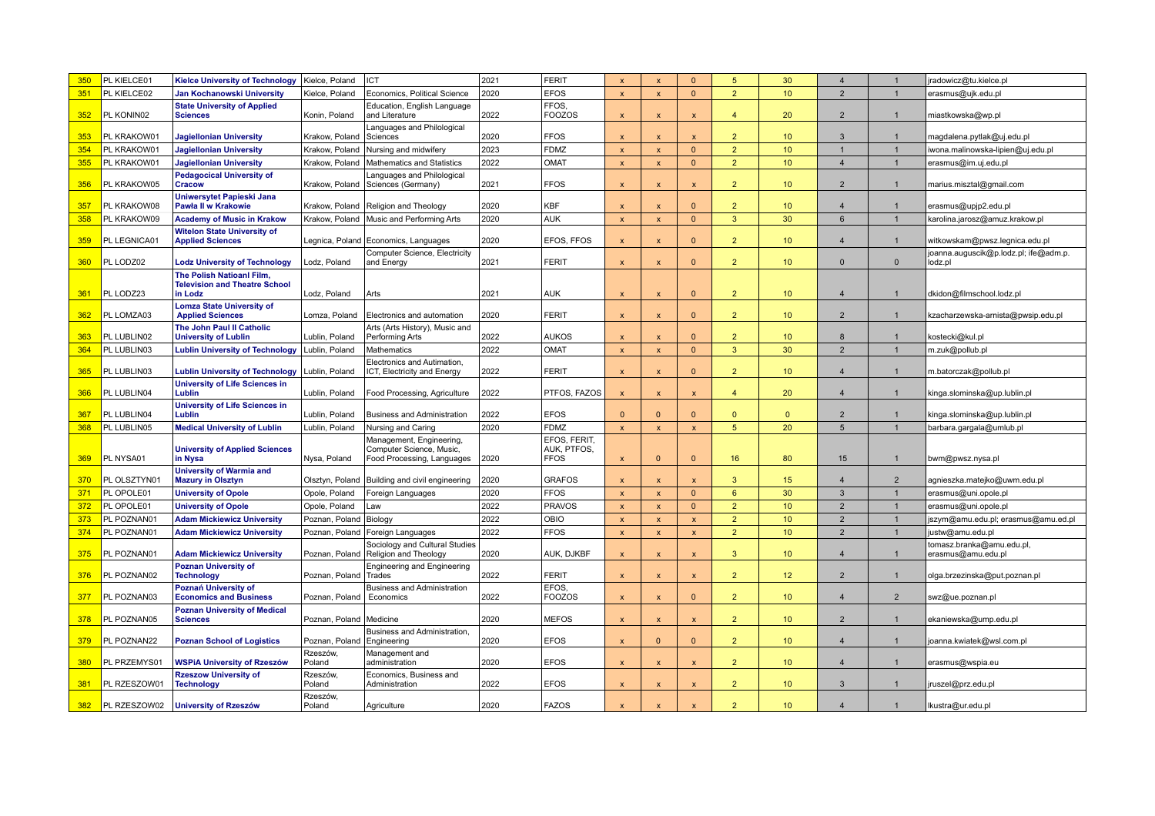| 350 | PL KIELCE01  | <b>Kielce University of Technology</b>                        | Kielce, Poland             | <b>ICT</b>                                                                         | 2021 | <b>FERIT</b>                               | $\boldsymbol{\mathsf{x}}$ | $\boldsymbol{\mathsf{x}}$ | $\Omega$                  | 5              | 30              | $\overline{4}$   |                | radowicz@tu.kielce.pl                            |
|-----|--------------|---------------------------------------------------------------|----------------------------|------------------------------------------------------------------------------------|------|--------------------------------------------|---------------------------|---------------------------|---------------------------|----------------|-----------------|------------------|----------------|--------------------------------------------------|
| 351 | PL KIELCE02  | Jan Kochanowski University                                    | Kielce, Poland             | Economics, Political Science                                                       | 2020 | <b>EFOS</b>                                | $\boldsymbol{\mathsf{x}}$ | $\boldsymbol{\mathsf{x}}$ | $\mathbf{0}$              | $\overline{2}$ | 10 <sup>°</sup> | $\overline{2}$   | $\mathbf{1}$   | erasmus@ujk.edu.pl                               |
| 352 | PL KONIN02   | <b>State University of Applied</b><br><b>Sciences</b>         | Konin, Poland              | Education, English Language<br>and Literature                                      | 2022 | FFOS.<br><b>FOOZOS</b>                     | $\boldsymbol{\mathsf{x}}$ | $\boldsymbol{\mathsf{x}}$ | $\boldsymbol{\mathsf{x}}$ | 4              | 20              | $\overline{2}$   | -1             | miastkowska@wp.pl                                |
| 353 | PL KRAKOW01  | <b>Jagiellonian University</b>                                | Krakow, Poland             | Languages and Philological<br>Sciences                                             | 2020 | <b>FFOS</b>                                | $\boldsymbol{\mathsf{x}}$ | $\boldsymbol{\mathsf{x}}$ | $\mathsf{x}$              | $\overline{2}$ | 10 <sup>°</sup> | 3                | $\mathbf{1}$   | magdalena.pytlak@uj.edu.pl                       |
| 354 | PL KRAKOW01  | <b>Jagiellonian University</b>                                | Krakow, Poland             | Nursing and midwifery                                                              | 2023 | <b>FDMZ</b>                                | $\boldsymbol{\mathsf{x}}$ | $\boldsymbol{\mathsf{x}}$ | $\overline{0}$            | 2 <sup>2</sup> | 10 <sup>°</sup> |                  | $\mathbf{1}$   | iwona.malinowska-lipien@uj.edu.pl                |
| 355 | PL KRAKOW01  | <b>Jagiellonian University</b>                                | Krakow, Poland             | Mathematics and Statistics                                                         | 2022 | OMAT                                       | $\boldsymbol{\mathsf{x}}$ | $\boldsymbol{\mathsf{x}}$ | $\overline{0}$            | 2 <sup>1</sup> | 10 <sup>°</sup> | $\overline{4}$   | $\mathbf{1}$   | erasmus@im.uj.edu.pl                             |
|     |              | <b>Pedagocical University of</b>                              |                            | anguages and Philological                                                          |      |                                            |                           |                           |                           |                |                 |                  |                |                                                  |
| 356 | PL KRAKOW05  | <b>Cracow</b>                                                 | Krakow, Poland             | Sciences (Germany)                                                                 | 2021 | <b>FFOS</b>                                | $\boldsymbol{\mathsf{x}}$ | $\boldsymbol{\mathsf{x}}$ | $\mathsf{x}$              | $\overline{2}$ | 10 <sup>°</sup> | $\overline{2}$   | $\mathbf{1}$   | marius.misztal@gmail.com                         |
| 357 | PL KRAKOW08  | Uniwersytet Papieski Jana<br><b>Pawła II w Krakowie</b>       |                            | Krakow, Poland   Religion and Theology                                             | 2020 | <b>KBF</b>                                 | $\boldsymbol{\mathsf{x}}$ | $\boldsymbol{\mathsf{x}}$ | $\Omega$                  | $\overline{2}$ | 10 <sup>°</sup> | $\overline{4}$   | $\mathbf{1}$   | erasmus@upjp2.edu.pl                             |
| 358 | PL KRAKOW09  | <b>Academy of Music in Krakow</b>                             | Krakow, Poland             | Music and Performing Arts                                                          | 2020 | <b>AUK</b>                                 | $\boldsymbol{\mathsf{x}}$ | $\mathbf{x}$              | $\mathbf{0}$              | 3              | 30              | 6                | $\overline{1}$ | karolina.jarosz@amuz.krakow.pl                   |
| 359 | PL LEGNICA01 | <b>Witelon State University of</b><br><b>Applied Sciences</b> |                            | Legnica, Poland Economics, Languages                                               | 2020 | EFOS, FFOS                                 | $\boldsymbol{\mathsf{x}}$ | $\boldsymbol{\mathsf{x}}$ | $\mathbf{0}$              | 2 <sup>1</sup> | 10 <sup>°</sup> | $\overline{4}$   | $\mathbf{1}$   | witkowskam@pwsz.legnica.edu.pl                   |
| 360 | PL LODZ02    | <b>Lodz University of Technology</b>                          | Lodz, Poland               | Computer Science, Electricity<br>and Energy                                        | 2021 | <b>FERIT</b>                               | $\boldsymbol{\mathsf{x}}$ | $\boldsymbol{\mathsf{x}}$ | $\mathbf{0}$              | $\overline{2}$ | 10 <sup>°</sup> | $\Omega$         | $\mathbf{0}$   | joanna.auguscik@p.lodz.pl; ife@adm.p.<br>lodz.pl |
|     |              | <b>The Polish Natioanl Film.</b>                              |                            |                                                                                    |      |                                            |                           |                           |                           |                |                 |                  |                |                                                  |
| 361 | PL LODZ23    | <b>Television and Theatre School</b><br>in Lodz               | Lodz, Poland               | Arts                                                                               | 2021 | <b>AUK</b>                                 | $\boldsymbol{\mathsf{x}}$ | $\mathbf x$               | $\Omega$                  | $\overline{2}$ | 10 <sup>°</sup> | $\overline{4}$   |                | dkidon@filmschool.lodz.pl                        |
| 362 | PL LOMZA03   | <b>Lomza State University of</b><br><b>Applied Sciences</b>   | Lomza, Poland              | Electronics and automation                                                         | 2020 | <b>FERIT</b>                               | $\overline{\mathsf{x}}$   | $\mathbf x$               | $\mathbf{0}$              | $\overline{2}$ | 10 <sup>°</sup> | $\overline{2}$   |                | kzacharzewska-arnista@pwsip.edu.pl               |
| 363 | PL LUBLIN02  | The John Paul II Catholic<br><b>University of Lublin</b>      | ublin, Poland              | Arts (Arts History), Music and<br>Performing Arts                                  | 2022 | <b>AUKOS</b>                               | $\boldsymbol{\mathsf{x}}$ | $\mathbf{x}$              | $\Omega$                  | $\overline{2}$ | 10              | 8                |                | kostecki@kul.pl                                  |
| 364 | PL LUBLIN03  | <b>Lublin University of Technology</b>                        | ublin, Poland              | Mathematics                                                                        | 2022 | OMAT                                       | $\boldsymbol{\mathsf{x}}$ | $\mathbf{x}$              | $\Omega$                  | $\overline{3}$ | 30 <sup>°</sup> | $\mathcal{P}$    |                | m.zuk@pollub.pl                                  |
| 365 | PL LUBLIN03  | <b>Lublin University of Technology</b>                        | Lublin, Poland             | Electronics and Autimation,<br>ICT, Electricity and Energy                         | 2022 | <b>FERIT</b>                               | $\boldsymbol{\mathsf{x}}$ | $\boldsymbol{\mathsf{x}}$ | $\Omega$                  | $\overline{2}$ | 10 <sup>°</sup> | $\overline{4}$   | $\mathbf{1}$   | m.batorczak@pollub.pl                            |
| 366 | PL LUBLIN04  | <b>University of Life Sciences in</b><br>Lublin               | Lublin, Poland             | Food Processing, Agriculture                                                       | 2022 | PTFOS, FAZOS                               | $\boldsymbol{\mathsf{x}}$ | $\boldsymbol{\mathsf{x}}$ | $\pmb{\mathsf{x}}$        | $\overline{4}$ | 20              | $\overline{4}$   | $\mathbf{1}$   | kinga.slominska@up.lublin.pl                     |
| 367 | PL LUBLIN04  | <b>University of Life Sciences in</b><br>Lublin               | Lublin, Poland             | <b>Business and Administration</b>                                                 | 2022 | <b>EFOS</b>                                | $\Omega$                  | $\Omega$                  | $\Omega$                  | $\Omega$       | $\mathbf{0}$    | $\overline{2}$   | $\mathbf{1}$   | kinga.slominska@up.lublin.pl                     |
| 368 | PL LUBLIN05  | <b>Medical University of Lublin</b>                           | Lublin, Poland             | <b>Nursing and Caring</b>                                                          | 2020 | <b>FDMZ</b>                                | $\boldsymbol{\mathsf{x}}$ | $\boldsymbol{\mathsf{x}}$ | $\pmb{\times}$            | 5 <sub>5</sub> | 20              | $5\overline{5}$  | $\mathbf{1}$   | barbara.gargala@umlub.pl                         |
| 369 | PL NYSA01    | <b>University of Applied Sciences</b><br>in Nysa              | Nysa, Poland               | Management, Engineering,<br>Computer Science, Music,<br>Food Processing, Languages | 2020 | EFOS, FERIT.<br>AUK, PTFOS,<br><b>FFOS</b> | $\boldsymbol{\mathsf{x}}$ | $\Omega$                  | $\Omega$                  | 16             | 80              | 15 <sup>15</sup> | $\mathbf{1}$   | bwm@pwsz.nysa.pl                                 |
| 370 | PL OLSZTYN01 | <b>University of Warmia and</b><br><b>Mazury in Olsztyn</b>   | Olsztyn, Poland            | Building and civil engineering                                                     | 2020 | <b>GRAFOS</b>                              | $\boldsymbol{\mathsf{x}}$ | $\boldsymbol{\mathsf{x}}$ | $\mathbf{x}$              | $\mathbf{3}$   | 15              | $\overline{4}$   | $\overline{2}$ | agnieszka.matejko@uwm.edu.pl                     |
| 371 | PL OPOLE01   | <b>University of Opole</b>                                    | Opole, Poland              | Foreign Languages                                                                  | 2020 | <b>FFOS</b>                                | $\boldsymbol{\mathsf{x}}$ | $\mathbf{x}$              | $\mathbf{0}$              | $6^{\circ}$    | 30 <sup>°</sup> | $\mathbf{3}$     | $\mathbf{1}$   | erasmus@uni.opole.pl                             |
| 372 | PL OPOLE01   | <b>University of Opole</b>                                    | Opole, Poland              | Law                                                                                | 2022 | <b>PRAVOS</b>                              | $\overline{\mathbf{x}}$   | $\mathbf{x}$              | $\mathbf{0}$              | $\overline{2}$ | 10 <sup>°</sup> | $\overline{2}$   | $\mathbf{1}$   | erasmus@uni.opole.pl                             |
| 373 | PL POZNAN01  | <b>Adam Mickiewicz University</b>                             | Poznan, Poland             | Biology                                                                            | 2022 | OBIO                                       | $\mathbf{x}$              | $\mathbf{x}$              | $\mathsf{x}$              | $\overline{2}$ | 10 <sup>°</sup> | $\overline{2}$   | $\mathbf{1}$   | szym@amu.edu.pl; erasmus@amu.ed.pl               |
| 374 | PL POZNAN01  | <b>Adam Mickiewicz University</b>                             | Poznan, Poland             | Foreign Languages                                                                  | 2022 | <b>FFOS</b>                                | $\overline{\mathbf{x}}$   | $\mathbf{x}$              | $\pmb{\mathsf{x}}$        | $\overline{2}$ | 10 <sup>°</sup> | $\overline{2}$   | $\mathbf{1}$   | ustw@amu.edu.pl                                  |
| 375 | PL POZNAN01  | <b>Adam Mickiewicz University</b>                             |                            | Sociology and Cultural Studies<br>Poznan, Poland   Religion and Theology           | 2020 | AUK. DJKBF                                 | $\boldsymbol{\mathsf{x}}$ | $\boldsymbol{\mathsf{x}}$ | $\mathsf{x}$              | $\mathbf{R}$   | 10 <sup>1</sup> | $\overline{4}$   | $\mathbf{1}$   | tomasz.branka@amu.edu.pl,<br>erasmus@amu.edu.pl  |
| 376 | PL POZNAN02  | <b>Poznan University of</b><br><b>Technology</b>              | Poznan, Poland             | <b>Engineering and Engineering</b><br>Trades                                       | 2022 | <b>FERIT</b>                               | $\boldsymbol{\mathsf{x}}$ | $\mathsf{x}$              | $\mathsf{x}$              | $\overline{2}$ | 12 <sup>°</sup> | $\overline{2}$   | $\mathbf{1}$   | olga.brzezinska@put.poznan.pl                    |
| 377 | PL POZNAN03  | Poznań University of<br><b>Economics and Business</b>         | Poznan, Poland             | <b>Business and Administration</b><br>Economics                                    | 2022 | EFOS.<br><b>FOOZOS</b>                     | $\boldsymbol{\mathsf{x}}$ | $\boldsymbol{\mathsf{x}}$ | $\mathbf{0}$              | $\overline{2}$ | 10 <sup>°</sup> | $\overline{4}$   | $\overline{2}$ | swz@ue.poznan.pl                                 |
| 378 | PL POZNAN05  | <b>Poznan University of Medical</b><br><b>Sciences</b>        | Poznan, Poland   Medicine  |                                                                                    | 2020 | <b>MEFOS</b>                               | $\boldsymbol{\mathsf{x}}$ | $\boldsymbol{\mathsf{x}}$ | $\mathbf{x}$              | $\overline{2}$ | 10 <sup>°</sup> | $\mathcal{P}$    | $\mathbf{1}$   | ekaniewska@ump.edu.pl                            |
| 379 | PL POZNAN22  | <b>Poznan School of Logistics</b>                             | Poznan, Poland Engineering | Business and Administration.                                                       | 2020 | <b>EFOS</b>                                | $\mathbf x$               | $\Omega$                  | $\Omega$                  | $\overline{2}$ | 10 <sup>°</sup> | $\overline{4}$   |                | oanna.kwiatek@wsl.com.pl                         |
| 380 | PL PRZEMYS01 | <b>WSPiA University of Rzeszów</b>                            | Rzeszów,<br>Poland         | Management and<br>administration                                                   | 2020 | <b>EFOS</b>                                | $\boldsymbol{\mathsf{x}}$ | $\mathbf x$               | $\mathsf{x}$              | $\overline{2}$ | 10 <sup>°</sup> | $\overline{4}$   |                | erasmus@wspia.eu                                 |
| 381 | PL RZESZOW01 | <b>Rzeszow University of</b><br><b>Technology</b>             | Rzeszów<br>Poland          | Economics, Business and<br>Administration                                          | 2022 | <b>EFOS</b>                                | $\boldsymbol{\mathsf{x}}$ | $\boldsymbol{\mathsf{x}}$ | $\mathbf{x}$              | $\overline{2}$ | 10 <sup>°</sup> | 3                |                | ruszel@prz.edu.pl                                |
| 382 | PL RZESZOW02 | <b>University of Rzeszów</b>                                  | Rzeszów,<br>Poland         | Agriculture                                                                        | 2020 | <b>FAZOS</b>                               | $\mathbf x$               |                           | $\mathbf{x}$              | $\overline{2}$ | 10 <sup>°</sup> | $\overline{4}$   |                | lkustra@ur.edu.pl                                |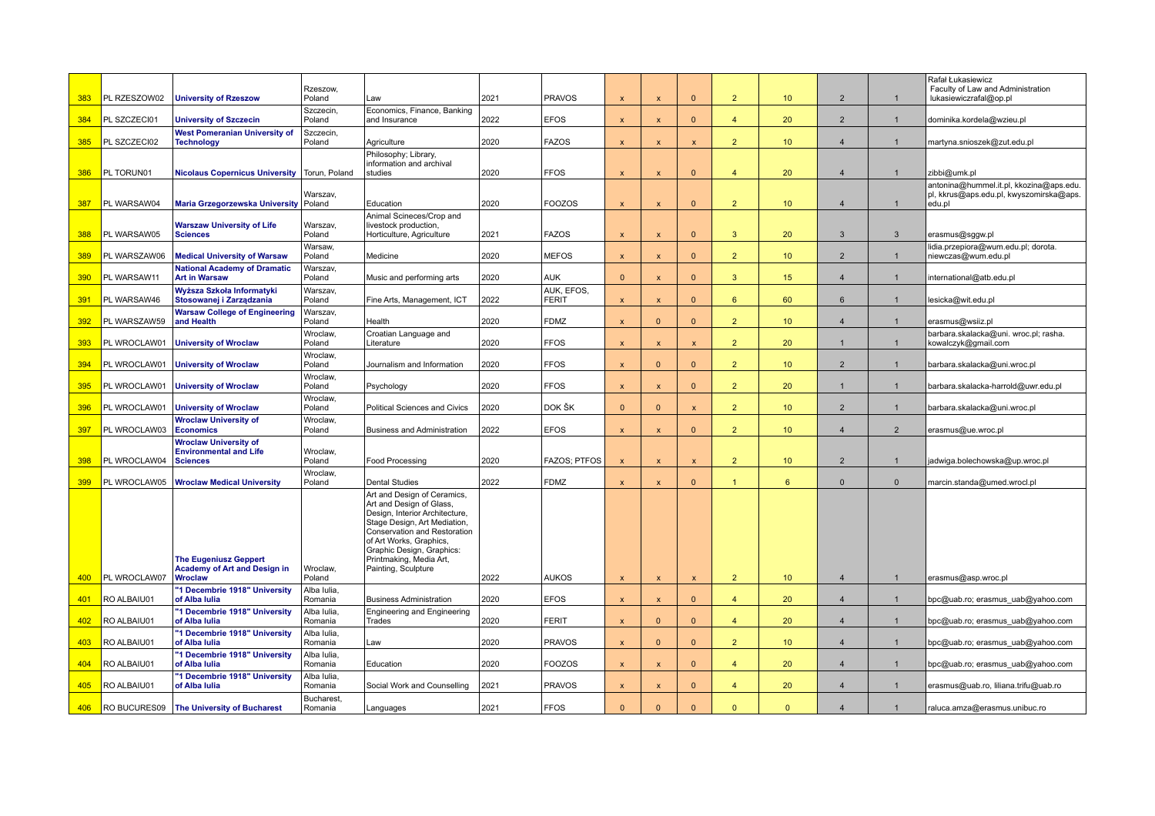| 383 | PL RZESZOW02 | <b>University of Rzeszow</b>                                                     | Rzeszow,<br>Poland          | Law                                                                                                                                                                                                                                                                 | 2021 | PRAVOS              | $\mathbf{x}$              | $\mathbf{x}$              | $\Omega$           | 2                    | 10 <sup>°</sup> | $\overline{2}$ | $\mathbf{1}$   | Rafał Łukasiewicz<br>Faculty of Law and Administration<br>lukasiewiczrafal@op.pl             |
|-----|--------------|----------------------------------------------------------------------------------|-----------------------------|---------------------------------------------------------------------------------------------------------------------------------------------------------------------------------------------------------------------------------------------------------------------|------|---------------------|---------------------------|---------------------------|--------------------|----------------------|-----------------|----------------|----------------|----------------------------------------------------------------------------------------------|
| 384 | PL SZCZECI01 | <b>University of Szczecin</b>                                                    | Szczecin,<br>Poland         | Economics, Finance, Banking<br>and Insurance                                                                                                                                                                                                                        | 2022 | <b>EFOS</b>         | $\mathbf{x}$              | $\mathbf{x}$              | $\mathbf{0}$       | $\overline{4}$       | 20              | $\overline{2}$ | $\mathbf{1}$   | dominika.kordela@wzieu.pl                                                                    |
| 385 | PL SZCZECI02 | <b>West Pomeranian University of</b><br><b>Technology</b>                        | Szczecin,<br>Poland         | Agriculture                                                                                                                                                                                                                                                         | 2020 | <b>FAZOS</b>        | $\mathbf{x}$              | $\mathbf{x}$              | $\mathbf{x}$       | $\overline{2}$       | 10 <sup>°</sup> | $\overline{4}$ | $\mathbf{1}$   | martyna.snioszek@zut.edu.pl                                                                  |
| 386 | PL TORUN01   | <b>Nicolaus Copernicus University</b>                                            | Torun, Poland               | Philosophy; Library,<br>information and archival<br>studies                                                                                                                                                                                                         | 2020 | <b>FFOS</b>         | $\boldsymbol{\mathsf{x}}$ | $\boldsymbol{\mathsf{x}}$ | $\mathbf{0}$       | $\overline{4}$       | 20              | $\overline{4}$ | $\mathbf{1}$   | zibbi@umk.pl                                                                                 |
| 387 | PL WARSAW04  | <b>Maria Grzegorzewska University</b>                                            | Warszav,<br>Poland          | Education                                                                                                                                                                                                                                                           | 2020 | FOOZOS              | $\mathbf{x}$              | $\mathbf{x}$              | $\Omega$           | $\overline{2}$       | 10              | $\overline{4}$ | $\overline{1}$ | antonina@hummel.it.pl, kkozina@aps.edu.<br>pl, kkrus@aps.edu.pl, kwyszomirska@aps.<br>edu.pl |
| 388 | PL WARSAW05  | Warszaw University of Life<br><b>Sciences</b>                                    | Warszav,<br>Poland          | Animal Scineces/Crop and<br>livestock production,<br>Horticulture, Agriculture                                                                                                                                                                                      | 2021 | <b>FAZOS</b>        | $\mathbf{x}$              | $\mathbf{x}$              | $\Omega$           | 3                    | 20              | 3              | 3              | erasmus@sggw.pl                                                                              |
| 389 | PL WARSZAW06 | <b>Medical University of Warsaw</b>                                              | Warsaw,<br>Poland           | Medicine                                                                                                                                                                                                                                                            | 2020 | <b>IMEFOS</b>       | $\mathbf{x}$              | $\mathsf{x}$              | $\mathbf{0}$       | $\overline{2}$       | 10              | $\overline{2}$ | $\mathbf 1$    | lidia.przepiora@wum.edu.pl; dorota.<br>niewczas@wum.edu.pl                                   |
| 390 | PL WARSAW11  | <b>National Academy of Dramatic</b><br><b>Art in Warsaw</b>                      | Warszav,<br>Poland          | Music and performing arts                                                                                                                                                                                                                                           | 2020 | <b>AUK</b>          | $\Omega$                  | $\mathbf{x}$              | $\Omega$           | $\overline{3}$       | 15              | $\overline{4}$ | $\mathbf 1$    | international@atb.edu.pl                                                                     |
| 391 | PL WARSAW46  | Wyższa Szkoła Informatyki<br>Stosowanej i Zarządzania                            | Warszav.<br>Poland          | Fine Arts, Management, ICT                                                                                                                                                                                                                                          | 2022 | AUK. EFOS.<br>FERIT | X                         | $\boldsymbol{\mathsf{x}}$ | $\mathbf{0}$       | $6\overline{6}$      | 60              | 6              | $\mathbf{1}$   | lesicka@wit.edu.pl                                                                           |
| 392 | PL WARSZAW59 | <b>Warsaw College of Engineering</b><br>and Health                               | Warszav,<br>Poland          | Health                                                                                                                                                                                                                                                              | 2020 | FDMZ                | $\boldsymbol{\mathsf{x}}$ | $\Omega$                  | $\Omega$           | $\overline{2}$       | 10 <sub>1</sub> | $\overline{4}$ | $\mathbf{1}$   | erasmus@wsiiz.pl                                                                             |
| 393 | PL WROCLAW01 | <b>University of Wroclaw</b>                                                     | Wroclaw,<br>Poland          | Croatian Language and<br>Literature                                                                                                                                                                                                                                 | 2020 | <b>FFOS</b>         | X                         | $\boldsymbol{\mathsf{x}}$ | $\pmb{\mathsf{x}}$ | 2 <sup>2</sup>       | 20              | $\overline{1}$ | $\mathbf{1}$   | barbara.skalacka@uni. wroc.pl; rasha.<br>kowalczyk@gmail.com                                 |
| 394 | PL WROCLAW01 | <b>University of Wroclaw</b>                                                     | Wroclaw,<br>Poland          | Journalism and Information                                                                                                                                                                                                                                          | 2020 | <b>FFOS</b>         | X                         | $\Omega$                  | $\mathbf{0}$       | $\overline{2}$       | 10 <sub>1</sub> | $\overline{2}$ | $\mathbf 1$    | barbara.skalacka@uni.wroc.pl                                                                 |
| 395 | PL WROCLAW01 | <b>University of Wroclaw</b>                                                     | Wroclaw,<br>Poland          | Psychology                                                                                                                                                                                                                                                          | 2020 | <b>FFOS</b>         | X                         | $\boldsymbol{\mathsf{x}}$ | $\mathbf{0}$       | 2 <sup>2</sup>       | 20              | $\mathbf 1$    | $\mathbf{1}$   | barbara.skalacka-harrold@uwr.edu.pl                                                          |
| 396 | PL WROCLAW01 | <b>University of Wroclaw</b>                                                     | Wroclaw,<br>Poland          | <b>Political Sciences and Civics</b>                                                                                                                                                                                                                                | 2020 | DOK ŠK              | $\Omega$                  | $\Omega$                  | $\boldsymbol{x}$   | $\overline{2}$       | 10 <sub>1</sub> | $\overline{2}$ | $\mathbf 1$    | barbara.skalacka@uni.wroc.pl                                                                 |
| 397 | PL WROCLAW03 | <b>Wroclaw University of</b><br><b>Economics</b>                                 | Wroclaw,<br>Poland          | <b>Business and Administration</b>                                                                                                                                                                                                                                  | 2022 | <b>EFOS</b>         | $\boldsymbol{\mathsf{x}}$ | $\boldsymbol{\mathsf{x}}$ | $\mathbf{0}$       | $\overline{2}$       | 10 <sup>°</sup> | $\overline{4}$ | $\overline{2}$ | erasmus@ue.wroc.pl                                                                           |
| 398 | PL WROCLAW04 | <b>Wroclaw University of</b><br><b>Environmental and Life</b><br><b>Sciences</b> | Wroclaw,<br>Poland          | <b>Food Processing</b>                                                                                                                                                                                                                                              | 2020 | <b>FAZOS: PTFOS</b> | $\boldsymbol{\mathsf{x}}$ | $\boldsymbol{\mathsf{x}}$ | $\mathbf{x}$       | $\overline{2}$       | 10 <sup>°</sup> | $\overline{2}$ | $\overline{1}$ | jadwiga.bolechowska@up.wroc.pl                                                               |
| 399 | PL WROCLAW05 | <b>Wroclaw Medical University</b>                                                | Wroclaw,<br>Poland          | <b>Dental Studies</b>                                                                                                                                                                                                                                               | 2022 | <b>FDMZ</b>         | $\mathbf{x}$              | $\boldsymbol{\mathsf{x}}$ | $\Omega$           | $\blacktriangleleft$ | $6^{\circ}$     | $\Omega$       | $\overline{0}$ | marcin.standa@umed.wrocl.pl                                                                  |
|     |              | <b>The Eugeniusz Geppert</b><br><b>Academy of Art and Design in</b>              | Wroclaw,                    | Art and Design of Ceramics,<br>Art and Design of Glass,<br>Design, Interior Architecture,<br>Stage Design, Art Mediation,<br>Conservation and Restoration<br>of Art Works, Graphics,<br>Graphic Design, Graphics:<br>Printmaking, Media Art,<br>Painting, Sculpture |      |                     |                           |                           |                    |                      |                 |                |                |                                                                                              |
| 400 | PL WROCLAW07 | <b>Wroclaw</b><br>'1 Decembrie 1918" University                                  | Poland<br>Alba Iulia        |                                                                                                                                                                                                                                                                     | 2022 | <b>AUKOS</b>        | $\boldsymbol{\mathsf{x}}$ | $\mathsf{x}$              | $\mathbf{x}$       | 2                    | 10 <sup>°</sup> | $\overline{4}$ | $\mathbf{1}$   | erasmus@asp.wroc.pl                                                                          |
| 401 | RO ALBAIU01  | of Alba Iulia<br>"1 Decembrie 1918" University                                   | Romania<br>Alba Iulia       | <b>Business Administration</b><br><b>Engineering and Engineering</b>                                                                                                                                                                                                | 2020 | <b>EFOS</b>         | $\mathbf{x}$              | $\mathbf{x}$              | $\Omega$           | $\overline{4}$       | 20              | $\overline{4}$ | $\mathbf{1}$   | bpc@uab.ro; erasmus uab@yahoo.com                                                            |
| 402 | RO ALBAIU01  | of Alba Iulia                                                                    | Romania                     | Trades                                                                                                                                                                                                                                                              | 2020 | FERIT               | $\boldsymbol{\mathsf{x}}$ | $\Omega$                  | $\Omega$           | $\overline{4}$       | 20              | $\overline{4}$ | $\mathbf{1}$   | bpc@uab.ro; erasmus_uab@yahoo.com                                                            |
| 403 | RO ALBAIU01  | "1 Decembrie 1918" University<br>of Alba Iulia                                   | Alba Iulia<br>Romania       | Law                                                                                                                                                                                                                                                                 | 2020 | <b>PRAVOS</b>       | $\boldsymbol{\mathsf{x}}$ | $\Omega$                  | $\Omega$           | $\overline{2}$       | 10 <sup>°</sup> | $\overline{4}$ | $\overline{1}$ | bpc@uab.ro; erasmus_uab@yahoo.com                                                            |
| 404 | RO ALBAIU01  | "1 Decembrie 1918" University<br>of Alba Iulia                                   | Alba Iulia<br>Romania       | Education                                                                                                                                                                                                                                                           | 2020 | <b>FOOZOS</b>       | $\boldsymbol{\mathsf{x}}$ | $\boldsymbol{\mathsf{x}}$ | $\mathbf{0}$       | $\overline{4}$       | 20              | $\overline{4}$ | $\overline{1}$ | bpc@uab.ro; erasmus_uab@yahoo.com                                                            |
| 405 | RO ALBAIU01  | "1 Decembrie 1918" University<br>of Alba Iulia                                   | Alba lulia<br>Romania       | Social Work and Counselling                                                                                                                                                                                                                                         | 2021 | PRAVOS              | $\boldsymbol{\mathsf{x}}$ | $\mathbf{x}$              | $\Omega$           | $\overline{4}$       | 20              | $\overline{4}$ | $\overline{1}$ | erasmus@uab.ro, liliana.trifu@uab.ro                                                         |
| 406 |              | RO BUCURES09   The University of Bucharest                                       | <b>Bucharest</b><br>Romania | Languages                                                                                                                                                                                                                                                           | 2021 | <b>FFOS</b>         | $\Omega$                  | $\Omega$                  | $\Omega$           | $\mathbf{0}$         | $\mathbf{0}$    | $\overline{4}$ | $\overline{1}$ | raluca.amza@erasmus.unibuc.ro                                                                |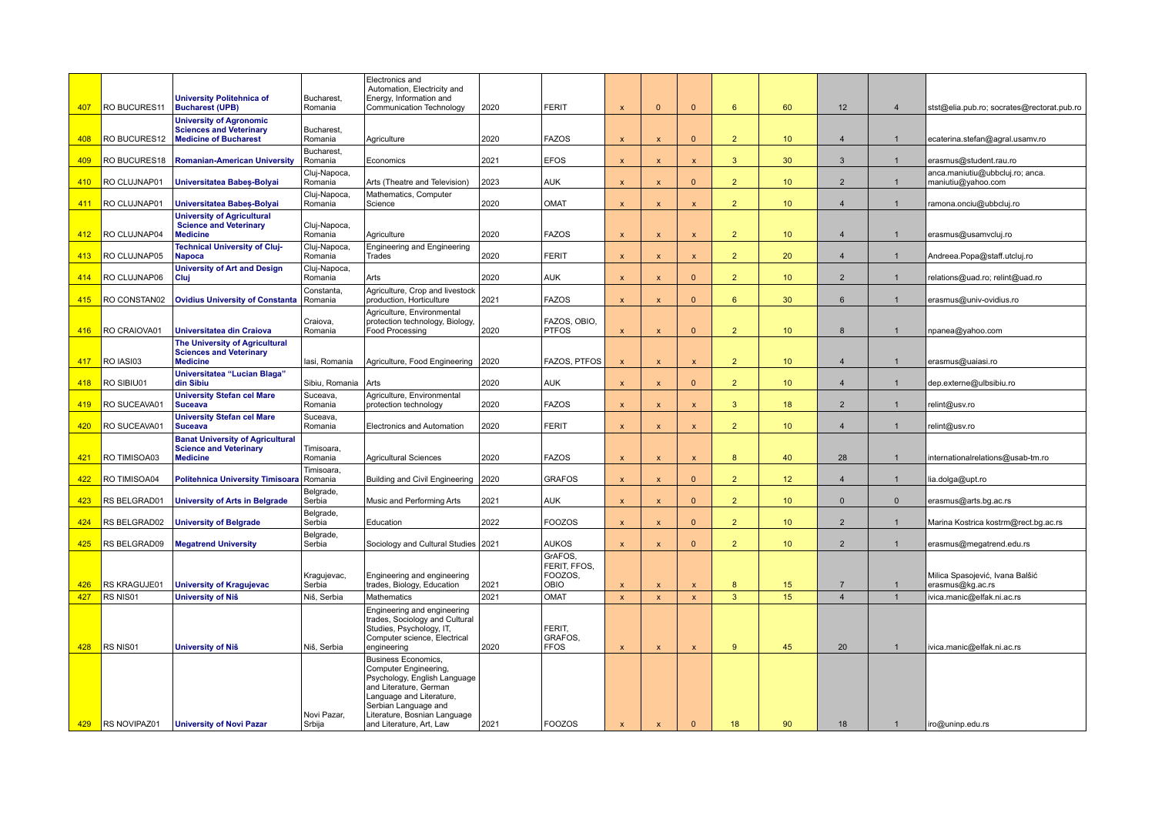|     |              | <b>University Politehnica of</b>                                                            | Bucharest.              | Electronics and<br>Automation, Electricity and<br>Energy, Information and                                                                                                                                                     | 2020 | <b>FERIT</b>                     |                           | $\mathbf{0}$              |                           | 6 <sup>1</sup> |                 |                  | $\overline{4}$ |                                                       |
|-----|--------------|---------------------------------------------------------------------------------------------|-------------------------|-------------------------------------------------------------------------------------------------------------------------------------------------------------------------------------------------------------------------------|------|----------------------------------|---------------------------|---------------------------|---------------------------|----------------|-----------------|------------------|----------------|-------------------------------------------------------|
| 407 | RO BUCURES11 | <b>Bucharest (UPB)</b><br><b>University of Agronomic</b>                                    | Romania                 | Communication Technology                                                                                                                                                                                                      |      |                                  | $\boldsymbol{\mathsf{x}}$ |                           | $\mathbf{0}$              |                | 60              | 12               |                | stst@elia.pub.ro; socrates@rectorat.pub.ro            |
| 408 | RO BUCURES12 | <b>Sciences and Veterinary</b><br><b>Medicine of Bucharest</b>                              | Bucharest.<br>Romania   | Agriculture                                                                                                                                                                                                                   | 2020 | <b>FAZOS</b>                     | $\mathbf{x}$              | $\mathbf{x}$              | $\mathbf{0}$              | 2 <sup>2</sup> | 10 <sup>°</sup> | $\overline{4}$   | 1              | ecaterina.stefan@agral.usamv.ro                       |
| 409 | RO BUCURES18 | <b>Romanian-American University</b>                                                         | Bucharest,<br>Romania   | Economics                                                                                                                                                                                                                     | 2021 | <b>EFOS</b>                      | $\mathbf{x}$              | $\boldsymbol{\mathsf{x}}$ | $\mathbf{x}$              | 3              | 30              | $\mathbf{3}$     | $\mathbf{1}$   | erasmus@student.rau.ro                                |
| 410 | RO CLUJNAP01 | <b>Universitatea Babes-Bolyai</b>                                                           | Cluj-Napoca,<br>Romania | Arts (Theatre and Television)                                                                                                                                                                                                 | 2023 | <b>AUK</b>                       | $\boldsymbol{\mathsf{x}}$ | $\boldsymbol{\mathsf{x}}$ | $\mathbf{0}$              | 2 <sup>2</sup> | 10 <sup>°</sup> | $\overline{2}$   | $\mathbf{1}$   | anca.maniutiu@ubbcluj.ro; anca.<br>maniutiu@yahoo.com |
| 411 | RO CLUJNAP01 | <b>Universitatea Babes-Bolyai</b>                                                           | Cluj-Napoca,<br>Romania | Mathematics, Computer<br>Science                                                                                                                                                                                              | 2020 | <b>OMAT</b>                      | $\boldsymbol{\mathsf{x}}$ | $\boldsymbol{\mathsf{x}}$ | $\mathsf{x}$              | 2 <sup>1</sup> | 10 <sup>°</sup> | $\overline{4}$   | $\mathbf{1}$   | ramona.onciu@ubbcluj.ro                               |
| 412 | RO CLUJNAP04 | <b>University of Agricultural</b><br><b>Science and Veterinary</b><br><b>Medicine</b>       | Cluj-Napoca,<br>Romania | Agriculture                                                                                                                                                                                                                   | 2020 | <b>FAZOS</b>                     | $\boldsymbol{\mathsf{x}}$ | $\boldsymbol{\mathsf{x}}$ | $\mathsf{x}$              | 2 <sup>1</sup> | 10 <sup>°</sup> | $\overline{4}$   | $\mathbf{1}$   | erasmus@usamvcluj.ro                                  |
| 413 | RO CLUJNAP05 | <b>Technical University of Cluj-</b><br><b>Napoca</b>                                       | Cluj-Napoca,<br>Romania | Engineering and Engineering<br>Trades                                                                                                                                                                                         | 2020 | <b>FERIT</b>                     | $\boldsymbol{\mathsf{x}}$ | $\boldsymbol{\mathsf{x}}$ | $\boldsymbol{\mathsf{x}}$ | 2 <sup>1</sup> | 20              | $\overline{4}$   | $\mathbf{1}$   | Andreea.Popa@staff.utcluj.ro                          |
| 414 | RO CLUJNAP06 | <b>University of Art and Design</b><br>Cluj                                                 | Cluj-Napoca,<br>Romania | Arts                                                                                                                                                                                                                          | 2020 | <b>AUK</b>                       | $\boldsymbol{\mathsf{x}}$ | $\boldsymbol{\mathsf{x}}$ | $\mathbf{0}$              | 2 <sup>1</sup> | 10 <sup>°</sup> | $\overline{2}$   | $\mathbf{1}$   | relations@uad.ro; relint@uad.ro                       |
| 415 | RO CONSTAN02 | <b>Ovidius University of Constanta</b>                                                      | Constanta,<br>Romania   | Agriculture, Crop and livestock<br>production, Horticulture                                                                                                                                                                   | 2021 | <b>FAZOS</b>                     | $\boldsymbol{\mathsf{x}}$ | $\boldsymbol{\mathsf{x}}$ | $\mathbf{0}$              | 6 <sup>1</sup> | 30 <sup>°</sup> | 6                | -1             | erasmus@univ-ovidius.ro                               |
| 416 | RO CRAIOVA01 | Universitatea din Craiova                                                                   | Craiova,<br>Romania     | Agriculture, Environmental<br>protection technology, Biology,<br>Food Processing                                                                                                                                              | 2020 | FAZOS, OBIO,<br><b>PTFOS</b>     | $\boldsymbol{\mathsf{x}}$ | $\boldsymbol{\mathsf{x}}$ | $\mathbf{0}$              | 2 <sup>2</sup> | 10 <sup>°</sup> | 8                | -1             | npanea@yahoo.com                                      |
| 417 | RO IASI03    | <b>The University of Agricultural</b><br><b>Sciences and Veterinary</b><br><b>Medicine</b>  | lasi, Romania           | Agriculture, Food Engineering   2020                                                                                                                                                                                          |      | FAZOS, PTFOS                     | X                         | $\boldsymbol{\mathsf{x}}$ | $\boldsymbol{\mathsf{x}}$ | $\overline{2}$ | 10 <sup>°</sup> | $\boldsymbol{4}$ | -1             | erasmus@uaiasi.ro                                     |
| 418 | RO SIBIU01   | Universitatea "Lucian Blaga"<br>din Sibiu                                                   | Sibiu, Romania          | Arts                                                                                                                                                                                                                          | 2020 | <b>AUK</b>                       | $\boldsymbol{\mathsf{x}}$ | $\boldsymbol{\mathsf{x}}$ | $\mathbf{0}$              | 2 <sup>1</sup> | 10 <sup>°</sup> | $\overline{4}$   | $\mathbf{1}$   | dep.externe@ulbsibiu.ro                               |
| 419 | RO SUCEAVA01 | <b>University Stefan cel Mare</b><br><b>Suceava</b>                                         | Suceava.<br>Romania     | Agriculture, Environmental<br>protection technology                                                                                                                                                                           | 2020 | <b>FAZOS</b>                     | $\boldsymbol{\mathsf{x}}$ | $\boldsymbol{\mathsf{x}}$ | $\mathsf{x}$              | 3              | 18              | $\overline{2}$   | $\mathbf{1}$   | relint@usv.ro                                         |
| 420 | RO SUCEAVA01 | <b>University Stefan cel Mare</b><br><b>Suceava</b>                                         | Suceava,<br>Romania     | <b>Electronics and Automation</b>                                                                                                                                                                                             | 2020 | <b>FERIT</b>                     | $\boldsymbol{\mathsf{x}}$ | $\boldsymbol{\mathsf{x}}$ | $\mathsf{x}$              | $\overline{2}$ | 10 <sup>°</sup> | $\overline{4}$   |                | relint@usv.ro                                         |
| 421 | RO TIMISOA03 | <b>Banat University of Agricultural</b><br><b>Science and Veterinary</b><br><b>Medicine</b> | Timisoara,<br>Romania   | <b>Agricultural Sciences</b>                                                                                                                                                                                                  | 2020 | <b>FAZOS</b>                     | $\boldsymbol{\mathsf{x}}$ | $\boldsymbol{\mathsf{x}}$ | $\mathsf{x}$              | 8              | 40              | 28               | $\mathbf{1}$   | internationalrelations@usab-tm.ro                     |
| 422 | RO TIMISOA04 | Politehnica University Timisoara Romania                                                    | Timisoara.              | Building and Civil Engineering                                                                                                                                                                                                | 2020 | <b>GRAFOS</b>                    | $\boldsymbol{\mathsf{x}}$ | $\boldsymbol{\mathsf{x}}$ | $\Omega$                  | $\overline{2}$ | 12 <sup>2</sup> | $\boldsymbol{4}$ |                | lia.dolga@upt.ro                                      |
| 423 | RS BELGRAD01 | <b>University of Arts in Belgrade</b>                                                       | Belgrade,<br>Serbia     | Music and Performing Arts                                                                                                                                                                                                     | 2021 | <b>AUK</b>                       | $\boldsymbol{\mathsf{x}}$ | $\overline{\mathbf{x}}$   | $\Omega$                  | 2 <sup>1</sup> | 10 <sup>°</sup> | $\Omega$         | $\Omega$       | erasmus@arts.bg.ac.rs                                 |
| 424 | RS BELGRAD02 | <b>University of Belgrade</b>                                                               | Belgrade,<br>Serbia     | Education                                                                                                                                                                                                                     | 2022 | <b>FOOZOS</b>                    | X                         | $\boldsymbol{\mathsf{x}}$ | $\mathbf{0}$              | 2 <sup>1</sup> | 10 <sup>°</sup> | $\overline{2}$   | $\mathbf{1}$   | Marina Kostrica kostrm@rect.bg.ac.rs                  |
| 425 | RS BELGRAD09 | <b>Megatrend University</b>                                                                 | Belgrade,<br>Serbia     | Sociology and Cultural Studies 2021                                                                                                                                                                                           |      | <b>AUKOS</b>                     | $\mathbf{x}$              | $\boldsymbol{\mathsf{x}}$ | $\Omega$                  | 2 <sup>1</sup> | 10 <sup>°</sup> | $\overline{2}$   | $\mathbf{1}$   | erasmus@megatrend.edu.rs                              |
|     |              |                                                                                             |                         |                                                                                                                                                                                                                               |      | GrAFOS,<br>FERIT. FFOS.          |                           |                           |                           |                |                 |                  |                |                                                       |
| 426 | RS KRAGUJE01 | <b>University of Kragujevac</b>                                                             | Kragujevac,<br>Serbia   | Engineering and engineering<br>trades, Biology, Education                                                                                                                                                                     | 2021 | FOOZOS.<br>OBIO                  | X                         | $\boldsymbol{\mathsf{x}}$ | $\mathbf{x}$              | 8              | 15              | $\overline{7}$   | $\overline{1}$ | Milica Spasojević, Ivana Balšić<br>erasmus@kg.ac.rs   |
| 427 | RS NIS01     | <b>University of Niš</b>                                                                    | Niš, Serbia             | Mathematics                                                                                                                                                                                                                   | 2021 | OMAT                             | $\boldsymbol{\mathsf{x}}$ | $\mathbf{x}$              | $\mathbf{x}$              | $\overline{3}$ | 15              | $\overline{4}$   | $\overline{1}$ | ivica.manic@elfak.ni.ac.rs                            |
| 428 | RS NIS01     | <b>University of Niš</b>                                                                    | Niš, Serbia             | Engineering and engineering<br>trades, Sociology and Cultural<br>Studies, Psychology, IT,<br>Computer science, Electrical<br>engineering                                                                                      | 2020 | FERIT,<br>GRAFOS.<br><b>FFOS</b> | $\pmb{\mathsf{x}}$        | $\boldsymbol{\mathsf{x}}$ | $\pmb{\mathsf{x}}$        | 9              | 45              | 20               | $\mathbf{1}$   | ivica.manic@elfak.ni.ac.rs                            |
| 429 | RS NOVIPAZ01 | <b>University of Novi Pazar</b>                                                             | Novi Pazar,<br>Srbija   | <b>Business Economics,</b><br>Computer Engineering,<br>Psychology, English Language<br>and Literature, German<br>Language and Literature,<br>Serbian Language and<br>Literature, Bosnian Language<br>and Literature, Art, Law | 2021 | <b>FOOZOS</b>                    | $\boldsymbol{\mathsf{x}}$ | $\boldsymbol{\mathsf{x}}$ | $\Omega$                  | 18             | 90              | 18               | $\mathbf{1}$   | iro@uninp.edu.rs                                      |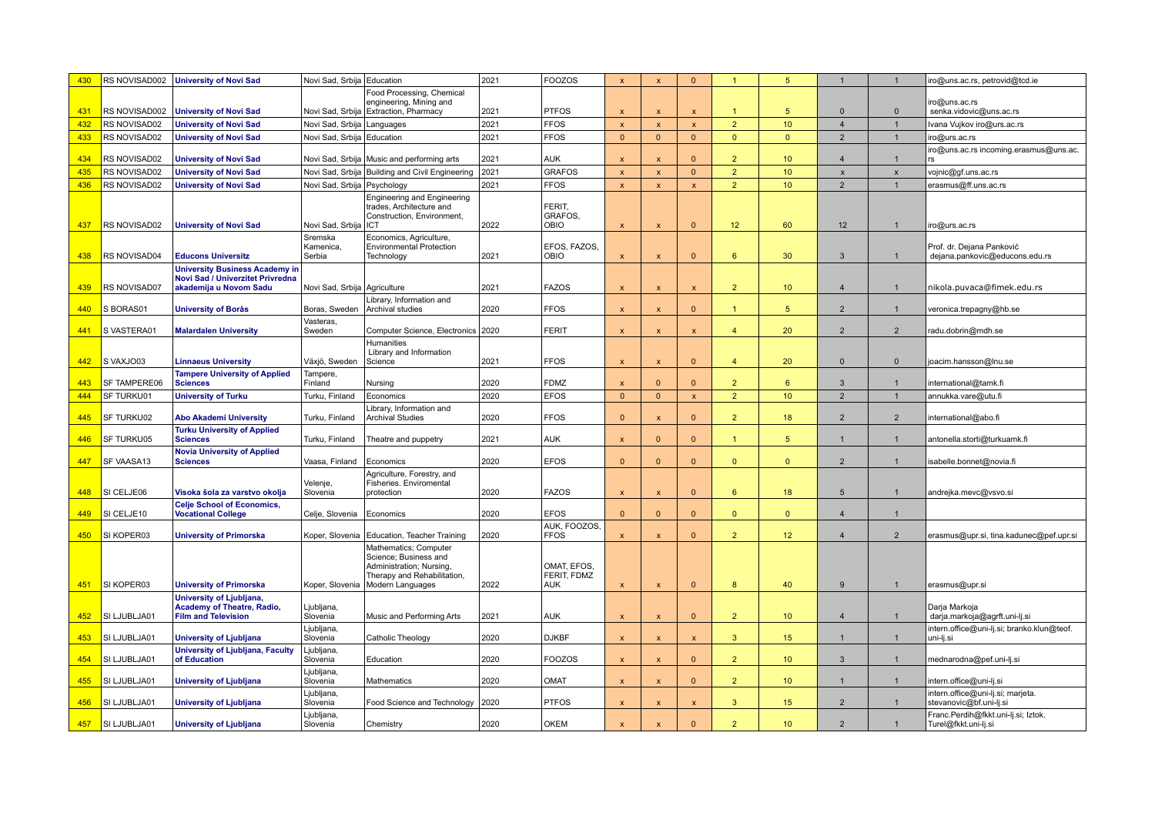| 430 |                  | RS NOVISAD002   University of Novi Sad                                                              | Novi Sad, Srbija Education   |                                                                                                                               | 2021 | <b>FOOZOS</b>                            | $\mathbf{x}$              | $\boldsymbol{\mathsf{x}}$ | $\Omega$           | $\mathbf{1}$   | 5                | $\mathbf{1}$     |                | iro@uns.ac.rs, petrovid@tcd.ie                               |
|-----|------------------|-----------------------------------------------------------------------------------------------------|------------------------------|-------------------------------------------------------------------------------------------------------------------------------|------|------------------------------------------|---------------------------|---------------------------|--------------------|----------------|------------------|------------------|----------------|--------------------------------------------------------------|
|     |                  |                                                                                                     |                              | Food Processing, Chemical                                                                                                     |      |                                          |                           |                           |                    |                |                  |                  |                |                                                              |
| 431 | RS NOVISAD002    | <b>University of Novi Sad</b>                                                                       |                              | engineering, Mining and<br>Novi Sad, Srbija   Extraction, Pharmacy                                                            | 2021 | <b>PTFOS</b>                             | $\boldsymbol{\mathsf{x}}$ | $\boldsymbol{\mathsf{x}}$ | $\mathsf{x}$       | $\mathbf{1}$   | 5                | $\Omega$         | $\mathbf{0}$   | iro@uns.ac.rs<br>senka.vidovic@uns.ac.rs                     |
| 432 | RS NOVISAD02     | <b>University of Novi Sad</b>                                                                       | Novi Sad, Srbija   Languages |                                                                                                                               | 2021 | <b>FFOS</b>                              | $\boldsymbol{\mathsf{x}}$ | $\boldsymbol{\mathsf{x}}$ | $\pmb{\times}$     | 2 <sup>2</sup> | 10 <sup>°</sup>  | $\overline{4}$   |                | Ivana Vujkov iro@urs.ac.rs                                   |
| 433 | RS NOVISAD02     | <b>University of Novi Sad</b>                                                                       | Novi Sad, Srbija   Education |                                                                                                                               | 2021 | <b>FFOS</b>                              | $\Omega$                  | $\Omega$                  | $\mathbf{0}$       | $\mathbf{0}$   | $\Omega$         | $\overline{2}$   |                | iro@urs.ac.rs                                                |
| 434 | RS NOVISAD02     | <b>University of Novi Sad</b>                                                                       |                              | Novi Sad, Srbija   Music and performing arts                                                                                  | 2021 | <b>AUK</b>                               | $\boldsymbol{\mathsf{x}}$ | $\mathbf x$               | $\Omega$           | $\overline{2}$ | 10 <sup>°</sup>  | $\overline{4}$   |                | iro@uns.ac.rs incoming.erasmus@uns.ac.                       |
| 435 | RS NOVISAD02     | <b>University of Novi Sad</b>                                                                       |                              | Novi Sad, Srbija   Building and Civil Engineering                                                                             | 2021 | <b>GRAFOS</b>                            | $\mathbf{x}$              | $\mathbf{x}$              | $\Omega$           | $\overline{2}$ | 10 <sup>°</sup>  | $\mathbf{x}$     | $\mathbf{x}$   | vojnic@gf.uns.ac.rs                                          |
| 436 | RS NOVISAD02     | <b>University of Novi Sad</b>                                                                       | Novi Sad, Srbija Psychology  |                                                                                                                               | 2021 | <b>FFOS</b>                              | $\boldsymbol{\mathsf{x}}$ | $\boldsymbol{\mathsf{x}}$ | $\mathsf{x}$       | 2 <sup>2</sup> | 10 <sup>1</sup>  | $\overline{2}$   | $\overline{1}$ | erasmus@ff.uns.ac.rs                                         |
| 437 | RS NOVISAD02     | <b>University of Novi Sad</b>                                                                       | Novi Sad, Srbija   ICT       | Engineering and Engineering<br>trades, Architecture and<br>Construction, Environment,                                         | 2022 | FERIT,<br>GRAFOS,<br><b>OBIO</b>         | $\mathsf{x}$              | $\overline{\mathsf{x}}$   | $\Omega$           | 12             | 60               | 12               |                | iro@urs.ac.rs                                                |
|     |                  |                                                                                                     | Sremska<br>Kamenica.         | Economics, Agriculture,<br><b>Environmental Protection</b>                                                                    |      | EFOS, FAZOS.                             |                           |                           |                    |                |                  |                  |                | Prof. dr. Dejana Panković                                    |
| 438 | RS NOVISAD04     | <b>Educons Universitz</b>                                                                           | Serbia                       | Technology                                                                                                                    | 2021 | OBIO                                     | $\mathbf{x}$              | $\mathbf{x}$              | $\Omega$           | $6^{\circ}$    | 30               | $\mathbf{3}$     |                | dejana.pankovic@educons.edu.rs                               |
| 439 | RS NOVISAD07     | <b>University Business Academy in</b><br>Novi Sad / Univerzitet Privredna<br>akademija u Novom Sadu | Novi Sad, Srbija Agriculture |                                                                                                                               | 2021 | <b>FAZOS</b>                             | $\mathbf{x}$              | $\boldsymbol{\mathsf{x}}$ | $\mathsf{x}$       | 2 <sup>2</sup> | 10 <sup>°</sup>  | $\overline{4}$   |                | nikola.puvaca@fimek.edu.rs                                   |
| 440 | S BORAS01        | <b>University of Borås</b>                                                                          | Boras, Sweden                | Library, Information and<br>Archival studies                                                                                  | 2020 | <b>FFOS</b>                              | $\boldsymbol{\mathsf{x}}$ | $\boldsymbol{\mathsf{x}}$ | $\Omega$           | $\mathbf{1}$   | 5                | $\overline{2}$   |                | veronica.trepagny@hb.se                                      |
| 441 | S VASTERA01      | <b>Malardalen University</b>                                                                        | Vasteras,<br>Sweden          | Computer Science, Electronics                                                                                                 | 2020 | <b>FERIT</b>                             | $\boldsymbol{\mathsf{x}}$ | $\boldsymbol{\mathsf{x}}$ | $\mathsf{x}$       | $\overline{4}$ | 20               | $\overline{2}$   | $\overline{2}$ | radu.dobrin@mdh.se                                           |
| 442 | S VAXJO03        | <b>Linnaeus University</b>                                                                          | Växjö, Sweden                | <b>Humanities</b><br>Library and Information<br>Science                                                                       | 2021 | <b>FFOS</b>                              | X                         | $\boldsymbol{\mathsf{x}}$ | $\mathbf{0}$       | $\overline{4}$ | 20               | $\mathbf{0}$     | $\mathbf 0$    | joacim.hansson@lnu.se                                        |
| 443 | SF TAMPERE06     | <b>Tampere University of Applied</b><br><b>Sciences</b>                                             | Tampere,<br>Finland          | Nursing                                                                                                                       | 2020 | <b>FDMZ</b>                              | $\mathbf{x}$              | $\Omega$                  | $\Omega$           | $\overline{2}$ | 6                | $\mathbf{3}$     | $\overline{1}$ | international@tamk.fi                                        |
| 444 | SF TURKU01       | <b>University of Turku</b>                                                                          | Turku, Finland               | Economics                                                                                                                     | 2020 | <b>EFOS</b>                              | $\mathbf{0}$              | $\mathbf{0}$              | $\pmb{\mathsf{x}}$ | $\overline{2}$ | 10 <sup>°</sup>  | $\overline{2}$   | $\mathbf{1}$   | annukka.vare@utu.fi                                          |
| 445 | SF TURKU02       | <b>Abo Akademi University</b>                                                                       | Turku, Finland               | Library, Information and<br><b>Archival Studies</b>                                                                           | 2020 | <b>FFOS</b>                              | $\Omega$                  | $\boldsymbol{\mathsf{x}}$ | $\Omega$           | $\overline{2}$ | 18               | $\overline{2}$   | $\overline{2}$ | international@abo.fi                                         |
| 446 | SF TURKU05       | <b>Turku University of Applied</b><br><b>Sciences</b>                                               | Turku, Finland               | Theatre and puppetry                                                                                                          | 2021 | <b>AUK</b>                               | $\mathbf{x}$              | $\Omega$                  | $\mathbf{0}$       | 1              | 5 <sup>5</sup>   | $\overline{1}$   | $\mathbf{1}$   | antonella.storti@turkuamk.fi                                 |
| 447 | SF VAASA13       | <b>Novia University of Applied</b><br><b>Sciences</b>                                               | Vaasa, Finland               | Economics                                                                                                                     | 2020 | <b>EFOS</b>                              | $\mathbf{0}$              | $\Omega$                  | $\mathbf{0}$       | $\mathbf{0}$   | $\mathbf{0}$     | $\overline{2}$   | $\mathbf{1}$   | isabelle.bonnet@novia.fi                                     |
| 448 | SI CELJE06       | Visoka šola za varstvo okolja                                                                       | Velenje,<br>Slovenia         | Agriculture, Forestry, and<br>Fisheries. Enviromental<br>protection                                                           | 2020 | <b>FAZOS</b>                             | $\boldsymbol{\mathsf{x}}$ | $\boldsymbol{\mathsf{x}}$ | $\mathbf{0}$       | $6^{\circ}$    | 18               | $5\phantom{.0}$  | $\mathbf{1}$   | andrejka.mevc@vsvo.si                                        |
| 449 | SI CELJE10       | <b>Celje School of Economics,</b><br><b>Vocational College</b>                                      | Celje, Slovenia              | Economics                                                                                                                     | 2020 | <b>EFOS</b>                              | $\mathbf{0}$              | $\Omega$                  | $\Omega$           | $\mathbf{0}$   | $\Omega$         | $\boldsymbol{4}$ | -1             |                                                              |
| 450 | SI KOPER03       | <b>University of Primorska</b>                                                                      |                              | Koper, Slovenia   Education, Teacher Training                                                                                 | 2020 | AUK, FOOZOS.<br><b>FFOS</b>              | X                         | $\boldsymbol{\mathsf{x}}$ | $\overline{0}$     | 2 <sup>2</sup> | 12 <sup>°</sup>  | $\overline{4}$   | $\overline{2}$ | erasmus@upr.si, tina.kadunec@pef.upr.si                      |
| 451 | SI KOPER03       | <b>University of Primorska</b>                                                                      | Koper, Slovenia              | Mathematics; Computer<br>Science; Business and<br>Administration; Nursing,<br>Therapy and Rehabilitation,<br>Modern Languages | 2022 | OMAT, EFOS,<br>FERIT, FDMZ<br><b>AUK</b> | $\mathbf{x}$              | $\boldsymbol{\mathsf{x}}$ | $\Omega$           | 8              | 40               | 9                |                | erasmus@upr.si                                               |
|     |                  | <b>University of Ljubljana,</b>                                                                     |                              |                                                                                                                               |      |                                          |                           |                           |                    |                |                  |                  |                |                                                              |
| 452 | SI LJUBLJA01     | <b>Academy of Theatre, Radio,</b><br><b>Film and Television</b>                                     | Ljubljana,<br>Slovenia       | Music and Performing Arts                                                                                                     | 2021 | <b>AUK</b>                               | $\boldsymbol{\mathsf{x}}$ | $\boldsymbol{\mathsf{x}}$ | $\mathbf{0}$       | 2 <sup>2</sup> | 10 <sup>°</sup>  | $\overline{4}$   | $\mathbf{1}$   | Darja Markoja<br>darja.markoja@agrft.uni-lj.si               |
| 453 | SI LJUBLJA01     | University of Ljubljana                                                                             | Ljubljana.<br>Slovenia       | Catholic Theology                                                                                                             | 2020 | <b>DJKBF</b>                             | $\boldsymbol{\mathsf{x}}$ | $\mathbf{x}$              | $\mathsf{x}$       | 3 <sup>2</sup> | 15 <sub>2</sub>  | $\mathbf{1}$     | $\mathbf{1}$   | intern.office@uni-lj.si; branko.klun@teof.<br>uni-lj.si      |
| 454 | SI LJUBLJA01     | University of Ljubljana, Faculty<br>of Education                                                    | Ljubljana<br>Slovenia        | Education                                                                                                                     | 2020 | <b>FOOZOS</b>                            | $\mathbf{x}$              | $\mathbf{x}$              | $\mathbf{0}$       | 2 <sup>7</sup> | 10 <sup>°</sup>  | 3                | $\overline{1}$ | mednarodna@pef.uni-lj.si                                     |
| 455 | SI LJUBLJA01     | <b>University of Ljubljana</b>                                                                      | Ljubljana,<br>Slovenia       | Mathematics                                                                                                                   | 2020 | <b>OMAT</b>                              | $\boldsymbol{\mathsf{x}}$ | $\boldsymbol{\mathsf{x}}$ | $\Omega$           | 2 <sup>2</sup> | 10 <sup>°</sup>  | $\overline{1}$   | $\overline{1}$ | intern.office@uni-lj.si                                      |
| 456 | SI LJUBLJA01     | <b>University of Ljubljana</b>                                                                      | Ljubljana<br>Slovenia        | Food Science and Technology                                                                                                   | 2020 | <b>PTFOS</b>                             | $\boldsymbol{\mathsf{x}}$ | $\boldsymbol{\mathsf{x}}$ | $\pmb{\mathsf{x}}$ | 3 <sup>2</sup> | 15 <sub>15</sub> | $\overline{2}$   |                | intern.office@uni-lj.si; marjeta.<br>stevanovic@bf.uni-lj.si |
|     | 457 SI LJUBLJA01 | <b>University of Ljubljana</b>                                                                      | Ljubljana<br>Slovenia        | Chemistry                                                                                                                     | 2020 | <b>OKEM</b>                              | X                         |                           | $\Omega$           | $\overline{2}$ | 10 <sup>°</sup>  | $\overline{2}$   |                | Franc.Perdih@fkkt.uni-lj.si; Iztok.<br>Turel@fkkt.uni-lj.si  |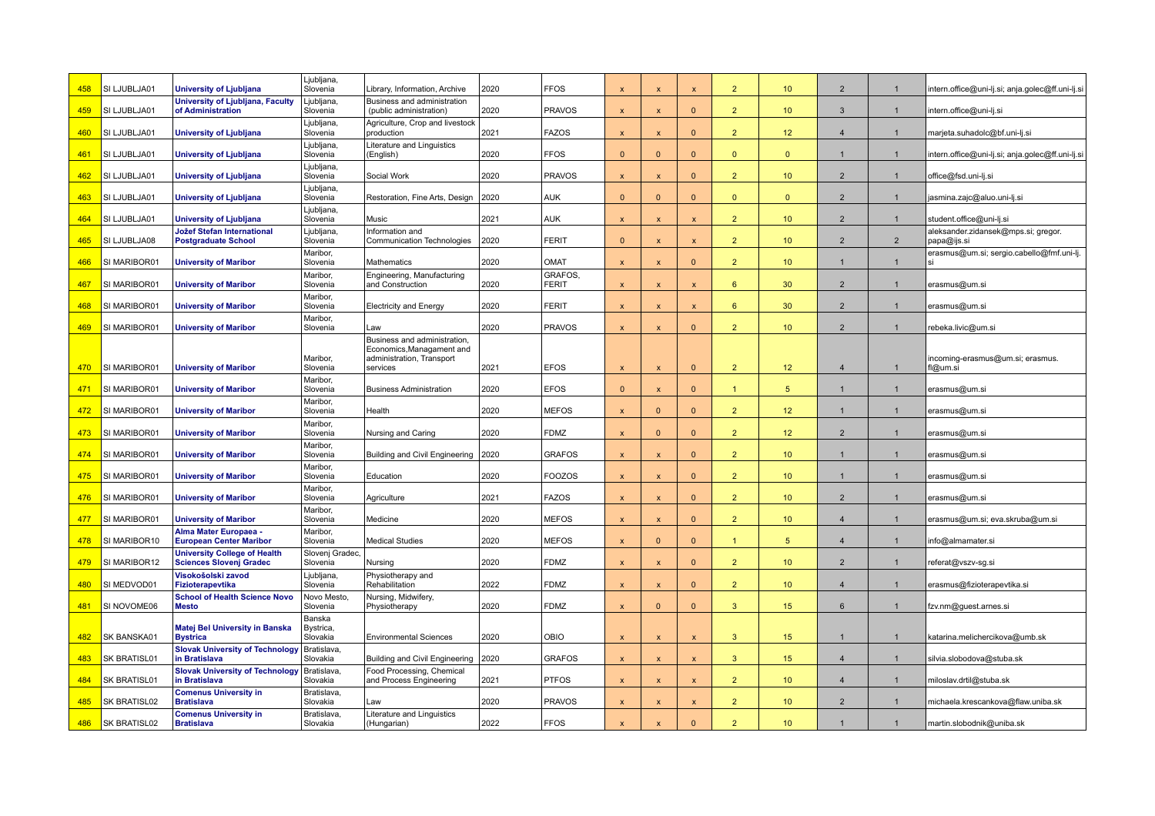| 458 | SI LJUBLJA01 | University of Ljubljana                                               | Ljubljana,<br>Slovenia          | Library, Information, Archive                             | 2020 | <b>FFOS</b>             | $\boldsymbol{\mathsf{x}}$ | $\mathbf x$               | $\overline{\mathbf{x}}$   | $\overline{2}$  | 10              | $\overline{2}$  |                | intern.office@uni-lj.si; anja.golec@ff.uni-lj.s    |
|-----|--------------|-----------------------------------------------------------------------|---------------------------------|-----------------------------------------------------------|------|-------------------------|---------------------------|---------------------------|---------------------------|-----------------|-----------------|-----------------|----------------|----------------------------------------------------|
| 459 | SI LJUBLJA01 | University of Ljubljana, Faculty<br>of Administration                 | Ljubljana<br>Slovenia           | Business and administration<br>(public administration)    | 2020 | <b>PRAVOS</b>           | $\boldsymbol{\mathsf{x}}$ | $\boldsymbol{\mathsf{x}}$ | $\mathbf{0}$              | 2 <sup>2</sup>  | 10 <sup>°</sup> | $\mathbf{3}$    | $\mathbf{1}$   | intern.office@uni-lj.si                            |
| 460 | SI LJUBLJA01 | University of Ljubljana                                               | Ljubljana<br>Slovenia           | Agriculture, Crop and livestock<br>production             | 2021 | <b>FAZOS</b>            | $\boldsymbol{\mathsf{x}}$ | $\mathsf{x}$              | $\mathbf{0}$              | $\overline{2}$  | 12              | $\overline{4}$  | $\mathbf{1}$   | marjeta.suhadolc@bf.uni-lj.si                      |
| 461 | SI LJUBLJA01 | University of Ljubljana                                               | Ljubljana,<br>Slovenia          | Literature and Linguistics<br>(English)                   | 2020 | <b>FFOS</b>             | $\Omega$                  | $\Omega$                  | $\mathbf{0}$              | $\overline{0}$  | $\Omega$        | $\mathbf{1}$    | $\overline{1}$ | intern.office@uni-lj.si; anja.golec@ff.uni-lj.si   |
| 462 | SI LJUBLJA01 | <b>University of Ljubljana</b>                                        | Ljubljana<br>Slovenia           | Social Work                                               | 2020 | <b>PRAVOS</b>           | $\boldsymbol{\mathsf{x}}$ | $\boldsymbol{\mathsf{x}}$ | $\mathbf{0}$              | $\overline{2}$  | 10 <sup>°</sup> | $\overline{2}$  | $\overline{1}$ | office@fsd.uni-lj.si                               |
| 463 | SI LJUBLJA01 | <b>University of Ljubljana</b>                                        | Ljubljana,<br>Slovenia          | Restoration, Fine Arts, Design                            | 2020 | <b>AUK</b>              | $\Omega$                  | $\Omega$                  | $\Omega$                  | $\Omega$        | $\Omega$        | $\overline{2}$  | $\mathbf{1}$   | jasmina.zajc@aluo.uni-lj.si                        |
| 464 | SI LJUBLJA01 | University of Ljubljana                                               | Ljubljana.<br>Slovenia          | Music                                                     | 2021 | AUK                     | $\boldsymbol{\mathsf{x}}$ | $\boldsymbol{\mathsf{x}}$ | $\mathbf{x}$              | $\overline{2}$  | 10 <sup>°</sup> | 2               | $\mathbf{1}$   | student.office@uni-lj.si                           |
| 465 | SI LJUBLJA08 | Jožef Stefan International<br><b>Postgraduate School</b>              | Ljubljana<br>Slovenia           | Information and<br>Communication Technologies             | 2020 | <b>FERIT</b>            | $\Omega$                  | $\mathbf{x}$              | $\mathbf{x}$              | $\overline{2}$  | 10 <sup>°</sup> | $\overline{2}$  | $\overline{2}$ | aleksander.zidansek@mps.si; gregor.<br>papa@ijs.si |
| 466 | SI MARIBOR01 | <b>University of Maribor</b>                                          | Maribor,<br>Slovenia            | Mathematics                                               | 2020 | OMAT                    | $\boldsymbol{\mathsf{x}}$ | $\boldsymbol{\mathsf{x}}$ | $\mathbf{0}$              | 2 <sup>2</sup>  | 10 <sup>°</sup> | $\mathbf{1}$    | $\overline{1}$ | erasmus@um.si; sergio.cabello@fmf.uni-lj.<br>si    |
| 467 | SI MARIBOR01 | <b>University of Maribor</b>                                          | Maribor,<br>Slovenia            | Engineering, Manufacturing<br>and Construction            | 2020 | GRAFOS,<br><b>FERIT</b> | X                         | $\boldsymbol{\mathsf{x}}$ | $\boldsymbol{\mathsf{x}}$ | $6\phantom{1}$  | 30              | $\overline{2}$  | $\mathbf{1}$   | erasmus@um.si                                      |
| 468 | SI MARIBOR01 | <b>University of Maribor</b>                                          | Maribor,<br>Slovenia            | <b>Electricity and Energy</b>                             | 2020 | FERIT                   | $\boldsymbol{\mathsf{x}}$ | $\boldsymbol{\mathsf{x}}$ | $\mathsf{x}$              | $6\overline{6}$ | 30 <sup>°</sup> | $\overline{2}$  | -1             | erasmus@um.si                                      |
| 469 | SI MARIBOR01 | <b>University of Maribor</b>                                          | Maribor,<br>Slovenia            | Law                                                       | 2020 | <b>PRAVOS</b>           | X                         | $\boldsymbol{\mathsf{x}}$ | $\mathbf{0}$              | $\overline{2}$  | 10 <sup>°</sup> | $\overline{2}$  | $\mathbf{1}$   | rebeka.livic@um.si                                 |
|     |              |                                                                       |                                 | Business and administration,<br>Economics, Managament and |      |                         |                           |                           |                           |                 |                 |                 |                |                                                    |
| 470 | SI MARIBOR01 | <b>University of Maribor</b>                                          | Maribor,<br>Slovenia            | administration, Transport<br>services                     | 2021 | <b>EFOS</b>             | $\boldsymbol{\mathsf{x}}$ | $\boldsymbol{\mathsf{x}}$ | $\mathbf{0}$              | 2 <sup>2</sup>  | 12              | $\overline{4}$  | $\mathbf{1}$   | incoming-erasmus@um.si; erasmus.<br>fl@um.si       |
| 471 | SI MARIBOR01 | <b>University of Maribor</b>                                          | Maribor,<br>Slovenia            | <b>Business Administration</b>                            | 2020 | <b>EFOS</b>             | $\Omega$                  | $\boldsymbol{\mathsf{x}}$ | $\mathbf{0}$              | $\mathbf{1}$    | $5^{\circ}$     | -1              | $\mathbf{1}$   | erasmus@um.si                                      |
| 472 | SI MARIBOR01 | <b>University of Maribor</b>                                          | Maribor.<br>Slovenia            | Health                                                    | 2020 | <b>MEFOS</b>            | X                         | $\mathbf{0}$              | $\mathbf{0}$              | $\overline{2}$  | 12              | $\mathbf 1$     | $\mathbf{1}$   | erasmus@um.si                                      |
| 473 | SI MARIBOR01 | <b>University of Maribor</b>                                          | Maribor,<br>Slovenia            | Nursing and Caring                                        | 2020 | <b>FDMZ</b>             | $\boldsymbol{\mathsf{x}}$ | $\Omega$                  | $\Omega$                  | $\overline{2}$  | 12 <sup>2</sup> | $\overline{2}$  | $\mathbf{1}$   | erasmus@um.si                                      |
| 474 | SI MARIBOR01 | <b>University of Maribor</b>                                          | Maribor,<br>Slovenia            | Building and Civil Engineering                            | 2020 | <b>GRAFOS</b>           | $\boldsymbol{\mathsf{x}}$ | $\boldsymbol{\mathsf{x}}$ | $\mathbf{0}$              | $\overline{2}$  | 10 <sup>°</sup> |                 | $\mathbf{1}$   | erasmus@um.si                                      |
| 475 | SI MARIBOR01 | <b>University of Maribor</b>                                          | Maribor,<br>Slovenia            | Education                                                 | 2020 | <b>FOOZOS</b>           | $\boldsymbol{\mathsf{x}}$ | $\mathsf{x}$              | $\mathbf{0}$              | $\overline{2}$  | 10              |                 |                | erasmus@um.si                                      |
| 476 | SI MARIBOR01 | <b>University of Maribor</b>                                          | Maribor,<br>Slovenia            | Agriculture                                               | 2021 | <b>FAZOS</b>            | $\boldsymbol{\mathsf{x}}$ | $\boldsymbol{\mathsf{x}}$ | $\Omega$                  | $\overline{2}$  | 10 <sup>°</sup> | $\overline{2}$  | $\mathbf{1}$   | erasmus@um.si                                      |
| 477 | SI MARIBOR01 | <b>University of Maribor</b>                                          | Maribor,<br>Slovenia            | Medicine                                                  | 2020 | <b>MEFOS</b>            | $\boldsymbol{\mathsf{x}}$ | $\boldsymbol{\mathsf{x}}$ | $\Omega$                  | 2 <sup>2</sup>  | 10 <sup>°</sup> | $\overline{4}$  | $\overline{1}$ | erasmus@um.si; eva.skruba@um.si                    |
| 478 | SI MARIBOR10 | <b>Alma Mater Europaea</b><br><b>European Center Maribor</b>          | Maribor,<br>Slovenia            | <b>Medical Studies</b>                                    | 2020 | <b>MEFOS</b>            | $\boldsymbol{\mathsf{x}}$ | $\Omega$                  | $\mathbf{0}$              | $\mathbf{1}$    | 5 <sup>5</sup>  | $\overline{4}$  | $\overline{1}$ | info@almamater.si                                  |
| 479 | SI MARIBOR12 | <b>University College of Health</b><br><b>Sciences Slovenj Gradec</b> | Slovenj Gradec,<br>Slovenia     | Nursing                                                   | 2020 | <b>FDMZ</b>             | $\boldsymbol{\mathsf{x}}$ | $\boldsymbol{\mathsf{x}}$ | $\mathbf{0}$              | 2 <sup>2</sup>  | 10 <sup>°</sup> | $\overline{2}$  | $\mathbf{1}$   | referat@vszv-sg.si                                 |
| 480 | SI MEDVOD01  | Visokošolski zavod<br>Fizioterapevtika                                | Ljubljana,<br>Slovenia          | Physiotherapy and<br>Rehabilitation                       | 2022 | <b>FDMZ</b>             | $\boldsymbol{\mathsf{x}}$ | $\mathbf{x}$              | $\Omega$                  | $\overline{2}$  | 10 <sup>°</sup> | $\overline{4}$  | $\mathbf{1}$   | erasmus@fizioterapevtika.si                        |
| 481 | SI NOVOME06  | <b>School of Health Science Novo</b><br><b>Mesto</b>                  | Novo Mesto<br>Slovenia          | Nursing, Midwifery,<br>Physiotherapy                      | 2020 | <b>FDMZ</b>             | $\mathbf{x}$              | $\Omega$                  | $\Omega$                  | $\mathbf{3}$    | 15              | $6\overline{6}$ | $\overline{1}$ | fzv.nm@guest.arnes.si                              |
| 482 | SK BANSKA01  | <b>Matej Bel University in Banska</b><br><b>Bystrica</b>              | Banska<br>Bystrica,<br>Slovakia | <b>Environmental Sciences</b>                             | 2020 | OBIO                    | $\boldsymbol{\mathsf{x}}$ | $\boldsymbol{\mathsf{x}}$ | $\mathbf{x}$              | 3               | 15              |                 | $\overline{1}$ | katarina.melichercikova@umb.sk                     |
| 483 | SK BRATISL01 | <b>Slovak University of Technology</b><br>in Bratislava               | Bratislava<br>Slovakia          | Building and Civil Engineering                            | 2020 | <b>GRAFOS</b>           | $\boldsymbol{\mathsf{x}}$ | $\boldsymbol{\mathsf{x}}$ | $\mathbf{x}$              | $\mathbf{3}$    | 15              | $\overline{4}$  | $\mathbf{1}$   | silvia.slobodova@stuba.sk                          |
|     | SK BRATISL01 | <b>Slovak University of Technology</b><br>in Bratislava               | Bratislava                      | Food Processing, Chemical<br>and Process Engineering      | 2021 | PTFOS                   | $\boldsymbol{\mathsf{x}}$ | $\boldsymbol{\mathsf{x}}$ | $\mathbf{x}$              | $\overline{2}$  | 10 <sup>°</sup> | $\overline{4}$  | $\mathbf{1}$   |                                                    |
| 484 | SK BRATISL02 | <b>Comenus University in</b>                                          | Slovakia<br>Bratislava          |                                                           | 2020 |                         |                           |                           |                           | 2 <sup>2</sup>  | 10 <sup>°</sup> | $\overline{2}$  | $\mathbf{1}$   | miloslav.drtil@stuba.sk                            |
| 485 |              | <b>Bratislava</b><br><b>Comenus University in</b>                     | Slovakia<br>Bratislava          | Law<br>Literature and Linguistics                         |      | <b>PRAVOS</b>           | $\boldsymbol{\mathsf{x}}$ | $\boldsymbol{\mathsf{x}}$ | $\mathbf{x}$              |                 |                 |                 |                | michaela.krescankova@flaw.uniba.sk                 |
| 486 | SK BRATISL02 | <b>Bratislava</b>                                                     | Slovakia                        | (Hungarian)                                               | 2022 | <b>FFOS</b>             | $\boldsymbol{\mathsf{x}}$ | $\boldsymbol{\mathsf{x}}$ | $\overline{0}$            | $\overline{2}$  | 10 <sup>°</sup> |                 | $\mathbf{1}$   | martin.slobodnik@uniba.sk                          |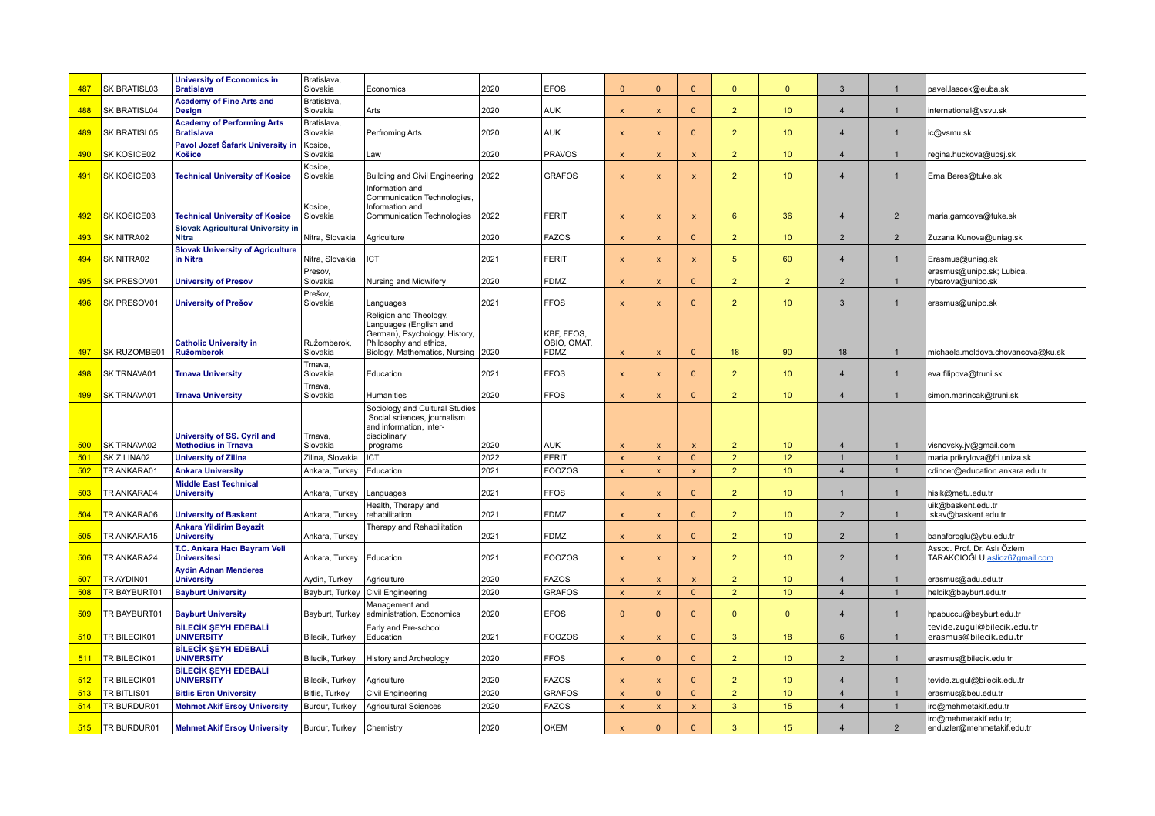| 487 | SK BRATISL03 | <b>University of Economics in</b><br><b>Bratislava</b>    | Bratislava,<br>Slovakia    | Economics                                                                                                                                         | 2020 | <b>EFOS</b>                              | $\mathbf{0}$              | $\Omega$                  | $\Omega$                  | $\mathbf{0}$    | $\mathbf{0}$    | $\mathbf{3}$   | $\mathbf{1}$   | pavel.lascek@euba.sk                                                |
|-----|--------------|-----------------------------------------------------------|----------------------------|---------------------------------------------------------------------------------------------------------------------------------------------------|------|------------------------------------------|---------------------------|---------------------------|---------------------------|-----------------|-----------------|----------------|----------------|---------------------------------------------------------------------|
| 488 | SK BRATISL04 | <b>Academy of Fine Arts and</b><br><b>Design</b>          | Bratislava,<br>Slovakia    | Arts                                                                                                                                              | 2020 | <b>AUK</b>                               | $\mathbf{x}$              | $\boldsymbol{\mathsf{x}}$ | $\Omega$                  | 2 <sup>2</sup>  | 10 <sup>°</sup> | $\overline{4}$ | $\mathbf{1}$   | international@vsvu.sk                                               |
| 489 | SK BRATISL05 | <b>Academy of Performing Arts</b><br><b>Bratislava</b>    | Bratislava,<br>Slovakia    | Perfroming Arts                                                                                                                                   | 2020 | <b>AUK</b>                               | $\mathsf{x}$              | $\boldsymbol{\mathsf{x}}$ | $\Omega$                  | 2 <sup>2</sup>  | 10 <sup>°</sup> | $\overline{4}$ | $\mathbf{1}$   | c@vsmu.sk                                                           |
| 490 | SK KOSICE02  | Pavol Jozef Šafark University in<br><b>Košice</b>         | Kosice,<br>Slovakia        | Law                                                                                                                                               | 2020 | <b>PRAVOS</b>                            | $\pmb{\times}$            | $\boldsymbol{\mathsf{x}}$ | $\mathbf{x}$              | $\overline{2}$  | 10 <sup>°</sup> | $\overline{4}$ | $\mathbf{1}$   | regina.huckova@upsj.sk                                              |
| 491 | SK KOSICE03  | <b>Technical University of Kosice</b>                     | Kosice,<br>Slovakia        | Building and Civil Engineering                                                                                                                    | 2022 | <b>GRAFOS</b>                            | $\pmb{\times}$            | $\mathsf{x}$              | $\pmb{\mathsf{x}}$        | $\overline{2}$  | 10 <sup>°</sup> | $\overline{a}$ | $\mathbf{1}$   | Erna.Beres@tuke.sk                                                  |
|     |              |                                                           | Kosice,                    | Information and<br>Communication Technologies,<br>Information and                                                                                 |      |                                          |                           |                           |                           |                 |                 |                |                |                                                                     |
| 492 | SK KOSICE03  | <b>Technical University of Kosice</b>                     | Slovakia                   | Communication Technologies                                                                                                                        | 2022 | FERIT                                    | $\boldsymbol{\mathsf{x}}$ | $\mathsf{x}$              | $\mathsf{x}$              | $6^{\circ}$     | 36              | $\overline{4}$ | $\overline{2}$ | maria.gamcova@tuke.sk                                               |
| 493 | SK NITRA02   | <b>Slovak Agricultural University in</b><br><b>Nitra</b>  | Nitra, Slovakia            | Agriculture                                                                                                                                       | 2020 | <b>FAZOS</b>                             | $\mathbf{x}$              | $\mathbf{x}$              | $\mathbf{0}$              | $\overline{2}$  | 10 <sup>°</sup> | $\overline{2}$ | 2              | Zuzana.Kunova@uniag.sk                                              |
| 494 | SK NITRA02   | <b>Slovak University of Agriculture</b><br>in Nitra       | Nitra, Slovakia            | ICT                                                                                                                                               | 2021 | <b>FERIT</b>                             | $\pmb{\times}$            | $\boldsymbol{\mathsf{x}}$ | $\mathbf{x}$              | 5 <sup>5</sup>  | 60              | $\overline{4}$ | $\mathbf{1}$   | Erasmus@uniag.sk                                                    |
| 495 | SK PRESOV01  | <b>University of Presov</b>                               | Presov,<br>Slovakia        | Nursing and Midwifery                                                                                                                             | 2020 | <b>FDMZ</b>                              | $\mathbf{x}$              | $\mathsf{x}$              | $\mathbf{0}$              | 2 <sup>2</sup>  | 2 <sup>2</sup>  | $\overline{2}$ | $\mathbf{1}$   | erasmus@unipo.sk; Lubica.<br>rybarova@unipo.sk                      |
| 496 | SK PRESOV01  | <b>University of Prešov</b>                               | Prešov,<br>Slovakia        | Languages                                                                                                                                         | 2021 | <b>FFOS</b>                              | $\mathbf{x}$              | $\boldsymbol{\mathsf{x}}$ | $\Omega$                  | $\overline{2}$  | 10 <sub>1</sub> | $\mathbf{3}$   | $\mathbf{1}$   | erasmus@unipo.sk                                                    |
| 497 | SK RUZOMBE01 | <b>Catholic University in</b><br><b>Ružomberok</b>        | Ružomberok,<br>Slovakia    | Religion and Theology,<br>Languages (English and<br>German), Psychology, History,<br>Philosophy and ethics,<br>Biology, Mathematics, Nursing 2020 |      | KBF, FFOS,<br>OBIO, OMAT,<br><b>FDMZ</b> | $\mathbf{x}$              | $\boldsymbol{\mathsf{x}}$ | $\mathbf{0}$              | 18 <sup>°</sup> | 90              | 18             | $\mathbf{1}$   | michaela.moldova.chovancova@ku.sk                                   |
| 498 | SK TRNAVA01  | <b>Trnava University</b>                                  | Trnava,<br>Slovakia        | Education                                                                                                                                         | 2021 | <b>FFOS</b>                              | $\mathsf{x}$              | X                         | $\Omega$                  | 2 <sup>2</sup>  | 10 <sup>°</sup> | $\overline{4}$ | $\mathbf{1}$   | eva.filipova@truni.sk                                               |
| 499 | SK TRNAVA01  | <b>Trnava University</b>                                  | Trnava,<br>Slovakia        | Humanities                                                                                                                                        | 2020 | <b>FFOS</b>                              | $\boldsymbol{\mathsf{x}}$ | X                         | $\Omega$                  | 2 <sup>2</sup>  | 10 <sup>°</sup> | $\overline{4}$ | $\mathbf{1}$   | simon.marincak@truni.sk                                             |
| 500 | SK TRNAVA02  | University of SS. Cyril and<br><b>Methodius in Trnava</b> | Trnava,<br>Slovakia        | Sociology and Cultural Studies<br>Social sciences, journalism<br>and information, inter-<br>disciplinary<br>programs                              | 2020 | <b>AUK</b>                               |                           | X                         | $\boldsymbol{\mathsf{x}}$ | 2 <sup>2</sup>  | 10 <sup>°</sup> | $\overline{4}$ | $\mathbf{1}$   | visnovsky.jv@gmail.com                                              |
| 501 | SK ZILINA02  | <b>University of Zilina</b>                               | Zilina, Slovakia           | ICT                                                                                                                                               | 2022 | <b>FERIT</b>                             | $\boldsymbol{\mathsf{x}}$ | $\boldsymbol{\mathsf{x}}$ | $\mathbf{0}$              | $\overline{2}$  | 12              | $\overline{1}$ | $\mathbf{1}$   | maria.prikrylova@fri.uniza.sk                                       |
| 502 | TR ANKARA01  | <b>Ankara University</b>                                  | Ankara, Turkey             | Education                                                                                                                                         | 2021 | <b>FOOZOS</b>                            | $\mathbf{x}$              | $\boldsymbol{\mathsf{x}}$ | $\pmb{\mathsf{x}}$        | 2 <sup>2</sup>  | 10 <sup>°</sup> | $\overline{4}$ | $\mathbf{1}$   | cdincer@education.ankara.edu.tr                                     |
| 503 | TR ANKARA04  | <b>Middle East Technical</b><br><b>University</b>         | Ankara, Turkey             | Languages                                                                                                                                         | 2021 | <b>FFOS</b>                              | $\mathbf{x}$              | X                         | $\Omega$                  | 2 <sup>2</sup>  | 10 <sup>°</sup> |                | $\mathbf{1}$   | nisik@metu.edu.tr                                                   |
| 504 | TR ANKARA06  | <b>University of Baskent</b>                              | Ankara, Turkey             | Health, Therapy and<br>rehabilitation                                                                                                             | 2021 | <b>FDMZ</b>                              | $\mathbf{x}$              | X                         | $\mathbf{0}$              | 2 <sup>2</sup>  | 10 <sup>°</sup> | $\overline{2}$ | $\mathbf{1}$   | uik@baskent.edu.tr<br>skav@baskent.edu.tr                           |
| 505 | TR ANKARA15  | <b>Ankara Yildirim Beyazit</b><br><b>University</b>       | Ankara, Turkey             | Therapy and Rehabilitation                                                                                                                        | 2021 | <b>FDMZ</b>                              | $\mathsf{x}$              | $\boldsymbol{\mathsf{x}}$ | $\mathbf{0}$              | $\overline{2}$  | 10 <sup>°</sup> | $\overline{2}$ | $\overline{1}$ | banaforoglu@ybu.edu.tr                                              |
| 506 | TR ANKARA24  | T.C. Ankara Hacı Bayram Veli<br><b>Üniversitesi</b>       | Ankara, Turkey             | Education                                                                                                                                         | 2021 | <b>FOOZOS</b>                            | $\pmb{\times}$            | $\boldsymbol{\mathsf{x}}$ | $\pmb{\mathsf{x}}$        | $\overline{2}$  | 10 <sup>°</sup> | $\overline{2}$ | $\mathbf{1}$   | Assoc. Prof. Dr. Aslı Özlem<br>TARAKCIOĞLU <u>aslioz67qmail.com</u> |
| 507 | TR AYDIN01   | <b>Aydin Adnan Menderes</b><br><b>University</b>          | Aydin, Turkey              | Agriculture                                                                                                                                       | 2020 | <b>FAZOS</b>                             | $\mathbf{x}$              | $\mathbf{x}$              | $\mathbf{x}$              | $\overline{2}$  | 10 <sup>°</sup> | $\overline{4}$ | $\mathbf{1}$   | erasmus@adu.edu.tr                                                  |
| 508 | TR BAYBURT01 | <b>Bayburt University</b>                                 | Bayburt, Turkey            | Civil Engineering                                                                                                                                 | 2020 | <b>GRAFOS</b>                            | $\pmb{\times}$            | $\mathbf{x}$              | $\mathbf{0}$              | $\overline{2}$  | 10 <sup>°</sup> | $\overline{4}$ | $\mathbf{1}$   | helcik@bayburt.edu.tr                                               |
| 509 | TR BAYBURT01 | <b>Bayburt University</b>                                 | Bayburt, Turkey            | Management and<br>administration, Economics                                                                                                       | 2020 | <b>EFOS</b>                              | $\mathbf{0}$              | $\Omega$                  | $\mathbf{0}$              | $\mathbf{0}$    | $\mathbf{0}$    | $\overline{4}$ | $\mathbf{1}$   | hpabuccu@bayburt.edu.tr                                             |
| 510 | TR BILECIK01 | <b>BİLECİK ŞEYH EDEBALİ</b><br><b>UNIVERSITY</b>          | Bilecik, Turkey            | Early and Pre-school<br>Education                                                                                                                 | 2021 | <b>FOOZOS</b>                            | $\mathbf{x}$              | $\boldsymbol{\mathsf{x}}$ | $\mathbf{0}$              | 3               | 18              | 6              | $\mathbf{1}$   | tevide.zugul@bilecik.edu.tr<br>erasmus@bilecik.edu.tr               |
| 511 | TR BILECIK01 | <b>BİLECİK ŞEYH EDEBALİ</b><br><b>UNIVERSITY</b>          | Bilecik, Turkey            | <b>History and Archeology</b>                                                                                                                     | 2020 | <b>FFOS</b>                              | $\boldsymbol{\mathsf{x}}$ | $\mathbf{0}$              | $\mathbf{0}$              | 2 <sup>2</sup>  | 10 <sup>°</sup> | $\overline{2}$ | $\mathbf{1}$   | erasmus@bilecik.edu.tr                                              |
| 512 | TR BILECIK01 | <b>BİLECİK SEYH EDEBALİ</b><br><b>UNIVERSITY</b>          | Bilecik, Turkey            | Agriculture                                                                                                                                       | 2020 | <b>FAZOS</b>                             | $\boldsymbol{\mathsf{x}}$ | X                         | $\mathbf{0}$              | 2 <sup>2</sup>  | 10 <sup>°</sup> | $\overline{4}$ | $\mathbf{1}$   | tevide.zugul@bilecik.edu.tr                                         |
| 513 | TR BITLIS01  | <b>Bitlis Eren University</b>                             | Bitlis, Turkey             | Civil Engineering                                                                                                                                 | 2020 | <b>GRAFOS</b>                            | $\mathbf{x}$              | $\Omega$                  | $\mathbf{0}$              | 2 <sup>2</sup>  | 10 <sup>°</sup> | $\overline{4}$ | $\mathbf{1}$   | erasmus@beu.edu.tr                                                  |
| 514 | TR BURDUR01  | <b>Mehmet Akif Ersoy University</b>                       | Burdur, Turkey             | <b>Agricultural Sciences</b>                                                                                                                      | 2020 | <b>FAZOS</b>                             | $\mathbf{x}$              | $\boldsymbol{\mathsf{x}}$ | $\pmb{\mathsf{x}}$        | $\mathbf{3}$    | 15 <sub>2</sub> | $\overline{4}$ | $\mathbf{1}$   | iro@mehmetakif.edu.tr                                               |
| 515 | TR BURDUR01  | <b>Mehmet Akif Ersoy University</b>                       | Burdur, Turkey   Chemistry |                                                                                                                                                   | 2020 | <b>OKEM</b>                              |                           | $\Omega$                  | $\Omega$                  | $\mathbf{3}$    | 15              | $\overline{4}$ | $\overline{2}$ | iro@mehmetakif.edu.tr;<br>enduzler@mehmetakif.edu.tr                |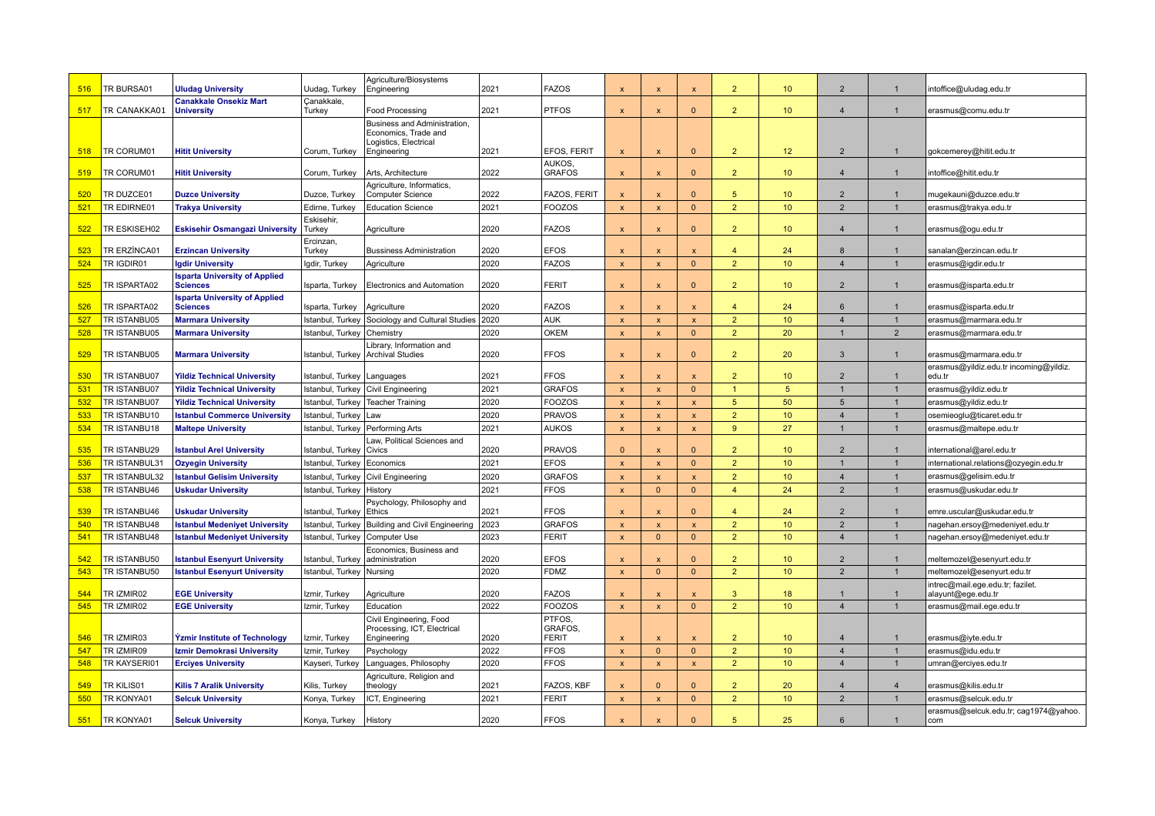| 516 | TR BURSA01    | <b>Uludag University</b>                                | Uudag, Turkey           | Agriculture/Biosystems<br>Engineering                                                        | 2021 | <b>FAZOS</b>                  | $\mathsf{x}$              | $\boldsymbol{\mathsf{x}}$ | $\mathbf{x}$ | $\overline{2}$          | 10 <sup>°</sup> | $\overline{2}$  | $\mathbf{1}$   | intoffice@uludag.edu.tr                                |
|-----|---------------|---------------------------------------------------------|-------------------------|----------------------------------------------------------------------------------------------|------|-------------------------------|---------------------------|---------------------------|--------------|-------------------------|-----------------|-----------------|----------------|--------------------------------------------------------|
| 517 | TR CANAKKA01  | <b>Canakkale Onsekiz Mart</b><br><b>University</b>      | Canakkale.<br>Turkey    | Food Processing                                                                              | 2021 | <b>PTFOS</b>                  | $\mathbf{x}$              | $\boldsymbol{\mathsf{x}}$ | $\Omega$     | $\overline{2}$          | 10 <sup>°</sup> | $\overline{4}$  | $\mathbf{1}$   | erasmus@comu.edu.tr                                    |
| 518 | TR CORUM01    | <b>Hitit University</b>                                 | Corum, Turkey           | Business and Administration,<br>Economics, Trade and<br>Logistics, Electrical<br>Engineering | 2021 | EFOS, FERIT                   | $\boldsymbol{\mathsf{x}}$ | $\boldsymbol{\mathsf{x}}$ | $\mathbf{0}$ | $\overline{2}$          | 12 <sup>°</sup> | $\overline{2}$  | $\mathbf{1}$   | gokcemerey@hitit.edu.tr                                |
| 519 | TR CORUM01    | <b>Hitit University</b>                                 | Corum, Turkey           | Arts, Architecture                                                                           | 2022 | <b>AUKOS</b><br><b>GRAFOS</b> | $\boldsymbol{\mathsf{x}}$ | X                         | $\mathbf{0}$ | 2 <sup>2</sup>          | 10 <sup>°</sup> | $\overline{4}$  | $\mathbf{1}$   | intoffice@hitit.edu.tr                                 |
| 520 | TR DUZCE01    | <b>Duzce University</b>                                 | Duzce, Turkey           | Agriculture, Informatics,<br>Computer Science                                                | 2022 | FAZOS, FERIT                  | $\mathsf{x}$              | X                         | $\Omega$     | 5 <sup>5</sup>          | 10 <sup>°</sup> | $\overline{2}$  | $\mathbf{1}$   | mugekauni@duzce.edu.tr                                 |
| 521 | TR EDIRNE01   | <b>Trakya University</b>                                | Edirne, Turkey          | <b>Education Science</b>                                                                     | 2021 | <b>FOOZOS</b>                 | $\pmb{\mathsf{x}}$        | X                         | $\mathbf{0}$ | $\overline{2}$          | 10 <sup>°</sup> | $\overline{2}$  | $\overline{1}$ | erasmus@trakya.edu.tr                                  |
|     |               |                                                         | Eskisehir,              |                                                                                              |      |                               |                           |                           |              |                         |                 |                 |                |                                                        |
| 522 | TR ESKISEH02  | <b>Eskisehir Osmangazi University</b>                   | Turkey                  | Agriculture                                                                                  | 2020 | <b>FAZOS</b>                  | $\mathbf{x}$              | $\boldsymbol{\mathsf{x}}$ | $\Omega$     | $\overline{2}$          | 10 <sup>°</sup> | $\overline{4}$  | $\mathbf{1}$   | erasmus@ogu.edu.tr                                     |
| 523 | TR ERZÍNCA01  | <b>Erzincan University</b>                              | Ercinzan,<br>Turkey     | <b>Bussiness Administration</b>                                                              | 2020 | <b>EFOS</b>                   | $\mathsf{x}$              | $\mathsf{x}$              | $\mathsf{x}$ | 4                       | 24              | 8               |                | sanalan@erzincan.edu.tr                                |
| 524 | TR IGDIR01    | <b>Igdir University</b>                                 | Igdir, Turkey           | Agriculture                                                                                  | 2020 | <b>FAZOS</b>                  | $\mathbf{x}$              | $\boldsymbol{\mathsf{x}}$ | $\mathbf{0}$ | $\overline{2}$          | 10 <sup>°</sup> | $\overline{4}$  | $\mathbf{1}$   | erasmus@igdir.edu.tr                                   |
| 525 | TR ISPARTA02  | <b>Isparta University of Applied</b><br><b>Sciences</b> | Isparta, Turkey         | <b>Electronics and Automation</b>                                                            | 2020 | <b>FERIT</b>                  | $\mathsf{x}$              | X                         | $\Omega$     | $\overline{2}$          | 10 <sup>°</sup> | $\overline{2}$  |                | erasmus@isparta.edu.tr                                 |
| 526 | TR ISPARTA02  | <b>Isparta University of Applied</b><br><b>Sciences</b> | Isparta, Turkey         | Agriculture                                                                                  | 2020 | <b>FAZOS</b>                  | $\mathbf{x}$              |                           |              | $\overline{4}$          | 24              | 6               | $\mathbf{1}$   | erasmus@isparta.edu.tr                                 |
| 527 | TR ISTANBU05  | <b>Marmara University</b>                               | Istanbul, Turkey        | Sociology and Cultural Studies                                                               | 2020 | <b>AUK</b>                    | $\mathbf{x}$              | $\overline{\mathsf{x}}$   | $\mathsf{x}$ | $\overline{2}$          | 10 <sup>°</sup> | $\overline{4}$  | $\mathbf{1}$   | erasmus@marmara.edu.tr                                 |
| 528 | TR ISTANBU05  | <b>Marmara University</b>                               | Istanbul, Turkey        | Chemistry                                                                                    | 2020 | <b>OKEM</b>                   | $\mathbf{x}$              | $\boldsymbol{\mathsf{x}}$ | $\mathbf{0}$ | $\overline{2}$          | 20              | $\mathbf{1}$    | $\overline{2}$ | erasmus@marmara.edu.tr                                 |
| 529 | TR ISTANBU05  | <b>Marmara University</b>                               | Istanbul, Turkey        | Library, Information and<br><b>Archival Studies</b>                                          | 2020 | <b>FFOS</b>                   | $\boldsymbol{\mathsf{x}}$ | X                         | $\mathbf{0}$ | $\overline{2}$          | 20              | $\overline{3}$  |                | erasmus@marmara.edu.tr                                 |
| 530 | TR ISTANBU07  | <b>Yildiz Technical University</b>                      | Istanbul, Turkey        | Languages                                                                                    | 2021 | <b>FFOS</b>                   |                           | $\boldsymbol{\mathsf{x}}$ |              | $\overline{2}$          | 10 <sup>°</sup> | $\overline{2}$  | $\overline{1}$ | erasmus@yildiz.edu.tr incoming@yildiz.<br>edu.tr       |
| 531 | TR ISTANBU07  | <b>Yildiz Technical University</b>                      | Istanbul, Turkey        | Civil Engineering                                                                            | 2021 | <b>GRAFOS</b>                 | $\mathbf{x}$              | $\overline{\mathsf{x}}$   | $\mathbf{0}$ | $\mathbf{1}$            | 5               | $\overline{1}$  | $\overline{1}$ | erasmus@yildiz.edu.tr                                  |
| 532 | TR ISTANBU07  | <b>Yildiz Technical University</b>                      | Istanbul, Turkey        | <b>Teacher Training</b>                                                                      | 2020 | <b>FOOZOS</b>                 | $\mathbf{x}$              | $\boldsymbol{\mathsf{x}}$ | $\mathsf{x}$ | 5 <sup>5</sup>          | 50              | $5\overline{5}$ | $\overline{1}$ | erasmus@yildiz.edu.tr                                  |
| 533 | TR ISTANBU10  | <b>Istanbul Commerce University</b>                     | Istanbul, Turkey        | Law                                                                                          | 2020 | <b>PRAVOS</b>                 | $\mathsf{x}$              | $\mathsf{x}$              | $\mathsf{x}$ | $\overline{2}$          | 10 <sup>°</sup> | $\overline{4}$  | $\overline{1}$ | osemieoglu@ticaret.edu.tr                              |
| 534 | TR ISTANBU18  | <b>Maltepe University</b>                               | Istanbul, Turkey        | Performing Arts                                                                              | 2021 | <b>AUKOS</b>                  | $\mathsf{x}$              | $\mathsf{x}$              | $\mathsf{x}$ | 9                       | 27              | $\overline{1}$  | $\mathbf{1}$   | erasmus@maltepe.edu.tr                                 |
| 535 | TR ISTANBU29  | <b>Istanbul Arel University</b>                         | Istanbul, Turkey        | Law, Political Sciences and<br>Civics                                                        | 2020 | <b>PRAVOS</b>                 | $\Omega$                  | $\mathbf{x}$              | $\Omega$     | $\overline{2}$          | 10 <sup>°</sup> | $\overline{2}$  | $\mathbf{1}$   | international@arel.edu.tr                              |
| 536 | TR ISTANBUL31 | <b>Ozyegin University</b>                               | Istanbul, Turkey        | Economics                                                                                    | 2021 | <b>EFOS</b>                   | $\mathbf{x}$              | $\boldsymbol{\mathsf{x}}$ | $\mathbf{0}$ | $\overline{2}$          | 10 <sup>°</sup> | $\overline{1}$  | $\mathbf{1}$   | international.relations@ozyegin.edu.tr                 |
| 537 | TR ISTANBUL32 | <b>Istanbul Gelisim University</b>                      | Istanbul, Turkey        | Civil Engineering                                                                            | 2020 | <b>GRAFOS</b>                 | $\mathbf{x}$              | $\mathsf{x}$              | $\mathsf{x}$ | $\overline{2}$          | 10 <sup>°</sup> | $\overline{4}$  | $\overline{1}$ | erasmus@gelisim.edu.tr                                 |
| 538 | TR ISTANBU46  | <b>Uskudar University</b>                               | Istanbul, Turkey        | History                                                                                      | 2021 | <b>FFOS</b>                   | $\mathbf{x}$              | $\Omega$                  | $\mathbf{0}$ | $\overline{4}$          | 24              | $\overline{2}$  | $\mathbf{1}$   | erasmus@uskudar.edu.tr                                 |
| 539 | TR ISTANBU46  | <b>Uskudar University</b>                               | Istanbul, Turkey        | Psychology, Philosophy and<br>Ethics                                                         | 2021 | <b>FFOS</b>                   | $\mathbf{x}$              | $\mathbf{x}$              | $\Omega$     | $\overline{\mathbf{4}}$ | 24              | $\overline{2}$  | $\mathbf{1}$   | emre.uscular@uskudar.edu.tr                            |
| 540 | TR ISTANBU48  | <b>Istanbul Medeniyet University</b>                    | Istanbul, Turkey        | <b>Building and Civil Engineering</b>                                                        | 2023 | <b>GRAFOS</b>                 | $\mathbf{x}$              | $\mathbf{x}$              | $\mathbf{x}$ | $\overline{2}$          | 10 <sup>°</sup> | $\overline{2}$  | $\mathbf{1}$   | nagehan.ersoy@medeniyet.edu.tr                         |
| 541 | TR ISTANBU48  | <b>Istanbul Medeniyet University</b>                    | Istanbul, Turkey        | Computer Use                                                                                 | 2023 | <b>FERIT</b>                  | $\mathbf{x}$              | $\Omega$                  | $\mathbf{0}$ | $\overline{2}$          | 10 <sup>°</sup> | $\overline{4}$  | $\mathbf{1}$   | nagehan.ersoy@medeniyet.edu.tr                         |
| 542 | TR ISTANBU50  | <b>Istanbul Esenyurt University</b>                     | Istanbul, Turkey        | Economics, Business and<br>administration                                                    | 2020 | <b>EFOS</b>                   | $\mathbf{x}$              | $\mathbf{x}$              | $\Omega$     | $\overline{2}$          | 10 <sup>°</sup> | $\overline{2}$  | $\overline{1}$ | meltemozel@esenyurt.edu.tr                             |
| 543 | TR ISTANBU50  | <b>Istanbul Esenyurt University</b>                     | Istanbul, Turkey        | Nursing                                                                                      | 2020 | <b>FDMZ</b>                   | $\mathbf{x}$              | $\Omega$                  | $\mathbf{0}$ | $\overline{2}$          | 10 <sup>°</sup> | 2               | $\mathbf{1}$   | meltemozel@esenyurt.edu.tr                             |
| 544 | TR IZMIR02    | <b>EGE University</b>                                   | Izmir, Turkey           | Agriculture                                                                                  | 2020 | <b>FAZOS</b>                  | $\boldsymbol{\mathsf{x}}$ | $\boldsymbol{\mathsf{x}}$ | $\mathbf{x}$ | 3 <sup>2</sup>          | 18              | $\mathbf{1}$    | $\overline{1}$ | intrec@mail.ege.edu.tr; fazilet.<br>alayunt@ege.edu.tr |
| 545 | TR IZMIR02    | <b>EGE University</b>                                   | Izmir, Turkey           | Education                                                                                    | 2022 | <b>FOOZOS</b>                 | $\mathbf{x}$              | $\mathbf{x}$              | $\mathbf{0}$ | $\overline{2}$          | 10 <sup>°</sup> | $\overline{4}$  | $\mathbf{1}$   | erasmus@mail.ege.edu.tr                                |
|     |               |                                                         |                         | Civil Engineering, Food<br>Processing, ICT, Electrical                                       |      | PTFOS,<br>GRAFOS.             |                           |                           |              |                         |                 |                 |                |                                                        |
| 546 | TR IZMIR03    | Yzmir Institute of Technology                           | Izmir, Turkey           | Engineering                                                                                  | 2020 | <b>FERIT</b>                  | $\mathbf{x}$              | $\boldsymbol{\mathsf{x}}$ | $\mathbf{x}$ | $\overline{2}$          | 10 <sup>°</sup> | $\overline{4}$  | $\overline{1}$ | erasmus@iyte.edu.tr                                    |
| 547 | TR IZMIR09    | Izmir Demokrasi University                              | Izmir, Turkey           | Psychology                                                                                   | 2022 | <b>FFOS</b>                   | $\mathbf{x}$              | $\Omega$                  | $\mathbf{0}$ | $\overline{2}$          | 10 <sup>°</sup> | $\overline{4}$  | $\mathbf{1}$   | erasmus@idu.edu.tr                                     |
| 548 | TR KAYSERI01  | <b>Erciyes University</b>                               | Kayseri, Turkey         | Languages, Philosophy<br>Agriculture, Religion and                                           | 2020 | <b>FFOS</b>                   | $\mathbf{x}$              | $\boldsymbol{\mathsf{x}}$ | $\mathsf{x}$ | 2 <sup>2</sup>          | 10 <sup>°</sup> | $\overline{4}$  | $\mathbf{1}$   | umran@erciyes.edu.tr                                   |
| 549 | TR KILIS01    | <b>Kilis 7 Aralik University</b>                        | Kilis, Turkey           | theology                                                                                     | 2021 | FAZOS, KBF                    | $\boldsymbol{\mathsf{x}}$ | $\Omega$                  | $\Omega$     | $\overline{2}$          | 20              | $\overline{4}$  | $\overline{4}$ | erasmus@kilis.edu.tr                                   |
| 550 | TR KONYA01    | <b>Selcuk University</b>                                | Konya, Turkey           | ICT, Engineering                                                                             | 2021 | <b>FERIT</b>                  | $\pmb{\times}$            | $\boldsymbol{\mathsf{x}}$ | $\mathbf{0}$ | 2 <sup>2</sup>          | 10 <sup>°</sup> | $\overline{2}$  | $\mathbf{1}$   | erasmus@selcuk.edu.tr                                  |
| 551 | TR KONYA01    | <b>Selcuk University</b>                                | Konya, Turkey   History |                                                                                              | 2020 | <b>FFOS</b>                   |                           | $\boldsymbol{\mathsf{x}}$ | $\Omega$     | 5 <sup>5</sup>          | 25              | 6               | $\mathbf{1}$   | erasmus@selcuk.edu.tr; cag1974@yahoo.<br>com           |